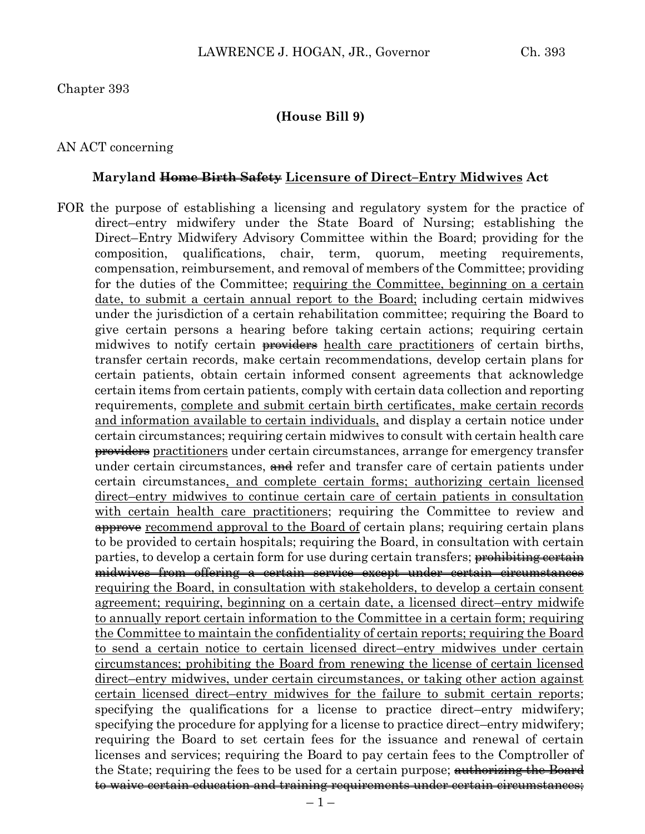#### **(House Bill 9)**

#### AN ACT concerning

#### **Maryland Home Birth Safety Licensure of Direct–Entry Midwives Act**

FOR the purpose of establishing a licensing and regulatory system for the practice of direct–entry midwifery under the State Board of Nursing; establishing the Direct–Entry Midwifery Advisory Committee within the Board; providing for the composition, qualifications, chair, term, quorum, meeting requirements, compensation, reimbursement, and removal of members of the Committee; providing for the duties of the Committee; requiring the Committee, beginning on a certain date, to submit a certain annual report to the Board; including certain midwives under the jurisdiction of a certain rehabilitation committee; requiring the Board to give certain persons a hearing before taking certain actions; requiring certain midwives to notify certain <del>providers</del> health care practitioners of certain births, transfer certain records, make certain recommendations, develop certain plans for certain patients, obtain certain informed consent agreements that acknowledge certain items from certain patients, comply with certain data collection and reporting requirements, complete and submit certain birth certificates, make certain records and information available to certain individuals, and display a certain notice under certain circumstances; requiring certain midwives to consult with certain health care providers practitioners under certain circumstances, arrange for emergency transfer under certain circumstances, and refer and transfer care of certain patients under certain circumstances, and complete certain forms; authorizing certain licensed direct–entry midwives to continue certain care of certain patients in consultation with certain health care practitioners; requiring the Committee to review and approve recommend approval to the Board of certain plans; requiring certain plans to be provided to certain hospitals; requiring the Board, in consultation with certain parties, to develop a certain form for use during certain transfers; <del>prohibiting certain</del> midwives from offering a certain service except under certain circumstances requiring the Board, in consultation with stakeholders, to develop a certain consent agreement; requiring, beginning on a certain date, a licensed direct–entry midwife to annually report certain information to the Committee in a certain form; requiring the Committee to maintain the confidentiality of certain reports; requiring the Board to send a certain notice to certain licensed direct–entry midwives under certain circumstances; prohibiting the Board from renewing the license of certain licensed direct–entry midwives, under certain circumstances, or taking other action against certain licensed direct–entry midwives for the failure to submit certain reports; specifying the qualifications for a license to practice direct–entry midwifery; specifying the procedure for applying for a license to practice direct–entry midwifery; requiring the Board to set certain fees for the issuance and renewal of certain licenses and services; requiring the Board to pay certain fees to the Comptroller of the State; requiring the fees to be used for a certain purpose; authorizing the Board to waive certain education and training requirements under certain circumstances;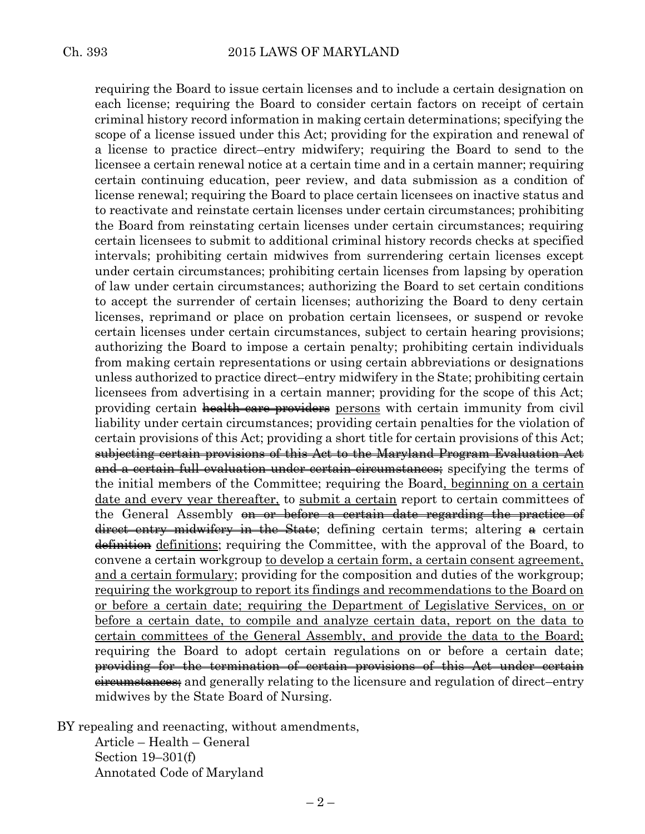requiring the Board to issue certain licenses and to include a certain designation on each license; requiring the Board to consider certain factors on receipt of certain criminal history record information in making certain determinations; specifying the scope of a license issued under this Act; providing for the expiration and renewal of a license to practice direct–entry midwifery; requiring the Board to send to the licensee a certain renewal notice at a certain time and in a certain manner; requiring certain continuing education, peer review, and data submission as a condition of license renewal; requiring the Board to place certain licensees on inactive status and to reactivate and reinstate certain licenses under certain circumstances; prohibiting the Board from reinstating certain licenses under certain circumstances; requiring certain licensees to submit to additional criminal history records checks at specified intervals; prohibiting certain midwives from surrendering certain licenses except under certain circumstances; prohibiting certain licenses from lapsing by operation of law under certain circumstances; authorizing the Board to set certain conditions to accept the surrender of certain licenses; authorizing the Board to deny certain licenses, reprimand or place on probation certain licensees, or suspend or revoke certain licenses under certain circumstances, subject to certain hearing provisions; authorizing the Board to impose a certain penalty; prohibiting certain individuals from making certain representations or using certain abbreviations or designations unless authorized to practice direct–entry midwifery in the State; prohibiting certain licensees from advertising in a certain manner; providing for the scope of this Act; providing certain health care providers persons with certain immunity from civil liability under certain circumstances; providing certain penalties for the violation of certain provisions of this Act; providing a short title for certain provisions of this Act; subjecting certain provisions of this Act to the Maryland Program Evaluation Act and a certain full evaluation under certain circumstances; specifying the terms of the initial members of the Committee; requiring the Board, beginning on a certain date and every year thereafter, to submit a certain report to certain committees of the General Assembly <del>on or before a certain date regarding the practice of</del> direct–entry midwifery in the State; defining certain terms; altering a certain definition definitions; requiring the Committee, with the approval of the Board, to convene a certain workgroup to develop a certain form, a certain consent agreement, and a certain formulary; providing for the composition and duties of the workgroup; requiring the workgroup to report its findings and recommendations to the Board on or before a certain date; requiring the Department of Legislative Services, on or before a certain date, to compile and analyze certain data, report on the data to certain committees of the General Assembly, and provide the data to the Board; requiring the Board to adopt certain regulations on or before a certain date; providing for the termination of certain provisions of this Act under certain eireumstances; and generally relating to the licensure and regulation of direct–entry midwives by the State Board of Nursing.

BY repealing and reenacting, without amendments,

Article – Health – General Section 19–301(f) Annotated Code of Maryland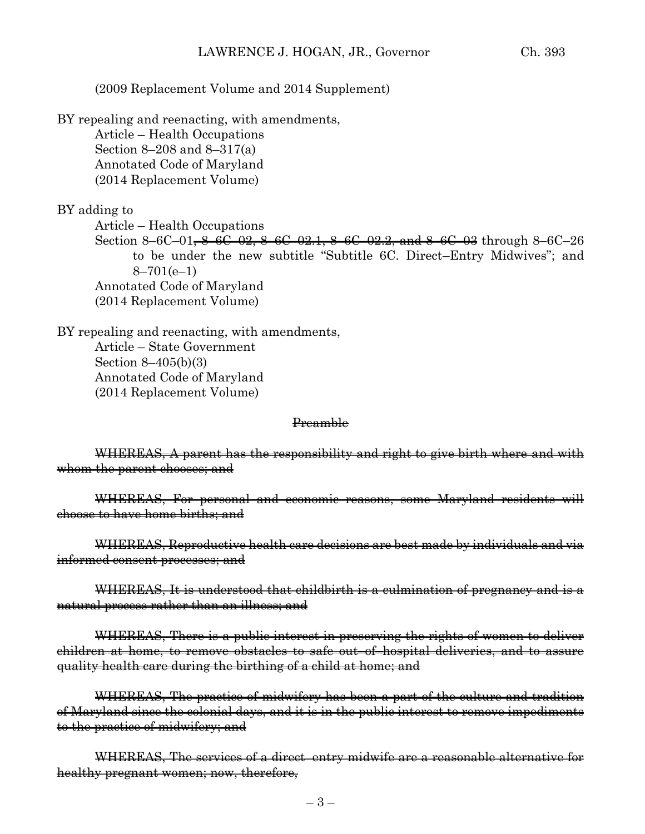### (2009 Replacement Volume and 2014 Supplement)

BY repealing and reenacting, with amendments,

Article – Health Occupations Section 8–208 and 8–317(a) Annotated Code of Maryland (2014 Replacement Volume)

BY adding to

Article – Health Occupations

Section 8–6C–01,  $\frac{8}{6}$ –6C–02,  $\frac{8}{6}$ –6C–02.1,  $\frac{8}{6}$ –6C–02.2, and  $\frac{8}{6}$ –6C–03 through 8–6C–26 to be under the new subtitle "Subtitle 6C. Direct–Entry Midwives"; and  $8 - 701(e-1)$ Annotated Code of Maryland (2014 Replacement Volume)

BY repealing and reenacting, with amendments, Article – State Government Section 8–405(b)(3) Annotated Code of Maryland (2014 Replacement Volume)

#### Preamble

WHEREAS, A parent has the responsibility and right to give birth where and with whom the parent chooses; and

WHEREAS, For personal and economic reasons, some Maryland residents will choose to have home births; and

WHEREAS, Reproductive health care decisions are best made by individuals and via informed consent processes; and

WHEREAS, It is understood that childbirth is a culmination of pregnancy and is a natural process rather than an illness; and

WHEREAS, There is a public interest in preserving the rights of women to deliver children at home, to remove obstacles to safe out–of–hospital deliveries, and to assure quality health care during the birthing of a child at home; and

WHEREAS, The practice of midwifery has been a part of the culture and tradition of Maryland since the colonial days, and it is in the public interest to remove impediments to the practice of midwifery; and

WHEREAS, The services of a direct–entry midwife are a reasonable alternative for healthy pregnant women; now, therefore,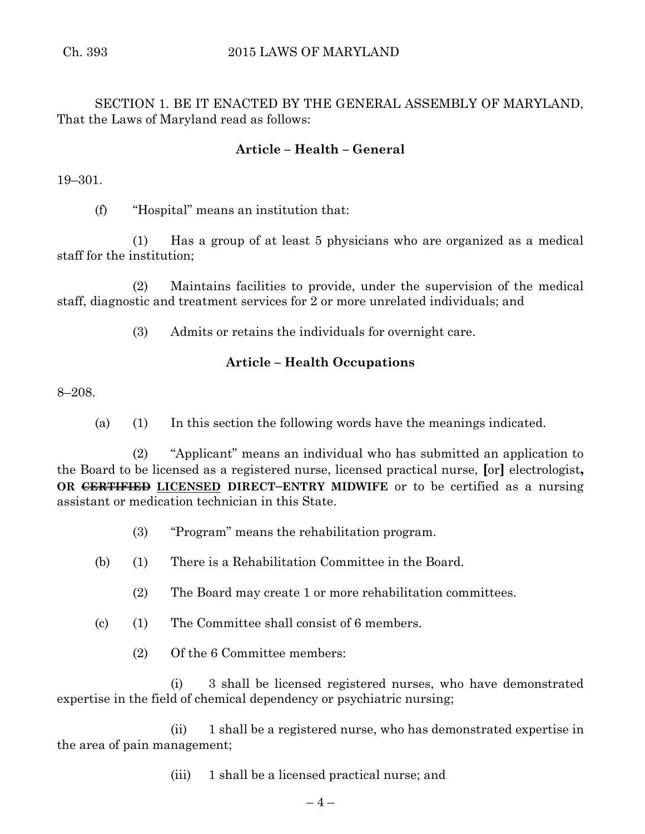SECTION 1. BE IT ENACTED BY THE GENERAL ASSEMBLY OF MARYLAND, That the Laws of Maryland read as follows:

# **Article – Health – General**

19–301.

(f) "Hospital" means an institution that:

(1) Has a group of at least 5 physicians who are organized as a medical staff for the institution;

(2) Maintains facilities to provide, under the supervision of the medical staff, diagnostic and treatment services for 2 or more unrelated individuals; and

(3) Admits or retains the individuals for overnight care.

## **Article – Health Occupations**

8–208.

(a) (1) In this section the following words have the meanings indicated.

(2) "Applicant" means an individual who has submitted an application to the Board to be licensed as a registered nurse, licensed practical nurse, **[**or**]** electrologist**, OR CERTIFIED LICENSED DIRECT–ENTRY MIDWIFE** or to be certified as a nursing assistant or medication technician in this State.

- (3) "Program" means the rehabilitation program.
- (b) (1) There is a Rehabilitation Committee in the Board.
	- (2) The Board may create 1 or more rehabilitation committees.
- (c) (1) The Committee shall consist of 6 members.
	- (2) Of the 6 Committee members:

(i) 3 shall be licensed registered nurses, who have demonstrated expertise in the field of chemical dependency or psychiatric nursing;

(ii) 1 shall be a registered nurse, who has demonstrated expertise in the area of pain management;

(iii) 1 shall be a licensed practical nurse; and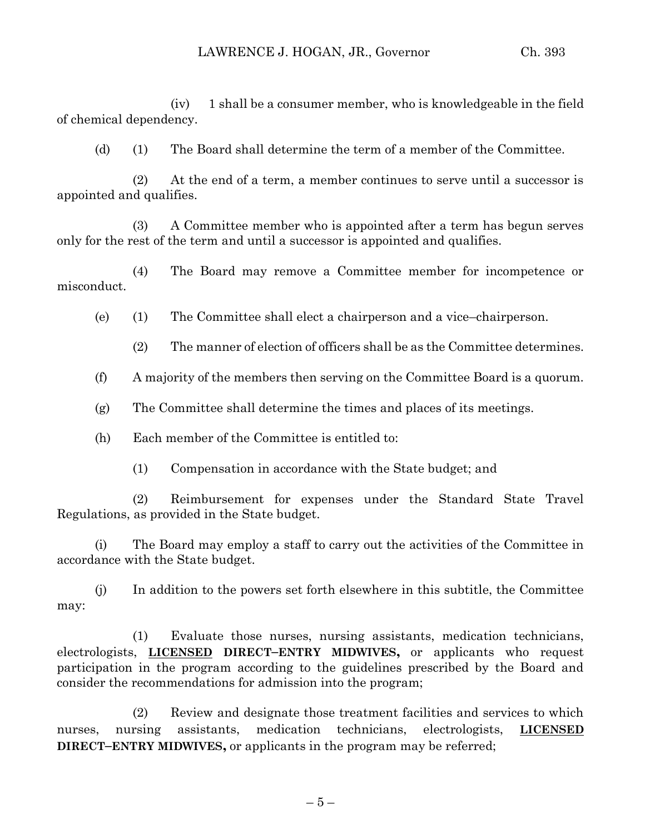(iv) 1 shall be a consumer member, who is knowledgeable in the field of chemical dependency.

(d) (1) The Board shall determine the term of a member of the Committee.

(2) At the end of a term, a member continues to serve until a successor is appointed and qualifies.

(3) A Committee member who is appointed after a term has begun serves only for the rest of the term and until a successor is appointed and qualifies.

(4) The Board may remove a Committee member for incompetence or misconduct.

(e) (1) The Committee shall elect a chairperson and a vice–chairperson.

(2) The manner of election of officers shall be as the Committee determines.

(f) A majority of the members then serving on the Committee Board is a quorum.

(g) The Committee shall determine the times and places of its meetings.

(h) Each member of the Committee is entitled to:

(1) Compensation in accordance with the State budget; and

(2) Reimbursement for expenses under the Standard State Travel Regulations, as provided in the State budget.

(i) The Board may employ a staff to carry out the activities of the Committee in accordance with the State budget.

(j) In addition to the powers set forth elsewhere in this subtitle, the Committee may:

(1) Evaluate those nurses, nursing assistants, medication technicians, electrologists, **LICENSED DIRECT–ENTRY MIDWIVES,** or applicants who request participation in the program according to the guidelines prescribed by the Board and consider the recommendations for admission into the program;

(2) Review and designate those treatment facilities and services to which nurses, nursing assistants, medication technicians, electrologists, **LICENSED DIRECT–ENTRY MIDWIVES,** or applicants in the program may be referred;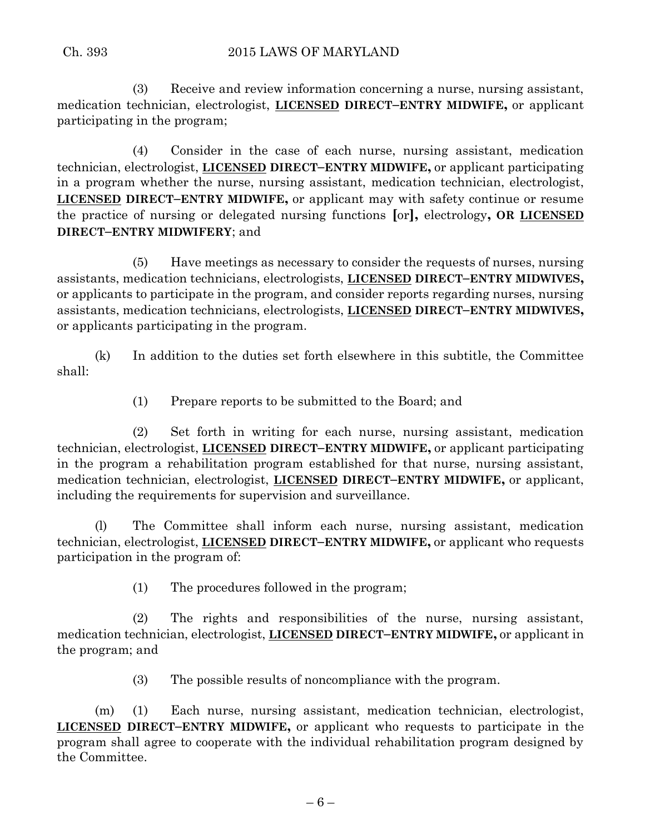(3) Receive and review information concerning a nurse, nursing assistant, medication technician, electrologist, **LICENSED DIRECT–ENTRY MIDWIFE,** or applicant participating in the program;

(4) Consider in the case of each nurse, nursing assistant, medication technician, electrologist, **LICENSED DIRECT–ENTRY MIDWIFE,** or applicant participating in a program whether the nurse, nursing assistant, medication technician, electrologist, **LICENSED DIRECT–ENTRY MIDWIFE,** or applicant may with safety continue or resume the practice of nursing or delegated nursing functions **[**or**],** electrology**, OR LICENSED DIRECT–ENTRY MIDWIFERY**; and

(5) Have meetings as necessary to consider the requests of nurses, nursing assistants, medication technicians, electrologists, **LICENSED DIRECT–ENTRY MIDWIVES,** or applicants to participate in the program, and consider reports regarding nurses, nursing assistants, medication technicians, electrologists, **LICENSED DIRECT–ENTRY MIDWIVES,** or applicants participating in the program.

(k) In addition to the duties set forth elsewhere in this subtitle, the Committee shall:

(1) Prepare reports to be submitted to the Board; and

(2) Set forth in writing for each nurse, nursing assistant, medication technician, electrologist, **LICENSED DIRECT–ENTRY MIDWIFE,** or applicant participating in the program a rehabilitation program established for that nurse, nursing assistant, medication technician, electrologist, **LICENSED DIRECT–ENTRY MIDWIFE,** or applicant, including the requirements for supervision and surveillance.

(l) The Committee shall inform each nurse, nursing assistant, medication technician, electrologist, **LICENSED DIRECT–ENTRY MIDWIFE,** or applicant who requests participation in the program of:

(1) The procedures followed in the program;

(2) The rights and responsibilities of the nurse, nursing assistant, medication technician, electrologist, **LICENSED DIRECT–ENTRY MIDWIFE,** or applicant in the program; and

(3) The possible results of noncompliance with the program.

(m) (1) Each nurse, nursing assistant, medication technician, electrologist, **LICENSED DIRECT–ENTRY MIDWIFE,** or applicant who requests to participate in the program shall agree to cooperate with the individual rehabilitation program designed by the Committee.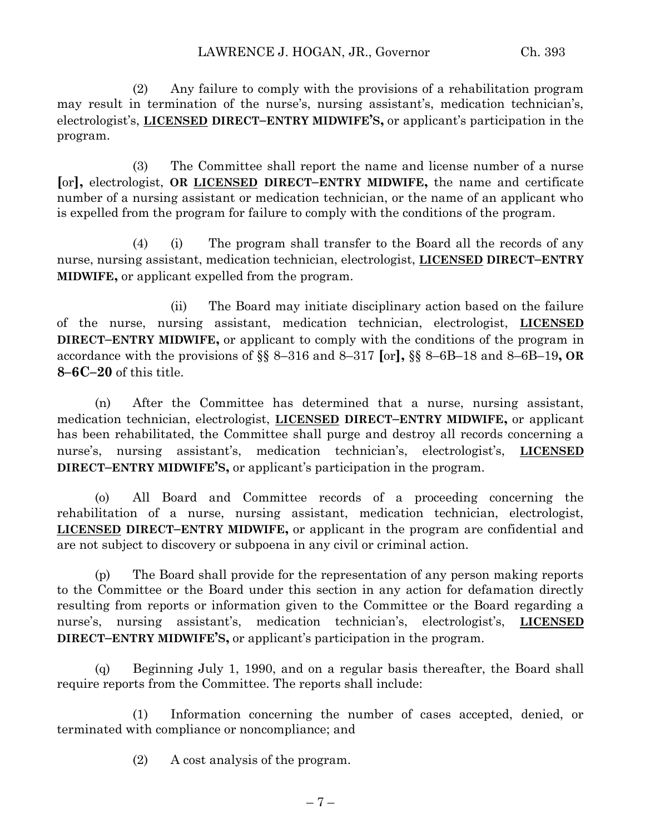(2) Any failure to comply with the provisions of a rehabilitation program may result in termination of the nurse's, nursing assistant's, medication technician's, electrologist's, **LICENSED DIRECT–ENTRY MIDWIFE'S,** or applicant's participation in the program.

(3) The Committee shall report the name and license number of a nurse **[**or**],** electrologist, **OR LICENSED DIRECT–ENTRY MIDWIFE,** the name and certificate number of a nursing assistant or medication technician, or the name of an applicant who is expelled from the program for failure to comply with the conditions of the program.

(4) (i) The program shall transfer to the Board all the records of any nurse, nursing assistant, medication technician, electrologist, **LICENSED DIRECT–ENTRY MIDWIFE,** or applicant expelled from the program.

(ii) The Board may initiate disciplinary action based on the failure of the nurse, nursing assistant, medication technician, electrologist, **LICENSED DIRECT–ENTRY MIDWIFE,** or applicant to comply with the conditions of the program in accordance with the provisions of §§ 8–316 and 8–317 **[**or**],** §§ 8–6B–18 and 8–6B–19**, OR 8–6C–20** of this title.

(n) After the Committee has determined that a nurse, nursing assistant, medication technician, electrologist, **LICENSED DIRECT–ENTRY MIDWIFE,** or applicant has been rehabilitated, the Committee shall purge and destroy all records concerning a nurse's, nursing assistant's, medication technician's, electrologist's, **LICENSED DIRECT–ENTRY MIDWIFE'S,** or applicant's participation in the program.

(o) All Board and Committee records of a proceeding concerning the rehabilitation of a nurse, nursing assistant, medication technician, electrologist, **LICENSED DIRECT–ENTRY MIDWIFE,** or applicant in the program are confidential and are not subject to discovery or subpoena in any civil or criminal action.

(p) The Board shall provide for the representation of any person making reports to the Committee or the Board under this section in any action for defamation directly resulting from reports or information given to the Committee or the Board regarding a nurse's, nursing assistant's, medication technician's, electrologist's, **LICENSED DIRECT–ENTRY MIDWIFE'S,** or applicant's participation in the program.

(q) Beginning July 1, 1990, and on a regular basis thereafter, the Board shall require reports from the Committee. The reports shall include:

(1) Information concerning the number of cases accepted, denied, or terminated with compliance or noncompliance; and

(2) A cost analysis of the program.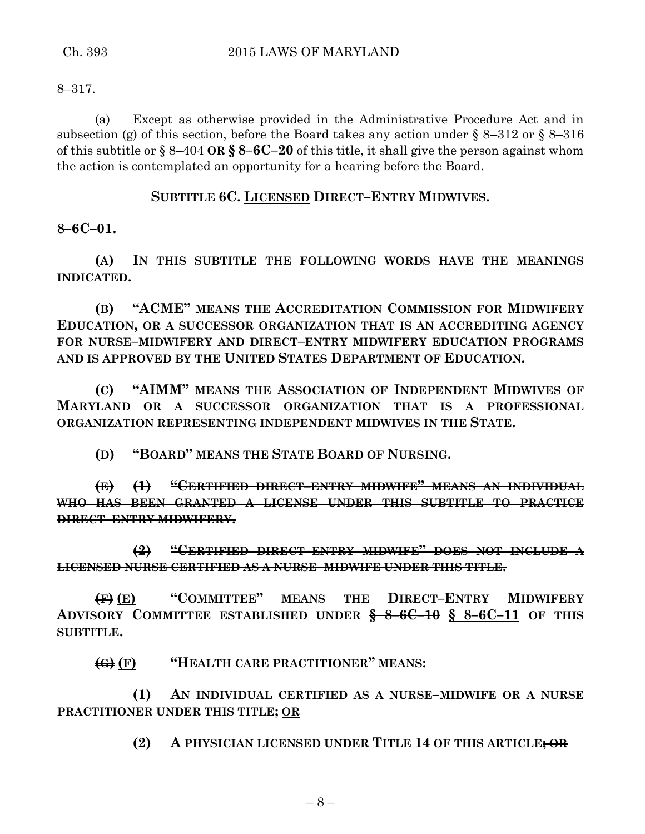8–317.

(a) Except as otherwise provided in the Administrative Procedure Act and in subsection (g) of this section, before the Board takes any action under § 8–312 or § 8–316 of this subtitle or § 8–404 **OR § 8–6C–20** of this title, it shall give the person against whom the action is contemplated an opportunity for a hearing before the Board.

## **SUBTITLE 6C. LICENSED DIRECT–ENTRY MIDWIVES.**

**8–6C–01.**

**(A) IN THIS SUBTITLE THE FOLLOWING WORDS HAVE THE MEANINGS INDICATED.**

**(B) "ACME" MEANS THE ACCREDITATION COMMISSION FOR MIDWIFERY EDUCATION, OR A SUCCESSOR ORGANIZATION THAT IS AN ACCREDITING AGENCY FOR NURSE–MIDWIFERY AND DIRECT–ENTRY MIDWIFERY EDUCATION PROGRAMS AND IS APPROVED BY THE UNITED STATES DEPARTMENT OF EDUCATION.**

**(C) "AIMM" MEANS THE ASSOCIATION OF INDEPENDENT MIDWIVES OF MARYLAND OR A SUCCESSOR ORGANIZATION THAT IS A PROFESSIONAL ORGANIZATION REPRESENTING INDEPENDENT MIDWIVES IN THE STATE.**

**(D) "BOARD" MEANS THE STATE BOARD OF NURSING.**

**(E) (1) "CERTIFIED DIRECT–ENTRY MIDWIFE" MEANS AN INDIVIDUAL WHO HAS BEEN GRANTED A LICENSE UNDER THIS SUBTITLE TO PRACTICE DIRECT–ENTRY MIDWIFERY.**

**(2) "CERTIFIED DIRECT–ENTRY MIDWIFE" DOES NOT INCLUDE A LICENSED NURSE CERTIFIED AS A NURSE–MIDWIFE UNDER THIS TITLE.**

**(F) (E) "COMMITTEE" MEANS THE DIRECT–ENTRY MIDWIFERY ADVISORY COMMITTEE ESTABLISHED UNDER § 8–6C–10 § 8–6C–11 OF THIS SUBTITLE.**

**(G) (F) "HEALTH CARE PRACTITIONER" MEANS:**

**(1) AN INDIVIDUAL CERTIFIED AS A NURSE–MIDWIFE OR A NURSE PRACTITIONER UNDER THIS TITLE; OR**

**(2) A PHYSICIAN LICENSED UNDER TITLE 14 OF THIS ARTICLE; OR**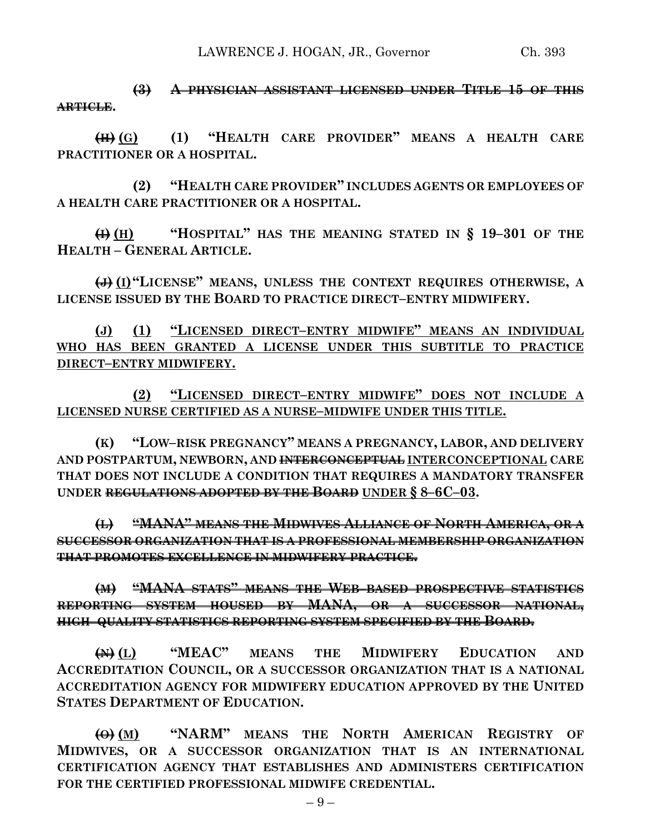LAWRENCE J. HOGAN, JR., Governor Ch. 393

**(3) A PHYSICIAN ASSISTANT LICENSED UNDER TITLE 15 OF THIS ARTICLE.**

**(H) (G) (1) "HEALTH CARE PROVIDER" MEANS A HEALTH CARE PRACTITIONER OR A HOSPITAL.**

**(2) "HEALTH CARE PROVIDER" INCLUDES AGENTS OR EMPLOYEES OF A HEALTH CARE PRACTITIONER OR A HOSPITAL.**

**(I) (H) "HOSPITAL" HAS THE MEANING STATED IN § 19–301 OF THE HEALTH – GENERAL ARTICLE.**

**(J) (I)"LICENSE" MEANS, UNLESS THE CONTEXT REQUIRES OTHERWISE, A LICENSE ISSUED BY THE BOARD TO PRACTICE DIRECT–ENTRY MIDWIFERY.**

**(J) (1) "LICENSED DIRECT–ENTRY MIDWIFE" MEANS AN INDIVIDUAL WHO HAS BEEN GRANTED A LICENSE UNDER THIS SUBTITLE TO PRACTICE DIRECT–ENTRY MIDWIFERY.**

**(2) "LICENSED DIRECT–ENTRY MIDWIFE" DOES NOT INCLUDE A LICENSED NURSE CERTIFIED AS A NURSE–MIDWIFE UNDER THIS TITLE.**

**(K) "LOW–RISK PREGNANCY" MEANS A PREGNANCY, LABOR, AND DELIVERY AND POSTPARTUM, NEWBORN, AND INTERCONCEPTUAL INTERCONCEPTIONAL CARE THAT DOES NOT INCLUDE A CONDITION THAT REQUIRES A MANDATORY TRANSFER UNDER REGULATIONS ADOPTED BY THE BOARD UNDER § 8–6C–03.**

**(L) "MANA" MEANS THE MIDWIVES ALLIANCE OF NORTH AMERICA, OR A SUCCESSOR ORGANIZATION THAT IS A PROFESSIONAL MEMBERSHIP ORGANIZATION THAT PROMOTES EXCELLENCE IN MIDWIFERY PRACTICE.**

**(M) "MANA STATS" MEANS THE WEB–BASED PROSPECTIVE STATISTICS REPORTING SYSTEM HOUSED BY MANA, OR A SUCCESSOR NATIONAL, HIGH–QUALITY STATISTICS REPORTING SYSTEM SPECIFIED BY THE BOARD.**

**(N) (L) "MEAC" MEANS THE MIDWIFERY EDUCATION AND ACCREDITATION COUNCIL, OR A SUCCESSOR ORGANIZATION THAT IS A NATIONAL ACCREDITATION AGENCY FOR MIDWIFERY EDUCATION APPROVED BY THE UNITED STATES DEPARTMENT OF EDUCATION.**

**(O) (M) "NARM" MEANS THE NORTH AMERICAN REGISTRY OF MIDWIVES, OR A SUCCESSOR ORGANIZATION THAT IS AN INTERNATIONAL CERTIFICATION AGENCY THAT ESTABLISHES AND ADMINISTERS CERTIFICATION FOR THE CERTIFIED PROFESSIONAL MIDWIFE CREDENTIAL.**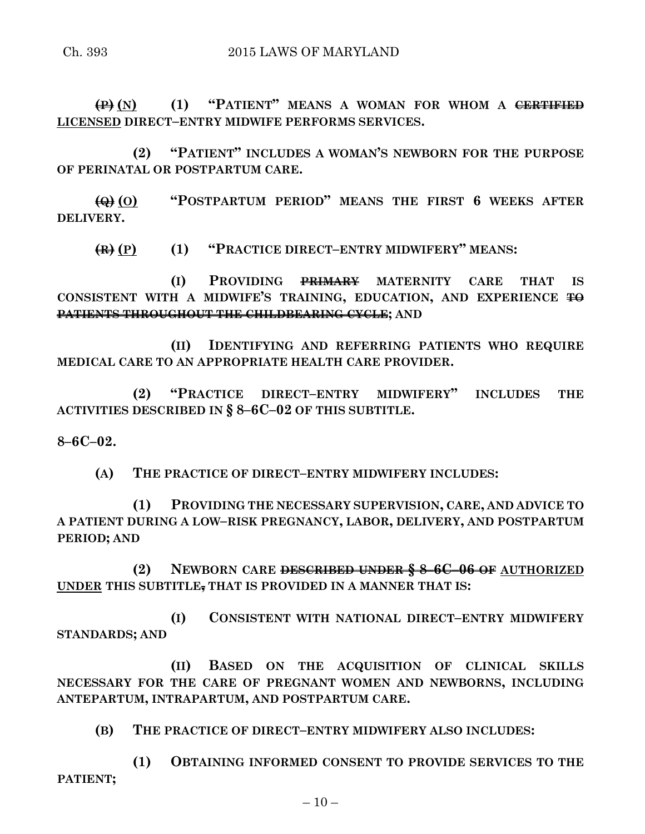**(P) (N) (1) "PATIENT" MEANS A WOMAN FOR WHOM A CERTIFIED LICENSED DIRECT–ENTRY MIDWIFE PERFORMS SERVICES.**

**(2) "PATIENT" INCLUDES A WOMAN'S NEWBORN FOR THE PURPOSE OF PERINATAL OR POSTPARTUM CARE.**

**(Q) (O) "POSTPARTUM PERIOD" MEANS THE FIRST 6 WEEKS AFTER DELIVERY.**

**(R) (P) (1) "PRACTICE DIRECT–ENTRY MIDWIFERY" MEANS:**

**(I) PROVIDING PRIMARY MATERNITY CARE THAT IS CONSISTENT WITH A MIDWIFE'S TRAINING, EDUCATION, AND EXPERIENCE TO PATIENTS THROUGHOUT THE CHILDBEARING CYCLE; AND** 

**(II) IDENTIFYING AND REFERRING PATIENTS WHO REQUIRE MEDICAL CARE TO AN APPROPRIATE HEALTH CARE PROVIDER.**

**(2) "PRACTICE DIRECT–ENTRY MIDWIFERY" INCLUDES THE ACTIVITIES DESCRIBED IN § 8–6C–02 OF THIS SUBTITLE.**

**8–6C–02.**

**(A) THE PRACTICE OF DIRECT–ENTRY MIDWIFERY INCLUDES:**

**(1) PROVIDING THE NECESSARY SUPERVISION, CARE, AND ADVICE TO A PATIENT DURING A LOW–RISK PREGNANCY, LABOR, DELIVERY, AND POSTPARTUM PERIOD; AND**

**(2) NEWBORN CARE DESCRIBED UNDER § 8–6C–06 OF AUTHORIZED UNDER THIS SUBTITLE, THAT IS PROVIDED IN A MANNER THAT IS:**

**(I) CONSISTENT WITH NATIONAL DIRECT–ENTRY MIDWIFERY STANDARDS; AND**

**(II) BASED ON THE ACQUISITION OF CLINICAL SKILLS NECESSARY FOR THE CARE OF PREGNANT WOMEN AND NEWBORNS, INCLUDING ANTEPARTUM, INTRAPARTUM, AND POSTPARTUM CARE.**

**(B) THE PRACTICE OF DIRECT–ENTRY MIDWIFERY ALSO INCLUDES:**

**(1) OBTAINING INFORMED CONSENT TO PROVIDE SERVICES TO THE PATIENT;**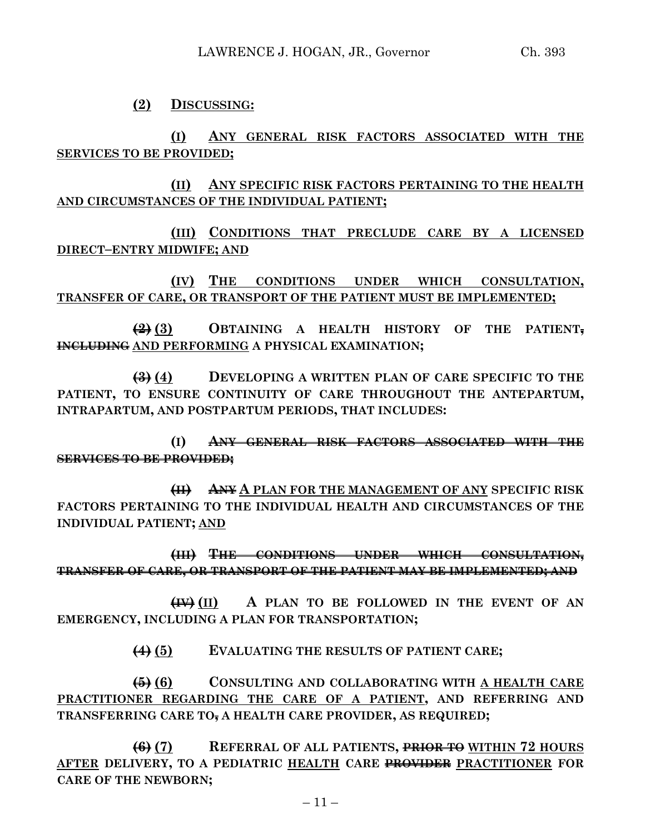**(2) DISCUSSING:**

**(I) ANY GENERAL RISK FACTORS ASSOCIATED WITH THE SERVICES TO BE PROVIDED;**

**(II) ANY SPECIFIC RISK FACTORS PERTAINING TO THE HEALTH AND CIRCUMSTANCES OF THE INDIVIDUAL PATIENT;**

**(III) CONDITIONS THAT PRECLUDE CARE BY A LICENSED DIRECT–ENTRY MIDWIFE; AND**

**(IV) THE CONDITIONS UNDER WHICH CONSULTATION, TRANSFER OF CARE, OR TRANSPORT OF THE PATIENT MUST BE IMPLEMENTED;**

**(2) (3) OBTAINING A HEALTH HISTORY OF THE PATIENT, INCLUDING AND PERFORMING A PHYSICAL EXAMINATION;**

**(3) (4) DEVELOPING A WRITTEN PLAN OF CARE SPECIFIC TO THE PATIENT, TO ENSURE CONTINUITY OF CARE THROUGHOUT THE ANTEPARTUM, INTRAPARTUM, AND POSTPARTUM PERIODS, THAT INCLUDES:**

**(I) ANY GENERAL RISK FACTORS ASSOCIATED WITH THE SERVICES TO BE PROVIDED;**

**(II) ANY A PLAN FOR THE MANAGEMENT OF ANY SPECIFIC RISK FACTORS PERTAINING TO THE INDIVIDUAL HEALTH AND CIRCUMSTANCES OF THE INDIVIDUAL PATIENT; AND**

**(III) THE CONDITIONS UNDER WHICH CONSULTATION, TRANSFER OF CARE, OR TRANSPORT OF THE PATIENT MAY BE IMPLEMENTED; AND**

**(IV) (II) A PLAN TO BE FOLLOWED IN THE EVENT OF AN EMERGENCY, INCLUDING A PLAN FOR TRANSPORTATION;**

**(4) (5) EVALUATING THE RESULTS OF PATIENT CARE;**

**(5) (6) CONSULTING AND COLLABORATING WITH A HEALTH CARE PRACTITIONER REGARDING THE CARE OF A PATIENT, AND REFERRING AND TRANSFERRING CARE TO, A HEALTH CARE PROVIDER, AS REQUIRED;**

**(6) (7) REFERRAL OF ALL PATIENTS, PRIOR TO WITHIN 72 HOURS AFTER DELIVERY, TO A PEDIATRIC HEALTH CARE PROVIDER PRACTITIONER FOR CARE OF THE NEWBORN;**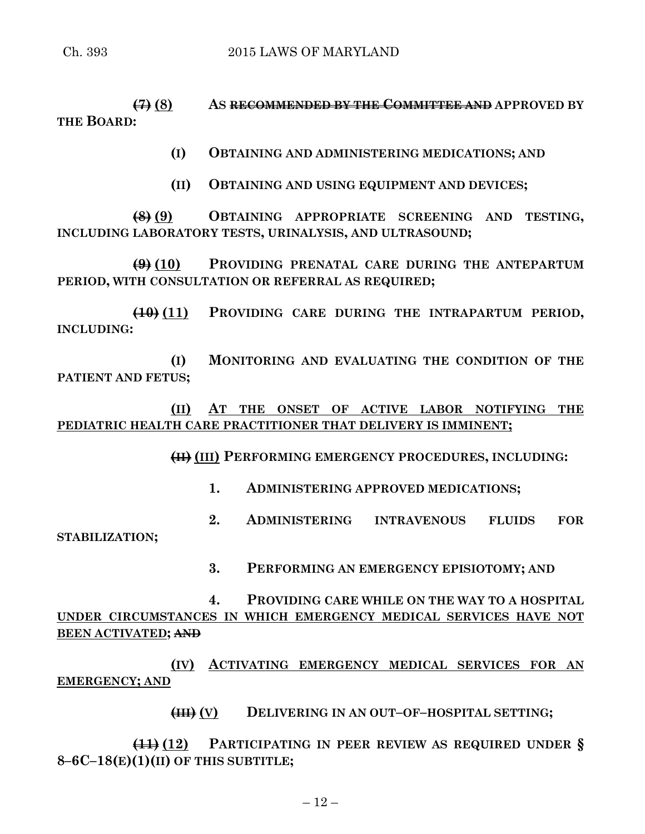**(7) (8) AS RECOMMENDED BY THE COMMITTEE AND APPROVED BY THE BOARD:**

**(I) OBTAINING AND ADMINISTERING MEDICATIONS; AND**

**(II) OBTAINING AND USING EQUIPMENT AND DEVICES;**

**(8) (9) OBTAINING APPROPRIATE SCREENING AND TESTING, INCLUDING LABORATORY TESTS, URINALYSIS, AND ULTRASOUND;**

**(9) (10) PROVIDING PRENATAL CARE DURING THE ANTEPARTUM PERIOD, WITH CONSULTATION OR REFERRAL AS REQUIRED;**

**(10) (11) PROVIDING CARE DURING THE INTRAPARTUM PERIOD, INCLUDING:**

**(I) MONITORING AND EVALUATING THE CONDITION OF THE PATIENT AND FETUS;**

**(II) AT THE ONSET OF ACTIVE LABOR NOTIFYING THE PEDIATRIC HEALTH CARE PRACTITIONER THAT DELIVERY IS IMMINENT;**

**(II) (III) PERFORMING EMERGENCY PROCEDURES, INCLUDING:**

**1. ADMINISTERING APPROVED MEDICATIONS;**

**2. ADMINISTERING INTRAVENOUS FLUIDS FOR STABILIZATION;**

**3. PERFORMING AN EMERGENCY EPISIOTOMY; AND**

**4. PROVIDING CARE WHILE ON THE WAY TO A HOSPITAL UNDER CIRCUMSTANCES IN WHICH EMERGENCY MEDICAL SERVICES HAVE NOT BEEN ACTIVATED; AND**

**(IV) ACTIVATING EMERGENCY MEDICAL SERVICES FOR AN EMERGENCY; AND**

**(III) (V) DELIVERING IN AN OUT–OF–HOSPITAL SETTING;**

**(11) (12) PARTICIPATING IN PEER REVIEW AS REQUIRED UNDER § 8–6C–18(E)(1)(II) OF THIS SUBTITLE;**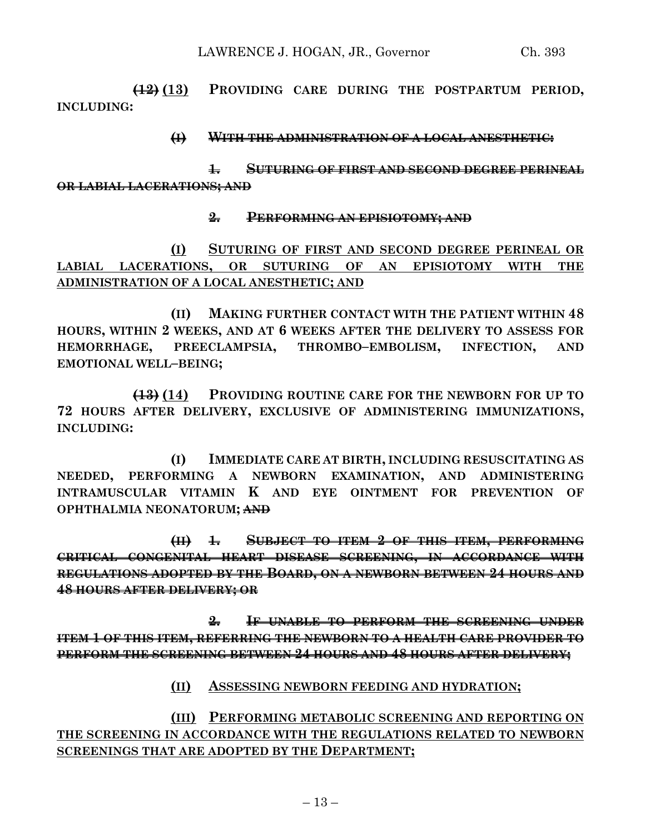**(12) (13) PROVIDING CARE DURING THE POSTPARTUM PERIOD, INCLUDING:**

## **(I) WITH THE ADMINISTRATION OF A LOCAL ANESTHETIC:**

**1. SUTURING OF FIRST AND SECOND DEGREE PERINEAL OR LABIAL LACERATIONS; AND** 

## **2. PERFORMING AN EPISIOTOMY; AND**

**(I) SUTURING OF FIRST AND SECOND DEGREE PERINEAL OR LABIAL LACERATIONS, OR SUTURING OF AN EPISIOTOMY WITH THE ADMINISTRATION OF A LOCAL ANESTHETIC; AND**

**(II) MAKING FURTHER CONTACT WITH THE PATIENT WITHIN 48 HOURS, WITHIN 2 WEEKS, AND AT 6 WEEKS AFTER THE DELIVERY TO ASSESS FOR HEMORRHAGE, PREECLAMPSIA, THROMBO–EMBOLISM, INFECTION, AND EMOTIONAL WELL–BEING;**

**(13) (14) PROVIDING ROUTINE CARE FOR THE NEWBORN FOR UP TO 72 HOURS AFTER DELIVERY, EXCLUSIVE OF ADMINISTERING IMMUNIZATIONS, INCLUDING:**

**(I) IMMEDIATE CARE AT BIRTH, INCLUDING RESUSCITATING AS NEEDED, PERFORMING A NEWBORN EXAMINATION, AND ADMINISTERING INTRAMUSCULAR VITAMIN K AND EYE OINTMENT FOR PREVENTION OF OPHTHALMIA NEONATORUM; AND**

**(II) 1. SUBJECT TO ITEM 2 OF THIS ITEM, PERFORMING CRITICAL CONGENITAL HEART DISEASE SCREENING, IN ACCORDANCE WITH REGULATIONS ADOPTED BY THE BOARD, ON A NEWBORN BETWEEN 24 HOURS AND 48 HOURS AFTER DELIVERY; OR**

**2. IF UNABLE TO PERFORM THE SCREENING UNDER ITEM 1 OF THIS ITEM, REFERRING THE NEWBORN TO A HEALTH CARE PROVIDER TO PERFORM THE SCREENING BETWEEN 24 HOURS AND 48 HOURS AFTER DELIVERY;**

# **(II) ASSESSING NEWBORN FEEDING AND HYDRATION;**

**(III) PERFORMING METABOLIC SCREENING AND REPORTING ON THE SCREENING IN ACCORDANCE WITH THE REGULATIONS RELATED TO NEWBORN SCREENINGS THAT ARE ADOPTED BY THE DEPARTMENT;**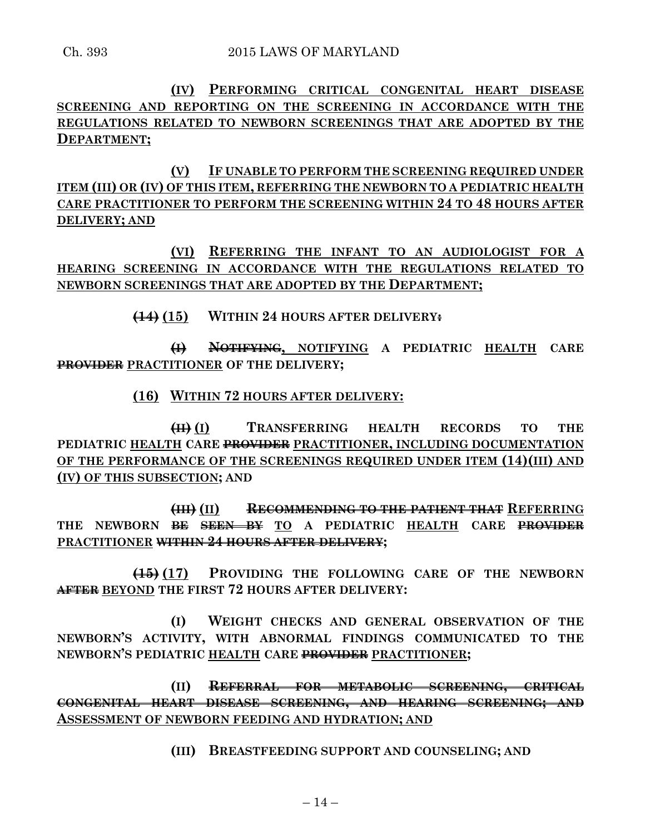**(IV) PERFORMING CRITICAL CONGENITAL HEART DISEASE SCREENING AND REPORTING ON THE SCREENING IN ACCORDANCE WITH THE REGULATIONS RELATED TO NEWBORN SCREENINGS THAT ARE ADOPTED BY THE DEPARTMENT;**

**(V) IF UNABLE TO PERFORM THE SCREENING REQUIRED UNDER ITEM (III) OR (IV) OF THIS ITEM, REFERRING THE NEWBORN TO A PEDIATRIC HEALTH CARE PRACTITIONER TO PERFORM THE SCREENING WITHIN 24 TO 48 HOURS AFTER DELIVERY; AND**

**(VI) REFERRING THE INFANT TO AN AUDIOLOGIST FOR A HEARING SCREENING IN ACCORDANCE WITH THE REGULATIONS RELATED TO NEWBORN SCREENINGS THAT ARE ADOPTED BY THE DEPARTMENT;**

**(14) (15) WITHIN 24 HOURS AFTER DELIVERY:**

**(I) NOTIFYING, NOTIFYING A PEDIATRIC HEALTH CARE PROVIDER PRACTITIONER OF THE DELIVERY;**

**(16) WITHIN 72 HOURS AFTER DELIVERY:**

**(II) (I) TRANSFERRING HEALTH RECORDS TO THE PEDIATRIC HEALTH CARE PROVIDER PRACTITIONER, INCLUDING DOCUMENTATION OF THE PERFORMANCE OF THE SCREENINGS REQUIRED UNDER ITEM (14)(III) AND (IV) OF THIS SUBSECTION; AND**

**(III) (II) RECOMMENDING TO THE PATIENT THAT REFERRING THE NEWBORN BE SEEN BY TO A PEDIATRIC HEALTH CARE PROVIDER PRACTITIONER WITHIN 24 HOURS AFTER DELIVERY;**

**(15) (17) PROVIDING THE FOLLOWING CARE OF THE NEWBORN AFTER BEYOND THE FIRST 72 HOURS AFTER DELIVERY:**

**(I) WEIGHT CHECKS AND GENERAL OBSERVATION OF THE NEWBORN'S ACTIVITY, WITH ABNORMAL FINDINGS COMMUNICATED TO THE NEWBORN'S PEDIATRIC HEALTH CARE PROVIDER PRACTITIONER;**

**(II) REFERRAL FOR METABOLIC SCREENING, CRITICAL CONGENITAL HEART DISEASE SCREENING, AND HEARING SCREENING; AND ASSESSMENT OF NEWBORN FEEDING AND HYDRATION; AND**

**(III) BREASTFEEDING SUPPORT AND COUNSELING; AND**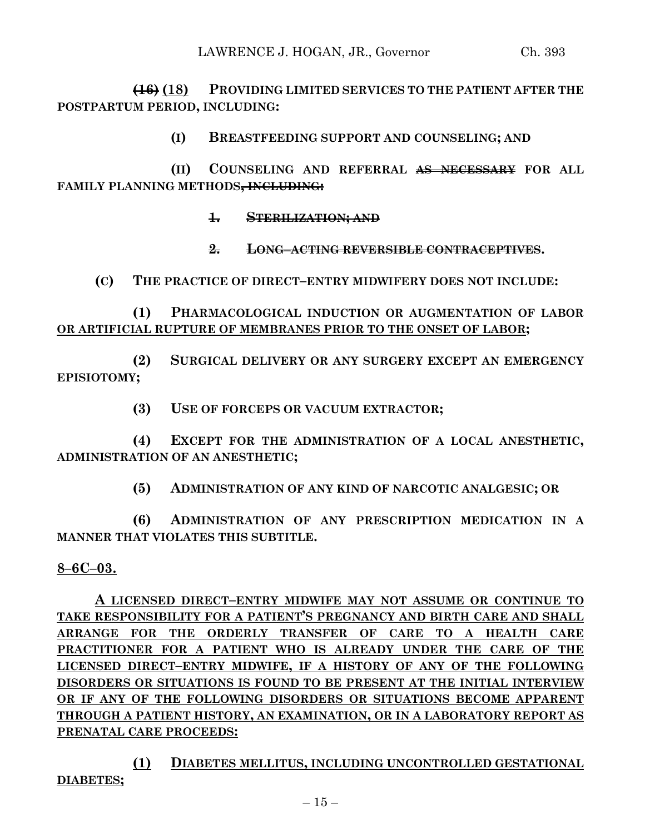**(16) (18) PROVIDING LIMITED SERVICES TO THE PATIENT AFTER THE POSTPARTUM PERIOD, INCLUDING:**

**(I) BREASTFEEDING SUPPORT AND COUNSELING; AND**

**(II) COUNSELING AND REFERRAL AS NECESSARY FOR ALL FAMILY PLANNING METHODS, INCLUDING:**

**1. STERILIZATION; AND**

**2. LONG–ACTING REVERSIBLE CONTRACEPTIVES.**

**(C) THE PRACTICE OF DIRECT–ENTRY MIDWIFERY DOES NOT INCLUDE:**

**(1) PHARMACOLOGICAL INDUCTION OR AUGMENTATION OF LABOR OR ARTIFICIAL RUPTURE OF MEMBRANES PRIOR TO THE ONSET OF LABOR;**

**(2) SURGICAL DELIVERY OR ANY SURGERY EXCEPT AN EMERGENCY EPISIOTOMY;**

**(3) USE OF FORCEPS OR VACUUM EXTRACTOR;**

**(4) EXCEPT FOR THE ADMINISTRATION OF A LOCAL ANESTHETIC, ADMINISTRATION OF AN ANESTHETIC;**

**(5) ADMINISTRATION OF ANY KIND OF NARCOTIC ANALGESIC; OR**

**(6) ADMINISTRATION OF ANY PRESCRIPTION MEDICATION IN A MANNER THAT VIOLATES THIS SUBTITLE.**

# **8–6C–03.**

**A LICENSED DIRECT–ENTRY MIDWIFE MAY NOT ASSUME OR CONTINUE TO TAKE RESPONSIBILITY FOR A PATIENT'S PREGNANCY AND BIRTH CARE AND SHALL ARRANGE FOR THE ORDERLY TRANSFER OF CARE TO A HEALTH CARE PRACTITIONER FOR A PATIENT WHO IS ALREADY UNDER THE CARE OF THE LICENSED DIRECT–ENTRY MIDWIFE, IF A HISTORY OF ANY OF THE FOLLOWING DISORDERS OR SITUATIONS IS FOUND TO BE PRESENT AT THE INITIAL INTERVIEW OR IF ANY OF THE FOLLOWING DISORDERS OR SITUATIONS BECOME APPARENT THROUGH A PATIENT HISTORY, AN EXAMINATION, OR IN A LABORATORY REPORT AS PRENATAL CARE PROCEEDS:**

**(1) DIABETES MELLITUS, INCLUDING UNCONTROLLED GESTATIONAL DIABETES;**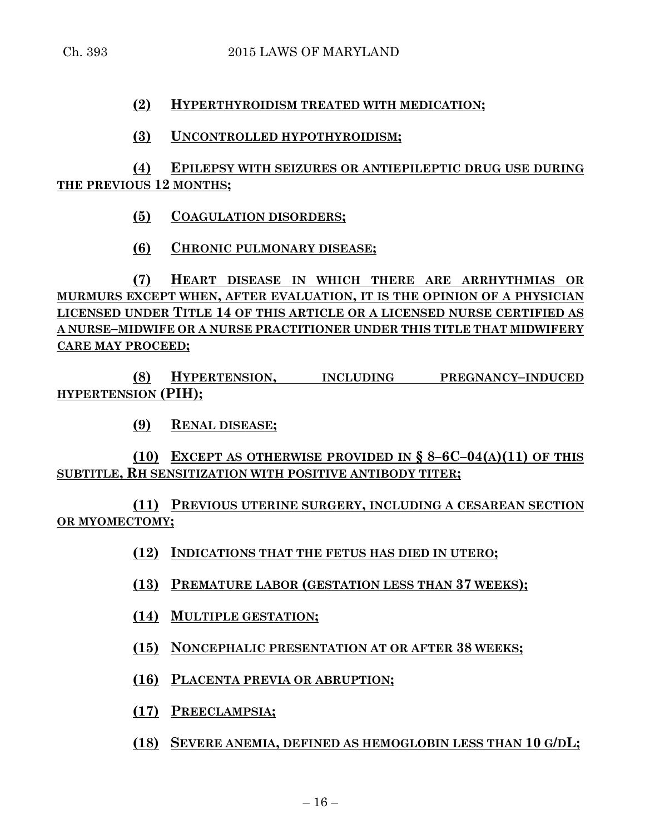## **(2) HYPERTHYROIDISM TREATED WITH MEDICATION;**

## **(3) UNCONTROLLED HYPOTHYROIDISM;**

# **(4) EPILEPSY WITH SEIZURES OR ANTIEPILEPTIC DRUG USE DURING THE PREVIOUS 12 MONTHS;**

- **(5) COAGULATION DISORDERS;**
- **(6) CHRONIC PULMONARY DISEASE;**

**(7) HEART DISEASE IN WHICH THERE ARE ARRHYTHMIAS OR MURMURS EXCEPT WHEN, AFTER EVALUATION, IT IS THE OPINION OF A PHYSICIAN LICENSED UNDER TITLE 14 OF THIS ARTICLE OR A LICENSED NURSE CERTIFIED AS A NURSE–MIDWIFE OR A NURSE PRACTITIONER UNDER THIS TITLE THAT MIDWIFERY CARE MAY PROCEED;**

**(8) HYPERTENSION, INCLUDING PREGNANCY–INDUCED HYPERTENSION (PIH);**

**(9) RENAL DISEASE;**

# **(10) EXCEPT AS OTHERWISE PROVIDED IN § 8–6C–04(A)(11) OF THIS SUBTITLE, RH SENSITIZATION WITH POSITIVE ANTIBODY TITER;**

**(11) PREVIOUS UTERINE SURGERY, INCLUDING A CESAREAN SECTION OR MYOMECTOMY;**

- **(12) INDICATIONS THAT THE FETUS HAS DIED IN UTERO;**
- **(13) PREMATURE LABOR (GESTATION LESS THAN 37 WEEKS);**
- **(14) MULTIPLE GESTATION;**
- **(15) NONCEPHALIC PRESENTATION AT OR AFTER 38 WEEKS;**
- **(16) PLACENTA PREVIA OR ABRUPTION;**
- **(17) PREECLAMPSIA;**
- **(18) SEVERE ANEMIA, DEFINED AS HEMOGLOBIN LESS THAN 10 G/DL;**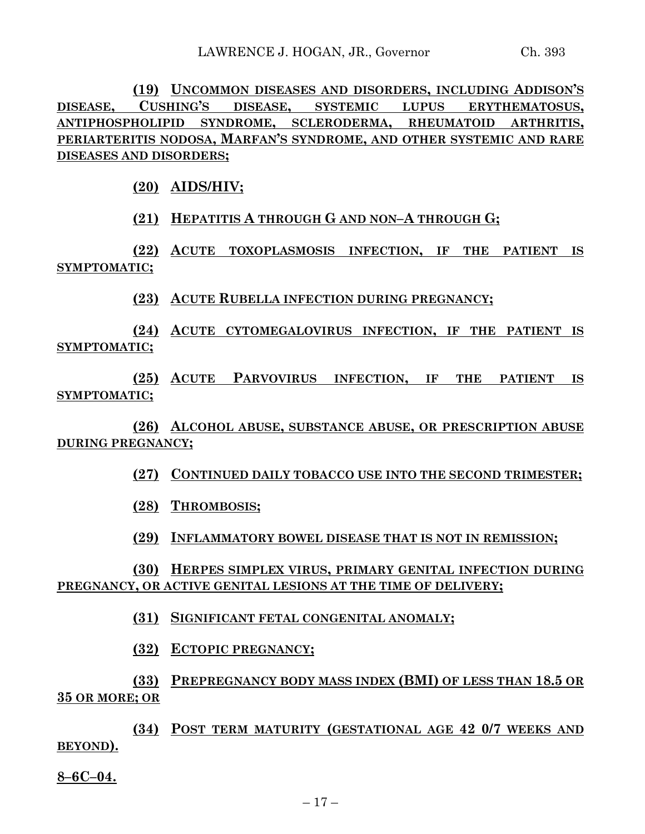**(19) UNCOMMON DISEASES AND DISORDERS, INCLUDING ADDISON'S DISEASE, CUSHING'S DISEASE, SYSTEMIC LUPUS ERYTHEMATOSUS, ANTIPHOSPHOLIPID SYNDROME, SCLERODERMA, RHEUMATOID ARTHRITIS, PERIARTERITIS NODOSA, MARFAN'S SYNDROME, AND OTHER SYSTEMIC AND RARE DISEASES AND DISORDERS;**

**(20) AIDS/HIV;**

**(21) HEPATITIS A THROUGH G AND NON–A THROUGH G;**

**(22) ACUTE TOXOPLASMOSIS INFECTION, IF THE PATIENT IS SYMPTOMATIC;**

**(23) ACUTE RUBELLA INFECTION DURING PREGNANCY;**

**(24) ACUTE CYTOMEGALOVIRUS INFECTION, IF THE PATIENT IS SYMPTOMATIC;**

**(25) ACUTE PARVOVIRUS INFECTION, IF THE PATIENT IS SYMPTOMATIC;**

**(26) ALCOHOL ABUSE, SUBSTANCE ABUSE, OR PRESCRIPTION ABUSE DURING PREGNANCY;**

**(27) CONTINUED DAILY TOBACCO USE INTO THE SECOND TRIMESTER;**

**(28) THROMBOSIS;**

**(29) INFLAMMATORY BOWEL DISEASE THAT IS NOT IN REMISSION;**

**(30) HERPES SIMPLEX VIRUS, PRIMARY GENITAL INFECTION DURING PREGNANCY, OR ACTIVE GENITAL LESIONS AT THE TIME OF DELIVERY;**

**(31) SIGNIFICANT FETAL CONGENITAL ANOMALY;**

**(32) ECTOPIC PREGNANCY;**

**(33) PREPREGNANCY BODY MASS INDEX (BMI) OF LESS THAN 18.5 OR 35 OR MORE; OR**

**(34) POST TERM MATURITY (GESTATIONAL AGE 42 0/7 WEEKS AND BEYOND).**

**8–6C–04.**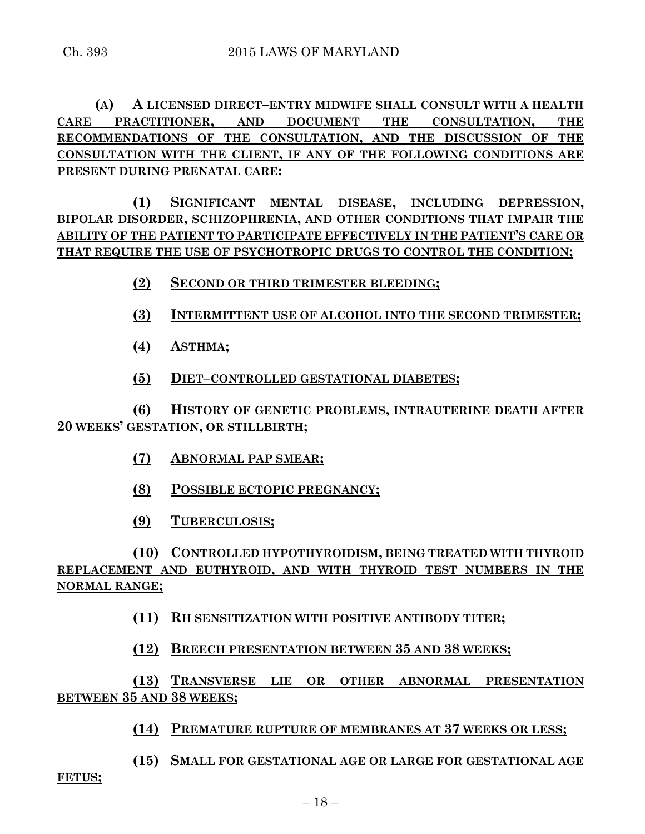**(A) A LICENSED DIRECT–ENTRY MIDWIFE SHALL CONSULT WITH A HEALTH CARE PRACTITIONER, AND DOCUMENT THE CONSULTATION, THE RECOMMENDATIONS OF THE CONSULTATION, AND THE DISCUSSION OF THE CONSULTATION WITH THE CLIENT, IF ANY OF THE FOLLOWING CONDITIONS ARE PRESENT DURING PRENATAL CARE:**

**(1) SIGNIFICANT MENTAL DISEASE, INCLUDING DEPRESSION, BIPOLAR DISORDER, SCHIZOPHRENIA, AND OTHER CONDITIONS THAT IMPAIR THE ABILITY OF THE PATIENT TO PARTICIPATE EFFECTIVELY IN THE PATIENT'S CARE OR THAT REQUIRE THE USE OF PSYCHOTROPIC DRUGS TO CONTROL THE CONDITION;**

**(2) SECOND OR THIRD TRIMESTER BLEEDING;**

**(3) INTERMITTENT USE OF ALCOHOL INTO THE SECOND TRIMESTER;**

**(4) ASTHMA;**

**(5) DIET–CONTROLLED GESTATIONAL DIABETES;**

**(6) HISTORY OF GENETIC PROBLEMS, INTRAUTERINE DEATH AFTER 20 WEEKS' GESTATION, OR STILLBIRTH;**

- **(7) ABNORMAL PAP SMEAR;**
- **(8) POSSIBLE ECTOPIC PREGNANCY;**
- **(9) TUBERCULOSIS;**

**(10) CONTROLLED HYPOTHYROIDISM, BEING TREATED WITH THYROID REPLACEMENT AND EUTHYROID, AND WITH THYROID TEST NUMBERS IN THE NORMAL RANGE;**

**(11) RH SENSITIZATION WITH POSITIVE ANTIBODY TITER;**

**(12) BREECH PRESENTATION BETWEEN 35 AND 38 WEEKS;**

**(13) TRANSVERSE LIE OR OTHER ABNORMAL PRESENTATION BETWEEN 35 AND 38 WEEKS;**

**(14) PREMATURE RUPTURE OF MEMBRANES AT 37 WEEKS OR LESS;**

**(15) SMALL FOR GESTATIONAL AGE OR LARGE FOR GESTATIONAL AGE** 

**FETUS;**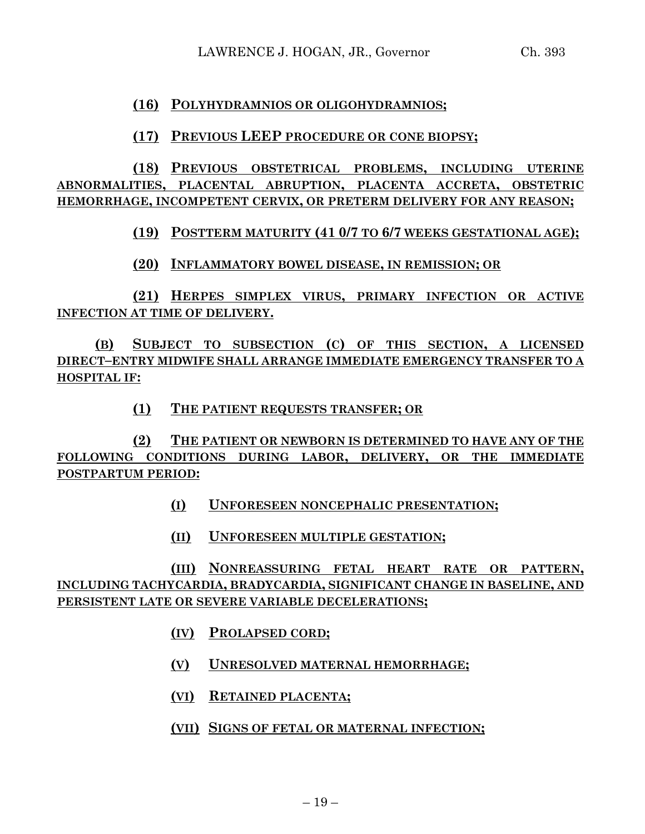## **(16) POLYHYDRAMNIOS OR OLIGOHYDRAMNIOS;**

## **(17) PREVIOUS LEEP PROCEDURE OR CONE BIOPSY;**

**(18) PREVIOUS OBSTETRICAL PROBLEMS, INCLUDING UTERINE ABNORMALITIES, PLACENTAL ABRUPTION, PLACENTA ACCRETA, OBSTETRIC HEMORRHAGE, INCOMPETENT CERVIX, OR PRETERM DELIVERY FOR ANY REASON;**

**(19) POSTTERM MATURITY (41 0/7 TO 6/7 WEEKS GESTATIONAL AGE);**

**(20) INFLAMMATORY BOWEL DISEASE, IN REMISSION; OR**

**(21) HERPES SIMPLEX VIRUS, PRIMARY INFECTION OR ACTIVE INFECTION AT TIME OF DELIVERY.**

**(B) SUBJECT TO SUBSECTION (C) OF THIS SECTION, A LICENSED DIRECT–ENTRY MIDWIFE SHALL ARRANGE IMMEDIATE EMERGENCY TRANSFER TO A HOSPITAL IF:**

**(1) THE PATIENT REQUESTS TRANSFER; OR**

**(2) THE PATIENT OR NEWBORN IS DETERMINED TO HAVE ANY OF THE FOLLOWING CONDITIONS DURING LABOR, DELIVERY, OR THE IMMEDIATE POSTPARTUM PERIOD:**

- **(I) UNFORESEEN NONCEPHALIC PRESENTATION;**
- **(II) UNFORESEEN MULTIPLE GESTATION;**

**(III) NONREASSURING FETAL HEART RATE OR PATTERN, INCLUDING TACHYCARDIA, BRADYCARDIA, SIGNIFICANT CHANGE IN BASELINE, AND PERSISTENT LATE OR SEVERE VARIABLE DECELERATIONS;**

- **(IV) PROLAPSED CORD;**
- **(V) UNRESOLVED MATERNAL HEMORRHAGE;**
- **(VI) RETAINED PLACENTA;**
- **(VII) SIGNS OF FETAL OR MATERNAL INFECTION;**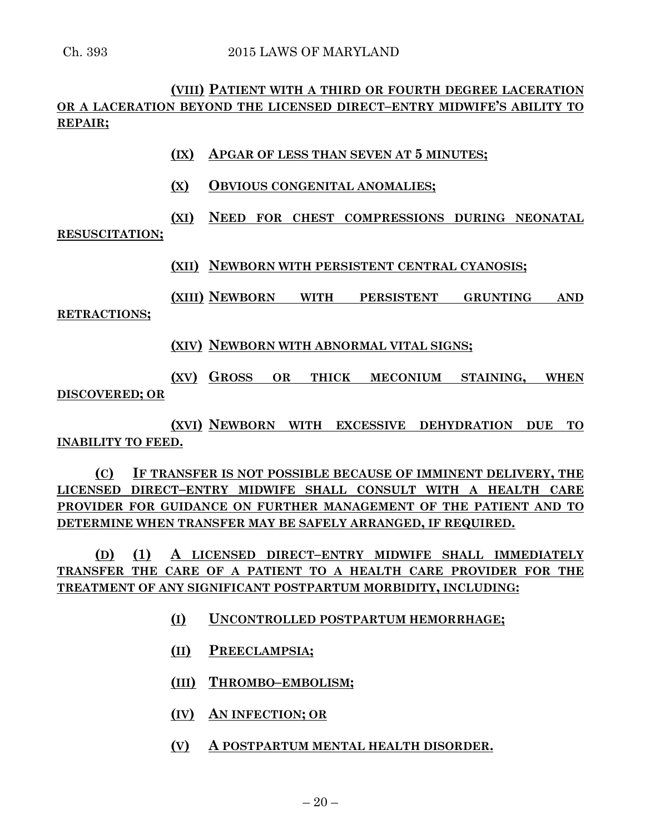# **(VIII) PATIENT WITH A THIRD OR FOURTH DEGREE LACERATION OR A LACERATION BEYOND THE LICENSED DIRECT–ENTRY MIDWIFE'S ABILITY TO REPAIR;**

- **(IX) APGAR OF LESS THAN SEVEN AT 5 MINUTES;**
- **(X) OBVIOUS CONGENITAL ANOMALIES;**
- **(XI) NEED FOR CHEST COMPRESSIONS DURING NEONATAL**

### **RESUSCITATION;**

**(XII) NEWBORN WITH PERSISTENT CENTRAL CYANOSIS;**

**(XIII) NEWBORN WITH PERSISTENT GRUNTING AND RETRACTIONS;**

**(XIV) NEWBORN WITH ABNORMAL VITAL SIGNS;**

**(XV) GROSS OR THICK MECONIUM STAINING, WHEN DISCOVERED; OR**

**(XVI) NEWBORN WITH EXCESSIVE DEHYDRATION DUE TO INABILITY TO FEED.**

**(C) IF TRANSFER IS NOT POSSIBLE BECAUSE OF IMMINENT DELIVERY, THE LICENSED DIRECT–ENTRY MIDWIFE SHALL CONSULT WITH A HEALTH CARE PROVIDER FOR GUIDANCE ON FURTHER MANAGEMENT OF THE PATIENT AND TO DETERMINE WHEN TRANSFER MAY BE SAFELY ARRANGED, IF REQUIRED.**

**(D) (1) A LICENSED DIRECT–ENTRY MIDWIFE SHALL IMMEDIATELY TRANSFER THE CARE OF A PATIENT TO A HEALTH CARE PROVIDER FOR THE TREATMENT OF ANY SIGNIFICANT POSTPARTUM MORBIDITY, INCLUDING:**

- **(I) UNCONTROLLED POSTPARTUM HEMORRHAGE;**
- **(II) PREECLAMPSIA;**
- **(III) THROMBO–EMBOLISM;**
- **(IV) AN INFECTION; OR**
- **(V) A POSTPARTUM MENTAL HEALTH DISORDER.**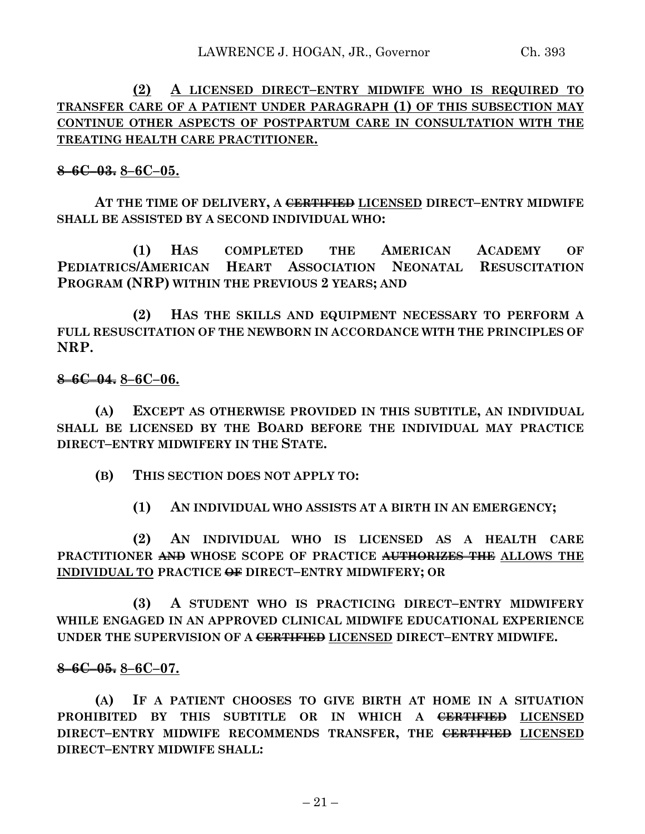# **(2) A LICENSED DIRECT–ENTRY MIDWIFE WHO IS REQUIRED TO TRANSFER CARE OF A PATIENT UNDER PARAGRAPH (1) OF THIS SUBSECTION MAY CONTINUE OTHER ASPECTS OF POSTPARTUM CARE IN CONSULTATION WITH THE TREATING HEALTH CARE PRACTITIONER.**

# **8–6C–03. 8–6C–05.**

**AT THE TIME OF DELIVERY, A CERTIFIED LICENSED DIRECT–ENTRY MIDWIFE SHALL BE ASSISTED BY A SECOND INDIVIDUAL WHO:**

**(1) HAS COMPLETED THE AMERICAN ACADEMY OF PEDIATRICS/AMERICAN HEART ASSOCIATION NEONATAL RESUSCITATION PROGRAM (NRP) WITHIN THE PREVIOUS 2 YEARS; AND**

**(2) HAS THE SKILLS AND EQUIPMENT NECESSARY TO PERFORM A FULL RESUSCITATION OF THE NEWBORN IN ACCORDANCE WITH THE PRINCIPLES OF NRP.**

## **8–6C–04. 8–6C–06.**

**(A) EXCEPT AS OTHERWISE PROVIDED IN THIS SUBTITLE, AN INDIVIDUAL SHALL BE LICENSED BY THE BOARD BEFORE THE INDIVIDUAL MAY PRACTICE DIRECT–ENTRY MIDWIFERY IN THE STATE.**

**(B) THIS SECTION DOES NOT APPLY TO:**

**(1) AN INDIVIDUAL WHO ASSISTS AT A BIRTH IN AN EMERGENCY;**

**(2) AN INDIVIDUAL WHO IS LICENSED AS A HEALTH CARE PRACTITIONER AND WHOSE SCOPE OF PRACTICE AUTHORIZES THE ALLOWS THE INDIVIDUAL TO PRACTICE OF DIRECT–ENTRY MIDWIFERY; OR**

**(3) A STUDENT WHO IS PRACTICING DIRECT–ENTRY MIDWIFERY WHILE ENGAGED IN AN APPROVED CLINICAL MIDWIFE EDUCATIONAL EXPERIENCE UNDER THE SUPERVISION OF A CERTIFIED LICENSED DIRECT–ENTRY MIDWIFE.**

# **8–6C–05. 8–6C–07.**

**(A) IF A PATIENT CHOOSES TO GIVE BIRTH AT HOME IN A SITUATION PROHIBITED BY THIS SUBTITLE OR IN WHICH A CERTIFIED LICENSED DIRECT–ENTRY MIDWIFE RECOMMENDS TRANSFER, THE CERTIFIED LICENSED DIRECT–ENTRY MIDWIFE SHALL:**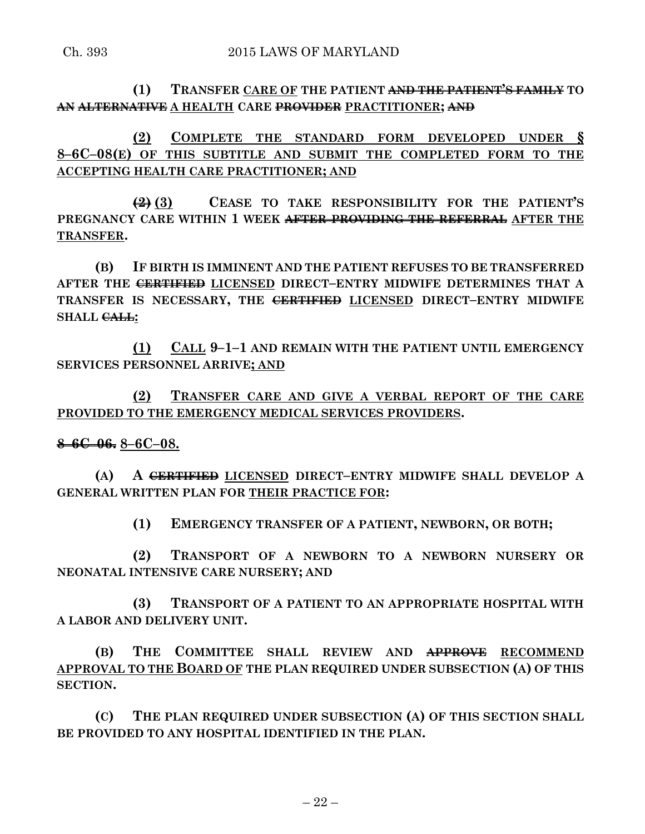**(1) TRANSFER CARE OF THE PATIENT AND THE PATIENT'S FAMILY TO AN ALTERNATIVE A HEALTH CARE PROVIDER PRACTITIONER; AND**

**(2) COMPLETE THE STANDARD FORM DEVELOPED UNDER § 8–6C–08(E) OF THIS SUBTITLE AND SUBMIT THE COMPLETED FORM TO THE ACCEPTING HEALTH CARE PRACTITIONER; AND**

**(2) (3) CEASE TO TAKE RESPONSIBILITY FOR THE PATIENT'S PREGNANCY CARE WITHIN 1 WEEK AFTER PROVIDING THE REFERRAL AFTER THE TRANSFER.**

**(B) IF BIRTH IS IMMINENT AND THE PATIENT REFUSES TO BE TRANSFERRED AFTER THE CERTIFIED LICENSED DIRECT–ENTRY MIDWIFE DETERMINES THAT A TRANSFER IS NECESSARY, THE CERTIFIED LICENSED DIRECT–ENTRY MIDWIFE SHALL CALL:**

**(1) CALL 9–1–1 AND REMAIN WITH THE PATIENT UNTIL EMERGENCY SERVICES PERSONNEL ARRIVE; AND**

**(2) TRANSFER CARE AND GIVE A VERBAL REPORT OF THE CARE PROVIDED TO THE EMERGENCY MEDICAL SERVICES PROVIDERS.**

**8–6C–06. 8–6C–08.**

**(A) A CERTIFIED LICENSED DIRECT–ENTRY MIDWIFE SHALL DEVELOP A GENERAL WRITTEN PLAN FOR THEIR PRACTICE FOR:**

**(1) EMERGENCY TRANSFER OF A PATIENT, NEWBORN, OR BOTH;**

**(2) TRANSPORT OF A NEWBORN TO A NEWBORN NURSERY OR NEONATAL INTENSIVE CARE NURSERY; AND**

**(3) TRANSPORT OF A PATIENT TO AN APPROPRIATE HOSPITAL WITH A LABOR AND DELIVERY UNIT.**

**(B) THE COMMITTEE SHALL REVIEW AND APPROVE RECOMMEND APPROVAL TO THE BOARD OF THE PLAN REQUIRED UNDER SUBSECTION (A) OF THIS SECTION.**

**(C) THE PLAN REQUIRED UNDER SUBSECTION (A) OF THIS SECTION SHALL BE PROVIDED TO ANY HOSPITAL IDENTIFIED IN THE PLAN.**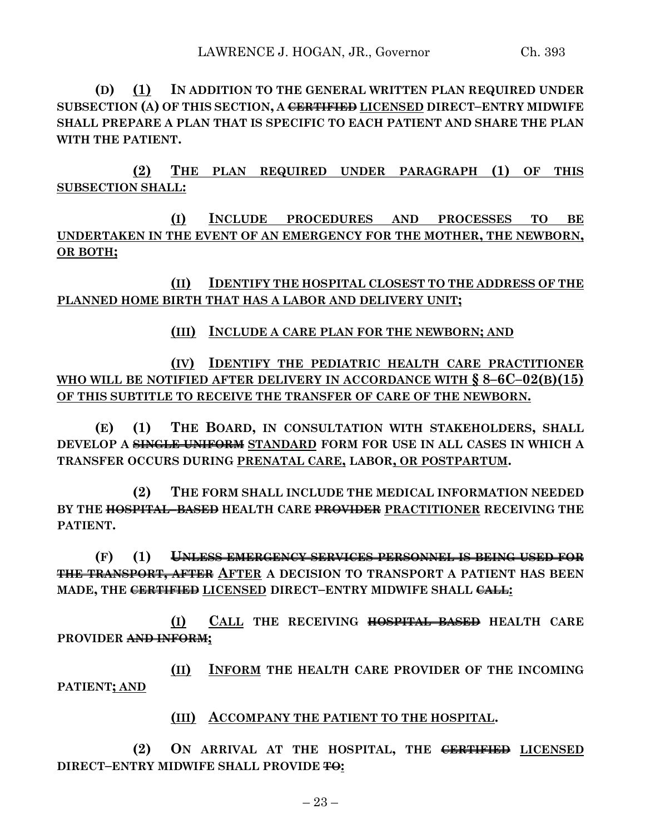**(D) (1) IN ADDITION TO THE GENERAL WRITTEN PLAN REQUIRED UNDER SUBSECTION (A) OF THIS SECTION, A CERTIFIED LICENSED DIRECT–ENTRY MIDWIFE SHALL PREPARE A PLAN THAT IS SPECIFIC TO EACH PATIENT AND SHARE THE PLAN WITH THE PATIENT.**

**(2) THE PLAN REQUIRED UNDER PARAGRAPH (1) OF THIS SUBSECTION SHALL:**

**(I) INCLUDE PROCEDURES AND PROCESSES TO BE UNDERTAKEN IN THE EVENT OF AN EMERGENCY FOR THE MOTHER, THE NEWBORN, OR BOTH;**

**(II) IDENTIFY THE HOSPITAL CLOSEST TO THE ADDRESS OF THE PLANNED HOME BIRTH THAT HAS A LABOR AND DELIVERY UNIT;**

## **(III) INCLUDE A CARE PLAN FOR THE NEWBORN; AND**

**(IV) IDENTIFY THE PEDIATRIC HEALTH CARE PRACTITIONER WHO WILL BE NOTIFIED AFTER DELIVERY IN ACCORDANCE WITH § 8–6C–02(B)(15) OF THIS SUBTITLE TO RECEIVE THE TRANSFER OF CARE OF THE NEWBORN.**

**(E) (1) THE BOARD, IN CONSULTATION WITH STAKEHOLDERS, SHALL DEVELOP A SINGLE UNIFORM STANDARD FORM FOR USE IN ALL CASES IN WHICH A TRANSFER OCCURS DURING PRENATAL CARE, LABOR, OR POSTPARTUM.**

**(2) THE FORM SHALL INCLUDE THE MEDICAL INFORMATION NEEDED BY THE HOSPITAL–BASED HEALTH CARE PROVIDER PRACTITIONER RECEIVING THE PATIENT.**

**(F) (1) UNLESS EMERGENCY SERVICES PERSONNEL IS BEING USED FOR THE TRANSPORT, AFTER AFTER A DECISION TO TRANSPORT A PATIENT HAS BEEN MADE, THE CERTIFIED LICENSED DIRECT–ENTRY MIDWIFE SHALL CALL:**

**(I) CALL THE RECEIVING HOSPITAL–BASED HEALTH CARE PROVIDER AND INFORM;**

**(II) INFORM THE HEALTH CARE PROVIDER OF THE INCOMING PATIENT; AND**

**(III) ACCOMPANY THE PATIENT TO THE HOSPITAL.**

**(2) ON ARRIVAL AT THE HOSPITAL, THE CERTIFIED LICENSED DIRECT–ENTRY MIDWIFE SHALL PROVIDE TO:**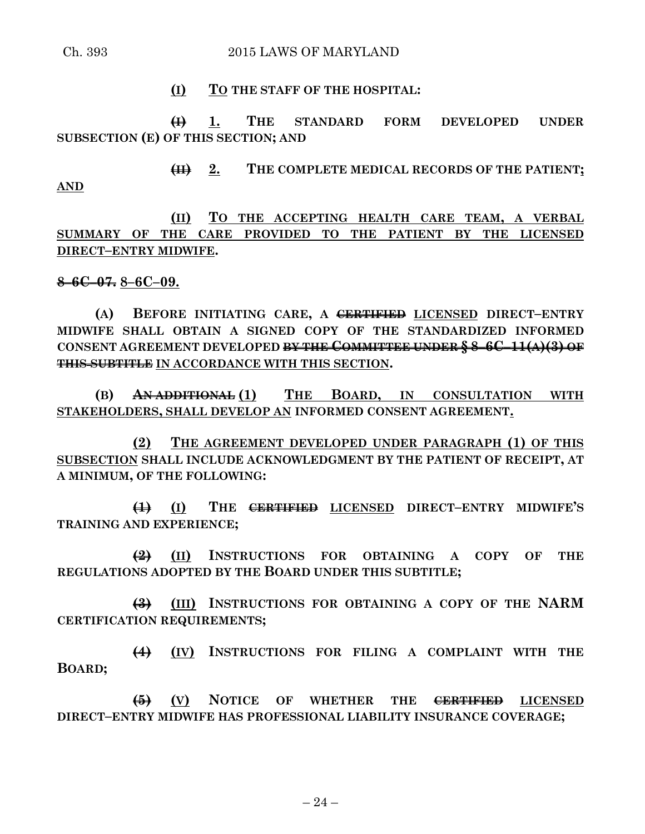**AND**

**(I) TO THE STAFF OF THE HOSPITAL:**

**(I) 1. THE STANDARD FORM DEVELOPED UNDER SUBSECTION (E) OF THIS SECTION; AND**

**(II) 2. THE COMPLETE MEDICAL RECORDS OF THE PATIENT;**

**(II) TO THE ACCEPTING HEALTH CARE TEAM, A VERBAL SUMMARY OF THE CARE PROVIDED TO THE PATIENT BY THE LICENSED DIRECT–ENTRY MIDWIFE.**

#### **8–6C–07. 8–6C–09.**

**(A) BEFORE INITIATING CARE, A CERTIFIED LICENSED DIRECT–ENTRY MIDWIFE SHALL OBTAIN A SIGNED COPY OF THE STANDARDIZED INFORMED CONSENT AGREEMENT DEVELOPED BY THE COMMITTEE UNDER § 8–6C–11(A)(3) OF THIS SUBTITLE IN ACCORDANCE WITH THIS SECTION.**

**(B) AN ADDITIONAL (1) THE BOARD, IN CONSULTATION WITH STAKEHOLDERS, SHALL DEVELOP AN INFORMED CONSENT AGREEMENT.**

**(2) THE AGREEMENT DEVELOPED UNDER PARAGRAPH (1) OF THIS SUBSECTION SHALL INCLUDE ACKNOWLEDGMENT BY THE PATIENT OF RECEIPT, AT A MINIMUM, OF THE FOLLOWING:**

**(1) (I) THE CERTIFIED LICENSED DIRECT–ENTRY MIDWIFE'S TRAINING AND EXPERIENCE;**

**(2) (II) INSTRUCTIONS FOR OBTAINING A COPY OF THE REGULATIONS ADOPTED BY THE BOARD UNDER THIS SUBTITLE;**

**(3) (III) INSTRUCTIONS FOR OBTAINING A COPY OF THE NARM CERTIFICATION REQUIREMENTS;**

**(4) (IV) INSTRUCTIONS FOR FILING A COMPLAINT WITH THE BOARD;**

**(5) (V) NOTICE OF WHETHER THE CERTIFIED LICENSED DIRECT–ENTRY MIDWIFE HAS PROFESSIONAL LIABILITY INSURANCE COVERAGE;**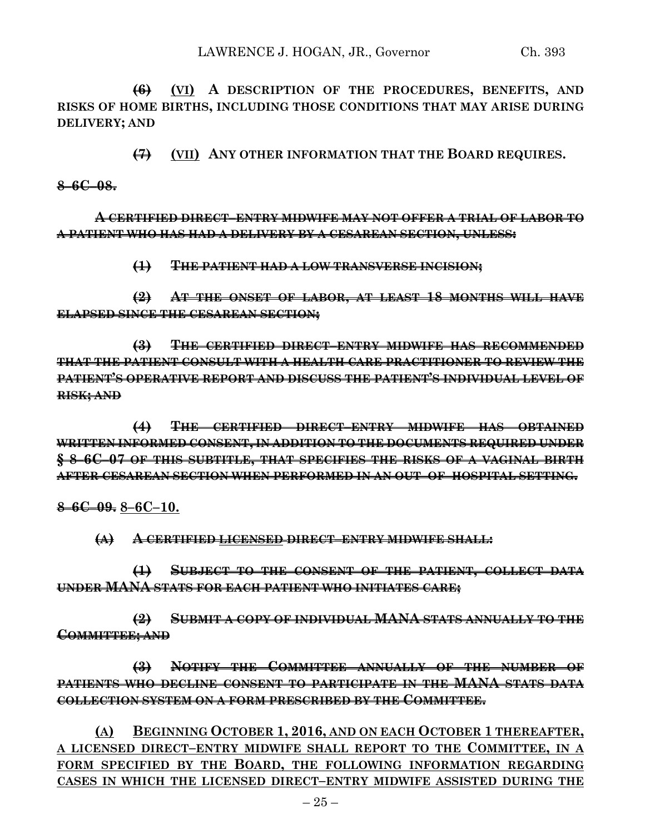**(6) (VI) A DESCRIPTION OF THE PROCEDURES, BENEFITS, AND RISKS OF HOME BIRTHS, INCLUDING THOSE CONDITIONS THAT MAY ARISE DURING DELIVERY; AND**

**(7) (VII) ANY OTHER INFORMATION THAT THE BOARD REQUIRES.**

**8–6C–08.**

**A CERTIFIED DIRECT–ENTRY MIDWIFE MAY NOT OFFER A TRIAL OF LABOR TO A PATIENT WHO HAS HAD A DELIVERY BY A CESAREAN SECTION, UNLESS:**

**(1) THE PATIENT HAD A LOW TRANSVERSE INCISION;**

**(2) AT THE ONSET OF LABOR, AT LEAST 18 MONTHS WILL HAVE ELAPSED SINCE THE CESAREAN SECTION;**

**(3) THE CERTIFIED DIRECT–ENTRY MIDWIFE HAS RECOMMENDED THAT THE PATIENT CONSULT WITH A HEALTH CARE PRACTITIONER TO REVIEW THE PATIENT'S OPERATIVE REPORT AND DISCUSS THE PATIENT'S INDIVIDUAL LEVEL OF RISK; AND**

**(4) THE CERTIFIED DIRECT–ENTRY MIDWIFE HAS OBTAINED WRITTEN INFORMED CONSENT, IN ADDITION TO THE DOCUMENTS REQUIRED UNDER § 8–6C–07 OF THIS SUBTITLE, THAT SPECIFIES THE RISKS OF A VAGINAL BIRTH AFTER CESAREAN SECTION WHEN PERFORMED IN AN OUT–OF–HOSPITAL SETTING.**

**8–6C–09. 8–6C–10.**

**(A) A CERTIFIED LICENSED DIRECT–ENTRY MIDWIFE SHALL:**

**(1) SUBJECT TO THE CONSENT OF THE PATIENT, COLLECT DATA UNDER MANA STATS FOR EACH PATIENT WHO INITIATES CARE;**

**(2) SUBMIT A COPY OF INDIVIDUAL MANA STATS ANNUALLY TO THE COMMITTEE; AND**

**(3) NOTIFY THE COMMITTEE ANNUALLY OF THE NUMBER OF PATIENTS WHO DECLINE CONSENT TO PARTICIPATE IN THE MANA STATS DATA COLLECTION SYSTEM ON A FORM PRESCRIBED BY THE COMMITTEE.**

**(A) BEGINNING OCTOBER 1, 2016, AND ON EACH OCTOBER 1 THEREAFTER, A LICENSED DIRECT–ENTRY MIDWIFE SHALL REPORT TO THE COMMITTEE, IN A FORM SPECIFIED BY THE BOARD, THE FOLLOWING INFORMATION REGARDING CASES IN WHICH THE LICENSED DIRECT–ENTRY MIDWIFE ASSISTED DURING THE**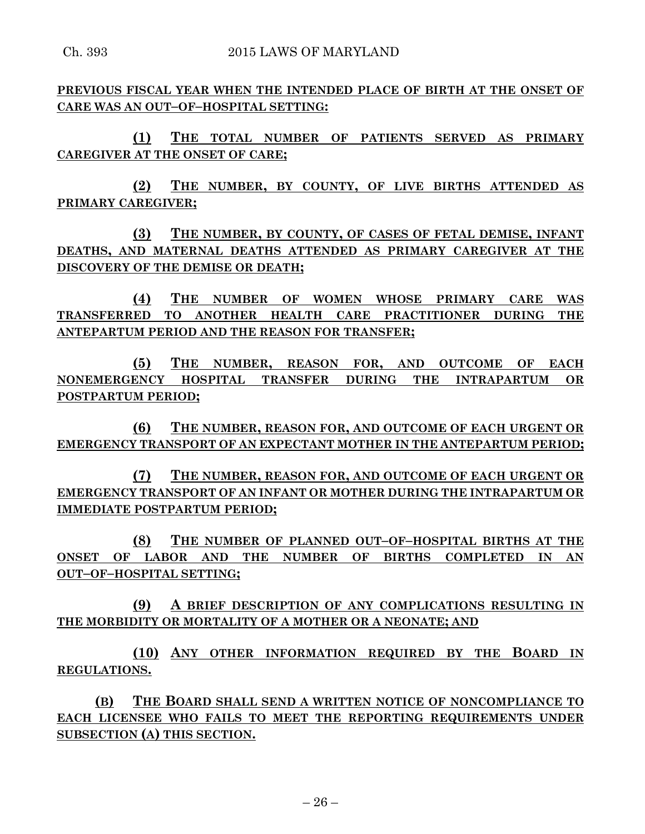**PREVIOUS FISCAL YEAR WHEN THE INTENDED PLACE OF BIRTH AT THE ONSET OF CARE WAS AN OUT–OF–HOSPITAL SETTING:**

**(1) THE TOTAL NUMBER OF PATIENTS SERVED AS PRIMARY CAREGIVER AT THE ONSET OF CARE;**

**(2) THE NUMBER, BY COUNTY, OF LIVE BIRTHS ATTENDED AS PRIMARY CAREGIVER;**

**(3) THE NUMBER, BY COUNTY, OF CASES OF FETAL DEMISE, INFANT DEATHS, AND MATERNAL DEATHS ATTENDED AS PRIMARY CAREGIVER AT THE DISCOVERY OF THE DEMISE OR DEATH;**

**(4) THE NUMBER OF WOMEN WHOSE PRIMARY CARE WAS TRANSFERRED TO ANOTHER HEALTH CARE PRACTITIONER DURING THE ANTEPARTUM PERIOD AND THE REASON FOR TRANSFER;**

**(5) THE NUMBER, REASON FOR, AND OUTCOME OF EACH NONEMERGENCY HOSPITAL TRANSFER DURING THE INTRAPARTUM OR POSTPARTUM PERIOD;**

**(6) THE NUMBER, REASON FOR, AND OUTCOME OF EACH URGENT OR EMERGENCY TRANSPORT OF AN EXPECTANT MOTHER IN THE ANTEPARTUM PERIOD;**

**(7) THE NUMBER, REASON FOR, AND OUTCOME OF EACH URGENT OR EMERGENCY TRANSPORT OF AN INFANT OR MOTHER DURING THE INTRAPARTUM OR IMMEDIATE POSTPARTUM PERIOD;**

**(8) THE NUMBER OF PLANNED OUT–OF–HOSPITAL BIRTHS AT THE ONSET OF LABOR AND THE NUMBER OF BIRTHS COMPLETED IN AN OUT–OF–HOSPITAL SETTING;**

**(9) A BRIEF DESCRIPTION OF ANY COMPLICATIONS RESULTING IN THE MORBIDITY OR MORTALITY OF A MOTHER OR A NEONATE; AND** 

**(10) ANY OTHER INFORMATION REQUIRED BY THE BOARD IN REGULATIONS.**

**(B) THE BOARD SHALL SEND A WRITTEN NOTICE OF NONCOMPLIANCE TO EACH LICENSEE WHO FAILS TO MEET THE REPORTING REQUIREMENTS UNDER SUBSECTION (A) THIS SECTION.**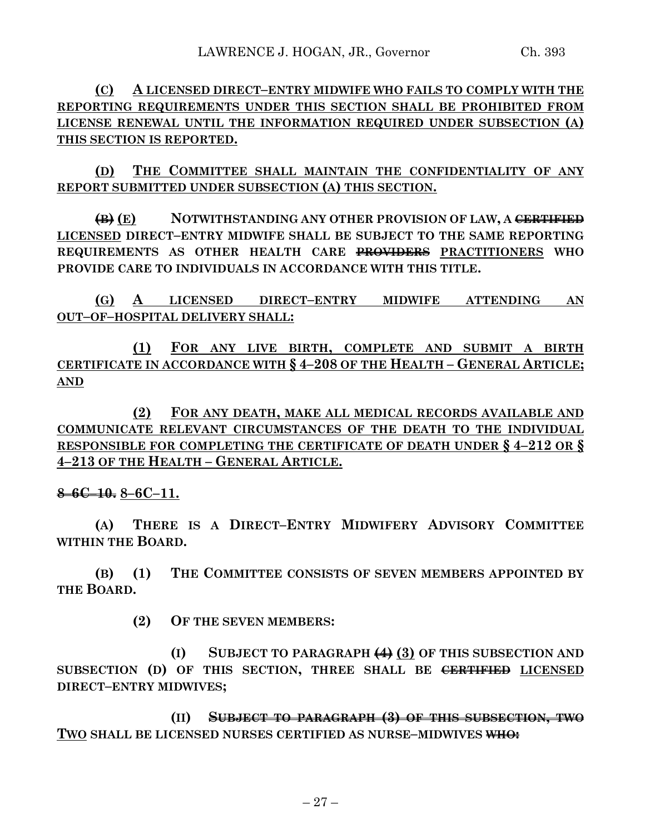**(C) A LICENSED DIRECT–ENTRY MIDWIFE WHO FAILS TO COMPLY WITH THE REPORTING REQUIREMENTS UNDER THIS SECTION SHALL BE PROHIBITED FROM LICENSE RENEWAL UNTIL THE INFORMATION REQUIRED UNDER SUBSECTION (A) THIS SECTION IS REPORTED.**

**(D) THE COMMITTEE SHALL MAINTAIN THE CONFIDENTIALITY OF ANY REPORT SUBMITTED UNDER SUBSECTION (A) THIS SECTION.**

**(B) (E) NOTWITHSTANDING ANY OTHER PROVISION OF LAW, A CERTIFIED LICENSED DIRECT–ENTRY MIDWIFE SHALL BE SUBJECT TO THE SAME REPORTING REQUIREMENTS AS OTHER HEALTH CARE PROVIDERS PRACTITIONERS WHO PROVIDE CARE TO INDIVIDUALS IN ACCORDANCE WITH THIS TITLE.**

**(G) A LICENSED DIRECT–ENTRY MIDWIFE ATTENDING AN OUT–OF–HOSPITAL DELIVERY SHALL:**

**(1) FOR ANY LIVE BIRTH, COMPLETE AND SUBMIT A BIRTH CERTIFICATE IN ACCORDANCE WITH § 4–208 OF THE HEALTH – GENERAL ARTICLE; AND**

**(2) FOR ANY DEATH, MAKE ALL MEDICAL RECORDS AVAILABLE AND COMMUNICATE RELEVANT CIRCUMSTANCES OF THE DEATH TO THE INDIVIDUAL RESPONSIBLE FOR COMPLETING THE CERTIFICATE OF DEATH UNDER § 4–212 OR § 4–213 OF THE HEALTH – GENERAL ARTICLE.**

## **8–6C–10. 8–6C–11.**

**(A) THERE IS A DIRECT–ENTRY MIDWIFERY ADVISORY COMMITTEE WITHIN THE BOARD.**

**(B) (1) THE COMMITTEE CONSISTS OF SEVEN MEMBERS APPOINTED BY THE BOARD.**

**(2) OF THE SEVEN MEMBERS:**

**(I) SUBJECT TO PARAGRAPH (4) (3) OF THIS SUBSECTION AND SUBSECTION (D) OF THIS SECTION, THREE SHALL BE CERTIFIED LICENSED DIRECT–ENTRY MIDWIVES;**

**(II) SUBJECT TO PARAGRAPH (3) OF THIS SUBSECTION, TWO TWO SHALL BE LICENSED NURSES CERTIFIED AS NURSE–MIDWIVES WHO:**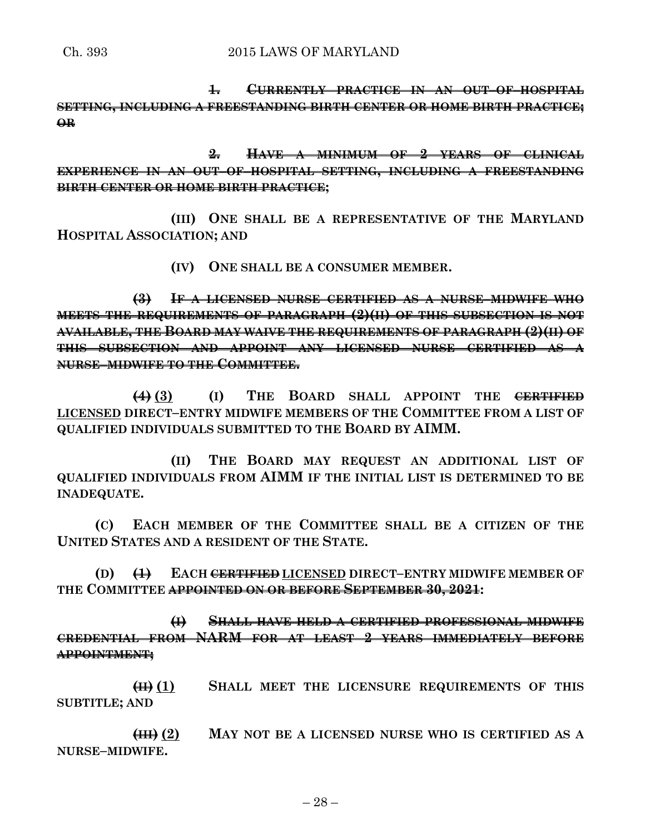**1. CURRENTLY PRACTICE IN AN OUT–OF–HOSPITAL SETTING, INCLUDING A FREESTANDING BIRTH CENTER OR HOME BIRTH PRACTICE; OR**

**2. HAVE A MINIMUM OF 2 YEARS OF CLINICAL EXPERIENCE IN AN OUT–OF–HOSPITAL SETTING, INCLUDING A FREESTANDING BIRTH CENTER OR HOME BIRTH PRACTICE;**

**(III) ONE SHALL BE A REPRESENTATIVE OF THE MARYLAND HOSPITAL ASSOCIATION; AND**

**(IV) ONE SHALL BE A CONSUMER MEMBER.**

**(3) IF A LICENSED NURSE CERTIFIED AS A NURSE–MIDWIFE WHO MEETS THE REQUIREMENTS OF PARAGRAPH (2)(II) OF THIS SUBSECTION IS NOT AVAILABLE, THE BOARD MAY WAIVE THE REQUIREMENTS OF PARAGRAPH (2)(II) OF THIS SUBSECTION AND APPOINT ANY LICENSED NURSE CERTIFIED AS A NURSE–MIDWIFE TO THE COMMITTEE.**

**(4) (3) (I) THE BOARD SHALL APPOINT THE CERTIFIED LICENSED DIRECT–ENTRY MIDWIFE MEMBERS OF THE COMMITTEE FROM A LIST OF QUALIFIED INDIVIDUALS SUBMITTED TO THE BOARD BY AIMM.**

**(II) THE BOARD MAY REQUEST AN ADDITIONAL LIST OF QUALIFIED INDIVIDUALS FROM AIMM IF THE INITIAL LIST IS DETERMINED TO BE INADEQUATE.**

**(C) EACH MEMBER OF THE COMMITTEE SHALL BE A CITIZEN OF THE UNITED STATES AND A RESIDENT OF THE STATE.**

**(D) (1) EACH CERTIFIED LICENSED DIRECT–ENTRY MIDWIFE MEMBER OF THE COMMITTEE APPOINTED ON OR BEFORE SEPTEMBER 30, 2021:**

**(I) SHALL HAVE HELD A CERTIFIED PROFESSIONAL MIDWIFE CREDENTIAL FROM NARM FOR AT LEAST 2 YEARS IMMEDIATELY BEFORE APPOINTMENT;**

**(II) (1) SHALL MEET THE LICENSURE REQUIREMENTS OF THIS SUBTITLE; AND**

**(III) (2) MAY NOT BE A LICENSED NURSE WHO IS CERTIFIED AS A NURSE–MIDWIFE.**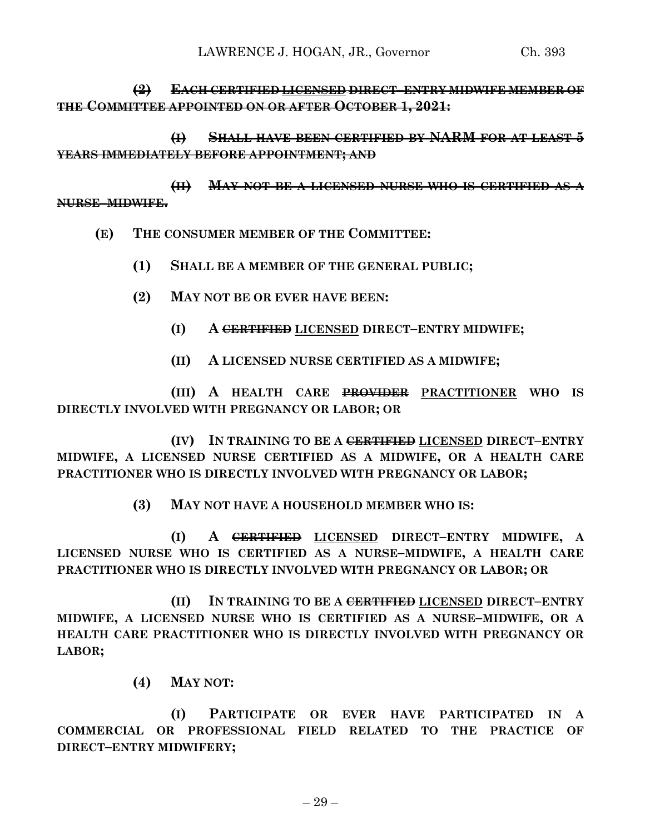# **(2) EACH CERTIFIED LICENSED DIRECT–ENTRY MIDWIFE MEMBER OF THE COMMITTEE APPOINTED ON OR AFTER OCTOBER 1, 2021:**

**(I) SHALL HAVE BEEN CERTIFIED BY NARM FOR AT LEAST 5 YEARS IMMEDIATELY BEFORE APPOINTMENT; AND**

**(II) MAY NOT BE A LICENSED NURSE WHO IS CERTIFIED AS A NURSE–MIDWIFE.**

- **(E) THE CONSUMER MEMBER OF THE COMMITTEE:**
	- **(1) SHALL BE A MEMBER OF THE GENERAL PUBLIC;**
	- **(2) MAY NOT BE OR EVER HAVE BEEN:**
		- **(I) A CERTIFIED LICENSED DIRECT–ENTRY MIDWIFE;**
		- **(II) A LICENSED NURSE CERTIFIED AS A MIDWIFE;**

**(III) A HEALTH CARE PROVIDER PRACTITIONER WHO IS DIRECTLY INVOLVED WITH PREGNANCY OR LABOR; OR**

**(IV) IN TRAINING TO BE A CERTIFIED LICENSED DIRECT–ENTRY MIDWIFE, A LICENSED NURSE CERTIFIED AS A MIDWIFE, OR A HEALTH CARE PRACTITIONER WHO IS DIRECTLY INVOLVED WITH PREGNANCY OR LABOR;**

**(3) MAY NOT HAVE A HOUSEHOLD MEMBER WHO IS:**

**(I) A CERTIFIED LICENSED DIRECT–ENTRY MIDWIFE, A LICENSED NURSE WHO IS CERTIFIED AS A NURSE–MIDWIFE, A HEALTH CARE PRACTITIONER WHO IS DIRECTLY INVOLVED WITH PREGNANCY OR LABOR; OR**

**(II) IN TRAINING TO BE A CERTIFIED LICENSED DIRECT–ENTRY MIDWIFE, A LICENSED NURSE WHO IS CERTIFIED AS A NURSE–MIDWIFE, OR A HEALTH CARE PRACTITIONER WHO IS DIRECTLY INVOLVED WITH PREGNANCY OR LABOR;**

**(4) MAY NOT:**

**(I) PARTICIPATE OR EVER HAVE PARTICIPATED IN A COMMERCIAL OR PROFESSIONAL FIELD RELATED TO THE PRACTICE OF DIRECT–ENTRY MIDWIFERY;**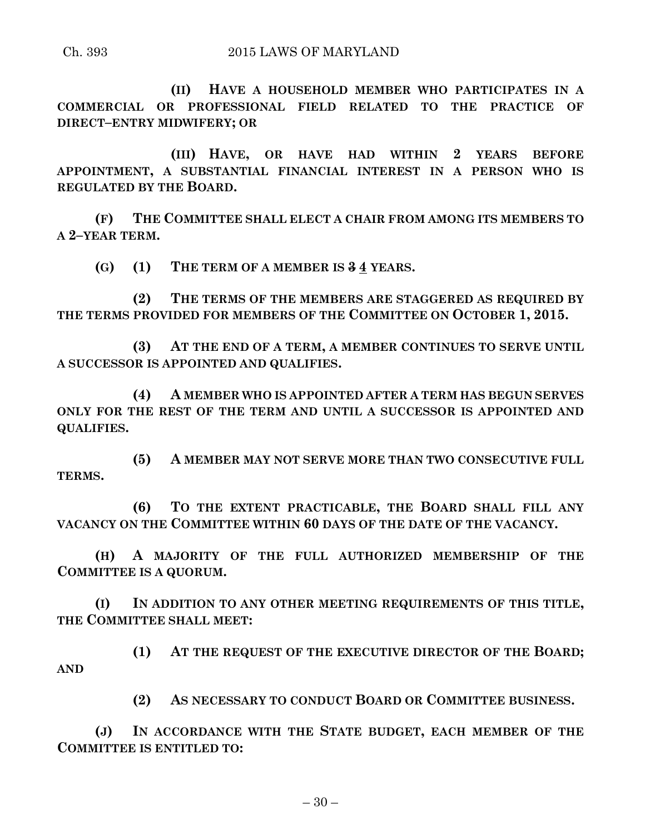#### Ch. 393 2015 LAWS OF MARYLAND

**(II) HAVE A HOUSEHOLD MEMBER WHO PARTICIPATES IN A COMMERCIAL OR PROFESSIONAL FIELD RELATED TO THE PRACTICE OF DIRECT–ENTRY MIDWIFERY; OR**

**(III) HAVE, OR HAVE HAD WITHIN 2 YEARS BEFORE APPOINTMENT, A SUBSTANTIAL FINANCIAL INTEREST IN A PERSON WHO IS REGULATED BY THE BOARD.**

**(F) THE COMMITTEE SHALL ELECT A CHAIR FROM AMONG ITS MEMBERS TO A 2–YEAR TERM.**

**(G) (1) THE TERM OF A MEMBER IS 3 4 YEARS.**

**(2) THE TERMS OF THE MEMBERS ARE STAGGERED AS REQUIRED BY THE TERMS PROVIDED FOR MEMBERS OF THE COMMITTEE ON OCTOBER 1, 2015.**

**(3) AT THE END OF A TERM, A MEMBER CONTINUES TO SERVE UNTIL A SUCCESSOR IS APPOINTED AND QUALIFIES.**

**(4) A MEMBER WHO IS APPOINTED AFTER A TERM HAS BEGUN SERVES ONLY FOR THE REST OF THE TERM AND UNTIL A SUCCESSOR IS APPOINTED AND QUALIFIES.**

**(5) A MEMBER MAY NOT SERVE MORE THAN TWO CONSECUTIVE FULL TERMS.**

**(6) TO THE EXTENT PRACTICABLE, THE BOARD SHALL FILL ANY VACANCY ON THE COMMITTEE WITHIN 60 DAYS OF THE DATE OF THE VACANCY.**

**(H) A MAJORITY OF THE FULL AUTHORIZED MEMBERSHIP OF THE COMMITTEE IS A QUORUM.**

**(I) IN ADDITION TO ANY OTHER MEETING REQUIREMENTS OF THIS TITLE, THE COMMITTEE SHALL MEET:**

**(1) AT THE REQUEST OF THE EXECUTIVE DIRECTOR OF THE BOARD; AND**

**(2) AS NECESSARY TO CONDUCT BOARD OR COMMITTEE BUSINESS.**

**(J) IN ACCORDANCE WITH THE STATE BUDGET, EACH MEMBER OF THE COMMITTEE IS ENTITLED TO:**

 $-30-$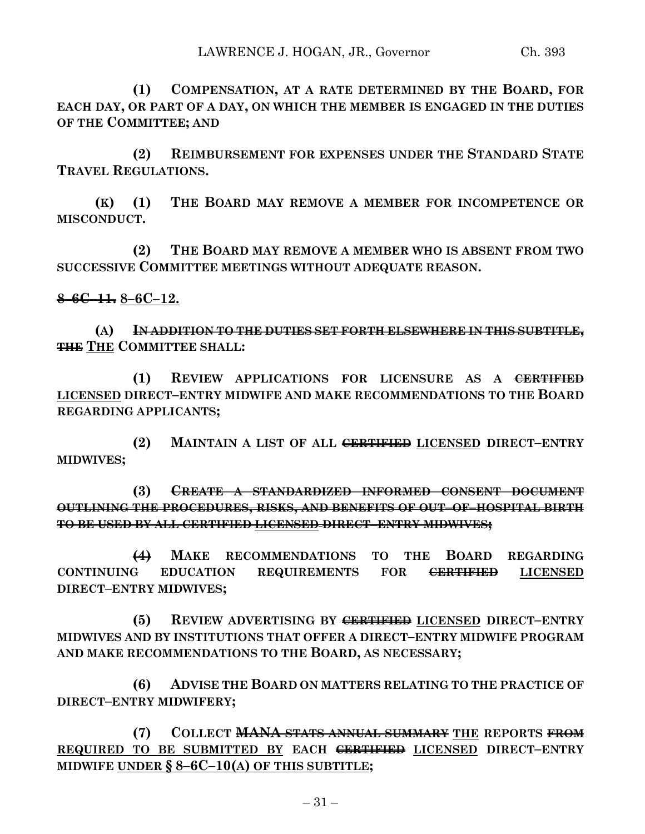**(1) COMPENSATION, AT A RATE DETERMINED BY THE BOARD, FOR EACH DAY, OR PART OF A DAY, ON WHICH THE MEMBER IS ENGAGED IN THE DUTIES OF THE COMMITTEE; AND**

**(2) REIMBURSEMENT FOR EXPENSES UNDER THE STANDARD STATE TRAVEL REGULATIONS.**

**(K) (1) THE BOARD MAY REMOVE A MEMBER FOR INCOMPETENCE OR MISCONDUCT.**

**(2) THE BOARD MAY REMOVE A MEMBER WHO IS ABSENT FROM TWO SUCCESSIVE COMMITTEE MEETINGS WITHOUT ADEQUATE REASON.**

**8–6C–11. 8–6C–12.**

**(A) IN ADDITION TO THE DUTIES SET FORTH ELSEWHERE IN THIS SUBTITLE, THE THE COMMITTEE SHALL:**

**(1) REVIEW APPLICATIONS FOR LICENSURE AS A CERTIFIED LICENSED DIRECT–ENTRY MIDWIFE AND MAKE RECOMMENDATIONS TO THE BOARD REGARDING APPLICANTS;**

**(2) MAINTAIN A LIST OF ALL CERTIFIED LICENSED DIRECT–ENTRY MIDWIVES;**

**(3) CREATE A STANDARDIZED INFORMED CONSENT DOCUMENT OUTLINING THE PROCEDURES, RISKS, AND BENEFITS OF OUT–OF–HOSPITAL BIRTH TO BE USED BY ALL CERTIFIED LICENSED DIRECT–ENTRY MIDWIVES;**

**(4) MAKE RECOMMENDATIONS TO THE BOARD REGARDING CONTINUING EDUCATION REQUIREMENTS FOR CERTIFIED LICENSED DIRECT–ENTRY MIDWIVES;**

**(5) REVIEW ADVERTISING BY CERTIFIED LICENSED DIRECT–ENTRY MIDWIVES AND BY INSTITUTIONS THAT OFFER A DIRECT–ENTRY MIDWIFE PROGRAM AND MAKE RECOMMENDATIONS TO THE BOARD, AS NECESSARY;**

**(6) ADVISE THE BOARD ON MATTERS RELATING TO THE PRACTICE OF DIRECT–ENTRY MIDWIFERY;**

**(7) COLLECT MANA STATS ANNUAL SUMMARY THE REPORTS FROM REQUIRED TO BE SUBMITTED BY EACH CERTIFIED LICENSED DIRECT–ENTRY MIDWIFE UNDER § 8–6C–10(A) OF THIS SUBTITLE;**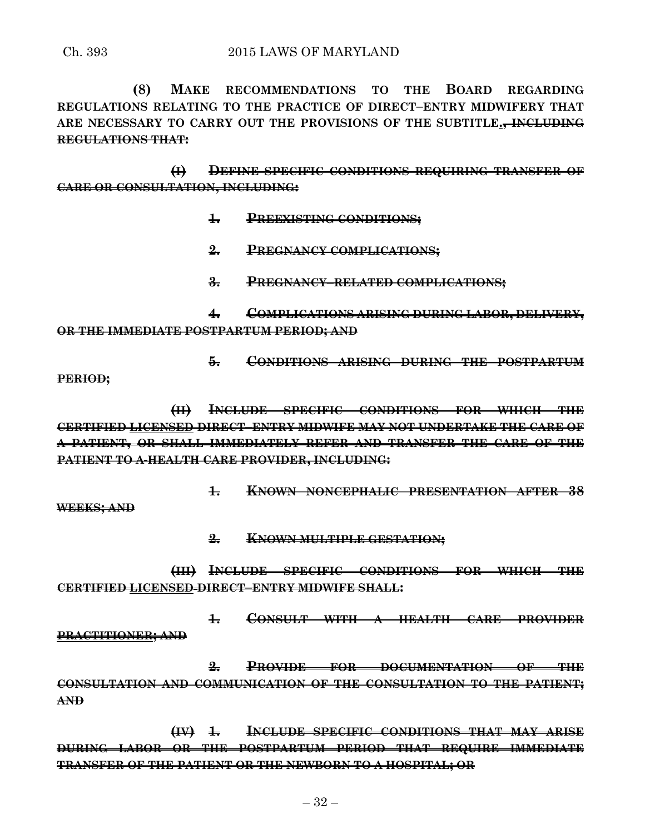**(8) MAKE RECOMMENDATIONS TO THE BOARD REGARDING REGULATIONS RELATING TO THE PRACTICE OF DIRECT–ENTRY MIDWIFERY THAT ARE NECESSARY TO CARRY OUT THE PROVISIONS OF THE SUBTITLE., INCLUDING REGULATIONS THAT:**

**(I) DEFINE SPECIFIC CONDITIONS REQUIRING TRANSFER OF CARE OR CONSULTATION, INCLUDING:**

- **1. PREEXISTING CONDITIONS;**
- **2. PREGNANCY COMPLICATIONS;**
- **3. PREGNANCY–RELATED COMPLICATIONS;**

**4. COMPLICATIONS ARISING DURING LABOR, DELIVERY, OR THE IMMEDIATE POSTPARTUM PERIOD; AND** 

**5. CONDITIONS ARISING DURING THE POSTPARTUM**

**PERIOD;**

**(II) INCLUDE SPECIFIC CONDITIONS FOR WHICH THE CERTIFIED LICENSED DIRECT–ENTRY MIDWIFE MAY NOT UNDERTAKE THE CARE OF A PATIENT, OR SHALL IMMEDIATELY REFER AND TRANSFER THE CARE OF THE PATIENT TO A HEALTH CARE PROVIDER, INCLUDING:**

**1. KNOWN NONCEPHALIC PRESENTATION AFTER 38**

**WEEKS; AND**

**2. KNOWN MULTIPLE GESTATION;**

**(III) INCLUDE SPECIFIC CONDITIONS FOR WHICH THE CERTIFIED LICENSED DIRECT–ENTRY MIDWIFE SHALL:**

**1. CONSULT WITH A HEALTH CARE PROVIDER PRACTITIONER; AND**

**2. PROVIDE FOR DOCUMENTATION OF THE CONSULTATION AND COMMUNICATION OF THE CONSULTATION TO THE PATIENT; AND**

**(IV) 1. INCLUDE SPECIFIC CONDITIONS THAT MAY ARISE DURING LABOR OR THE POSTPARTUM PERIOD THAT REQUIRE IMMEDIATE TRANSFER OF THE PATIENT OR THE NEWBORN TO A HOSPITAL; OR**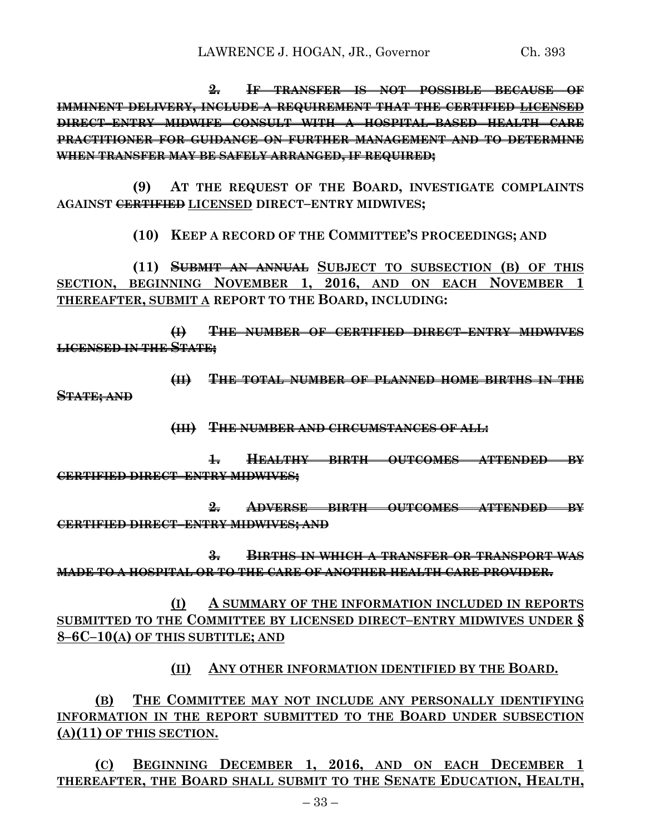**2. IF TRANSFER IS NOT POSSIBLE BECAUSE OF IMMINENT DELIVERY, INCLUDE A REQUIREMENT THAT THE CERTIFIED LICENSED DIRECT–ENTRY MIDWIFE CONSULT WITH A HOSPITAL–BASED HEALTH CARE PRACTITIONER FOR GUIDANCE ON FURTHER MANAGEMENT AND TO DETERMINE WHEN TRANSFER MAY BE SAFELY ARRANGED, IF REQUIRED;**

**(9) AT THE REQUEST OF THE BOARD, INVESTIGATE COMPLAINTS AGAINST CERTIFIED LICENSED DIRECT–ENTRY MIDWIVES;**

**(10) KEEP A RECORD OF THE COMMITTEE'S PROCEEDINGS; AND**

**(11) SUBMIT AN ANNUAL SUBJECT TO SUBSECTION (B) OF THIS SECTION, BEGINNING NOVEMBER 1, 2016, AND ON EACH NOVEMBER 1 THEREAFTER, SUBMIT A REPORT TO THE BOARD, INCLUDING:**

**(I) THE NUMBER OF CERTIFIED DIRECT–ENTRY MIDWIVES LICENSED IN THE STATE;**

**(II) THE TOTAL NUMBER OF PLANNED HOME BIRTHS IN THE STATE; AND**

**(III) THE NUMBER AND CIRCUMSTANCES OF ALL:**

**1. HEALTHY BIRTH OUTCOMES ATTENDED BY CERTIFIED DIRECT–ENTRY MIDWIVES;**

**2. ADVERSE BIRTH OUTCOMES ATTENDED BY CERTIFIED DIRECT–ENTRY MIDWIVES; AND**

**3. BIRTHS IN WHICH A TRANSFER OR TRANSPORT WAS MADE TO A HOSPITAL OR TO THE CARE OF ANOTHER HEALTH CARE PROVIDER.**

**(I) A SUMMARY OF THE INFORMATION INCLUDED IN REPORTS SUBMITTED TO THE COMMITTEE BY LICENSED DIRECT–ENTRY MIDWIVES UNDER § 8–6C–10(A) OF THIS SUBTITLE; AND**

**(II) ANY OTHER INFORMATION IDENTIFIED BY THE BOARD.**

**(B) THE COMMITTEE MAY NOT INCLUDE ANY PERSONALLY IDENTIFYING INFORMATION IN THE REPORT SUBMITTED TO THE BOARD UNDER SUBSECTION (A)(11) OF THIS SECTION.**

**(C) BEGINNING DECEMBER 1, 2016, AND ON EACH DECEMBER 1 THEREAFTER, THE BOARD SHALL SUBMIT TO THE SENATE EDUCATION, HEALTH,**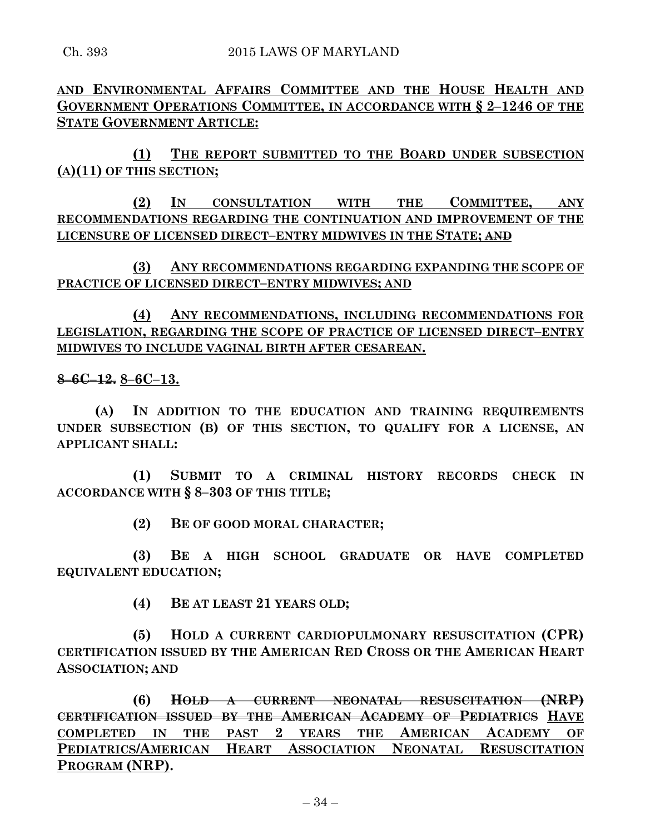**AND ENVIRONMENTAL AFFAIRS COMMITTEE AND THE HOUSE HEALTH AND GOVERNMENT OPERATIONS COMMITTEE, IN ACCORDANCE WITH § 2–1246 OF THE STATE GOVERNMENT ARTICLE:**

**(1) THE REPORT SUBMITTED TO THE BOARD UNDER SUBSECTION (A)(11) OF THIS SECTION;**

**(2) IN CONSULTATION WITH THE COMMITTEE, ANY RECOMMENDATIONS REGARDING THE CONTINUATION AND IMPROVEMENT OF THE LICENSURE OF LICENSED DIRECT–ENTRY MIDWIVES IN THE STATE; AND**

**(3) ANY RECOMMENDATIONS REGARDING EXPANDING THE SCOPE OF PRACTICE OF LICENSED DIRECT–ENTRY MIDWIVES; AND**

**(4) ANY RECOMMENDATIONS, INCLUDING RECOMMENDATIONS FOR LEGISLATION, REGARDING THE SCOPE OF PRACTICE OF LICENSED DIRECT–ENTRY MIDWIVES TO INCLUDE VAGINAL BIRTH AFTER CESAREAN.**

**8–6C–12. 8–6C–13.**

**(A) IN ADDITION TO THE EDUCATION AND TRAINING REQUIREMENTS UNDER SUBSECTION (B) OF THIS SECTION, TO QUALIFY FOR A LICENSE, AN APPLICANT SHALL:**

**(1) SUBMIT TO A CRIMINAL HISTORY RECORDS CHECK IN ACCORDANCE WITH § 8–303 OF THIS TITLE;**

**(2) BE OF GOOD MORAL CHARACTER;**

**(3) BE A HIGH SCHOOL GRADUATE OR HAVE COMPLETED EQUIVALENT EDUCATION;**

**(4) BE AT LEAST 21 YEARS OLD;**

**(5) HOLD A CURRENT CARDIOPULMONARY RESUSCITATION (CPR) CERTIFICATION ISSUED BY THE AMERICAN RED CROSS OR THE AMERICAN HEART ASSOCIATION; AND**

**(6) HOLD A CURRENT NEONATAL RESUSCITATION (NRP) CERTIFICATION ISSUED BY THE AMERICAN ACADEMY OF PEDIATRICS HAVE COMPLETED IN THE PAST 2 YEARS THE AMERICAN ACADEMY OF PEDIATRICS/AMERICAN HEART ASSOCIATION NEONATAL RESUSCITATION PROGRAM (NRP).**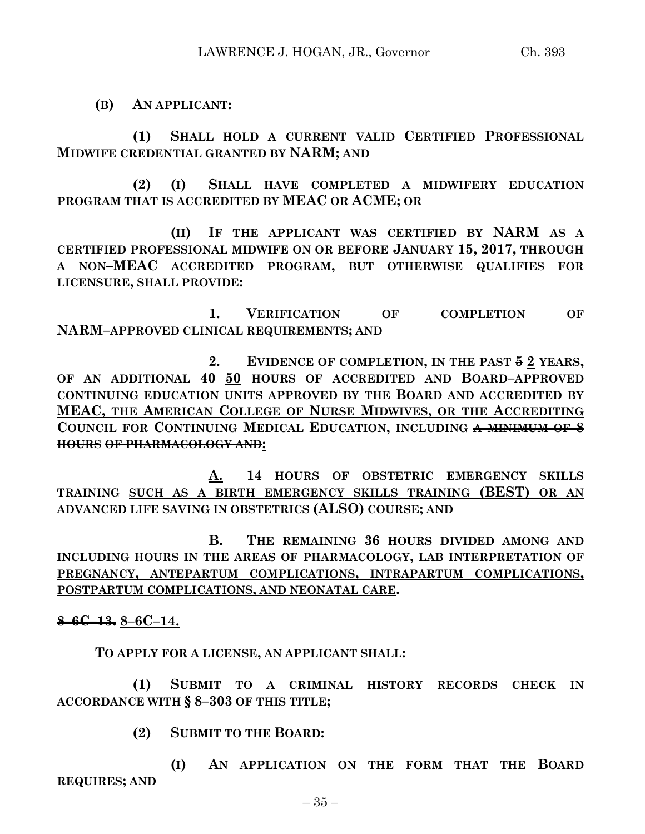**(B) AN APPLICANT:**

**(1) SHALL HOLD A CURRENT VALID CERTIFIED PROFESSIONAL MIDWIFE CREDENTIAL GRANTED BY NARM; AND**

**(2) (I) SHALL HAVE COMPLETED A MIDWIFERY EDUCATION PROGRAM THAT IS ACCREDITED BY MEAC OR ACME; OR**

**(II) IF THE APPLICANT WAS CERTIFIED BY NARM AS A CERTIFIED PROFESSIONAL MIDWIFE ON OR BEFORE JANUARY 15, 2017, THROUGH A NON–MEAC ACCREDITED PROGRAM, BUT OTHERWISE QUALIFIES FOR LICENSURE, SHALL PROVIDE:**

**1. VERIFICATION OF COMPLETION OF NARM–APPROVED CLINICAL REQUIREMENTS; AND**

**2. EVIDENCE OF COMPLETION, IN THE PAST 5 2 YEARS, OF AN ADDITIONAL 40 50 HOURS OF ACCREDITED AND BOARD–APPROVED CONTINUING EDUCATION UNITS APPROVED BY THE BOARD AND ACCREDITED BY MEAC, THE AMERICAN COLLEGE OF NURSE MIDWIVES, OR THE ACCREDITING COUNCIL FOR CONTINUING MEDICAL EDUCATION, INCLUDING A MINIMUM OF 8 HOURS OF PHARMACOLOGY AND:**

**A. 14 HOURS OF OBSTETRIC EMERGENCY SKILLS TRAINING SUCH AS A BIRTH EMERGENCY SKILLS TRAINING (BEST) OR AN ADVANCED LIFE SAVING IN OBSTETRICS (ALSO) COURSE; AND**

**B. THE REMAINING 36 HOURS DIVIDED AMONG AND INCLUDING HOURS IN THE AREAS OF PHARMACOLOGY, LAB INTERPRETATION OF PREGNANCY, ANTEPARTUM COMPLICATIONS, INTRAPARTUM COMPLICATIONS, POSTPARTUM COMPLICATIONS, AND NEONATAL CARE.**

**8–6C–13. 8–6C–14.**

**TO APPLY FOR A LICENSE, AN APPLICANT SHALL:**

**(1) SUBMIT TO A CRIMINAL HISTORY RECORDS CHECK IN ACCORDANCE WITH § 8–303 OF THIS TITLE;**

**(2) SUBMIT TO THE BOARD:**

**(I) AN APPLICATION ON THE FORM THAT THE BOARD REQUIRES; AND**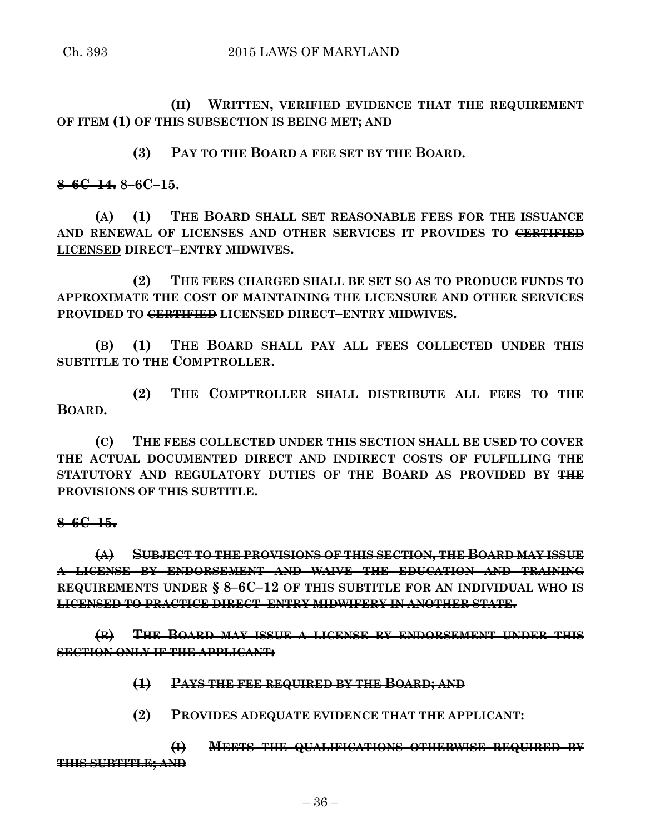**(II) WRITTEN, VERIFIED EVIDENCE THAT THE REQUIREMENT OF ITEM (1) OF THIS SUBSECTION IS BEING MET; AND**

**(3) PAY TO THE BOARD A FEE SET BY THE BOARD.**

**8–6C–14. 8–6C–15.**

**(A) (1) THE BOARD SHALL SET REASONABLE FEES FOR THE ISSUANCE AND RENEWAL OF LICENSES AND OTHER SERVICES IT PROVIDES TO CERTIFIED LICENSED DIRECT–ENTRY MIDWIVES.**

**(2) THE FEES CHARGED SHALL BE SET SO AS TO PRODUCE FUNDS TO APPROXIMATE THE COST OF MAINTAINING THE LICENSURE AND OTHER SERVICES PROVIDED TO CERTIFIED LICENSED DIRECT–ENTRY MIDWIVES.**

**(B) (1) THE BOARD SHALL PAY ALL FEES COLLECTED UNDER THIS SUBTITLE TO THE COMPTROLLER.**

**(2) THE COMPTROLLER SHALL DISTRIBUTE ALL FEES TO THE BOARD.**

**(C) THE FEES COLLECTED UNDER THIS SECTION SHALL BE USED TO COVER THE ACTUAL DOCUMENTED DIRECT AND INDIRECT COSTS OF FULFILLING THE STATUTORY AND REGULATORY DUTIES OF THE BOARD AS PROVIDED BY THE PROVISIONS OF THIS SUBTITLE.**

**8–6C–15.**

**(A) SUBJECT TO THE PROVISIONS OF THIS SECTION, THE BOARD MAY ISSUE A LICENSE BY ENDORSEMENT AND WAIVE THE EDUCATION AND TRAINING REQUIREMENTS UNDER § 8–6C–12 OF THIS SUBTITLE FOR AN INDIVIDUAL WHO IS LICENSED TO PRACTICE DIRECT–ENTRY MIDWIFERY IN ANOTHER STATE.**

**(B) THE BOARD MAY ISSUE A LICENSE BY ENDORSEMENT UNDER THIS SECTION ONLY IF THE APPLICANT:**

**(1) PAYS THE FEE REQUIRED BY THE BOARD; AND**

**(2) PROVIDES ADEQUATE EVIDENCE THAT THE APPLICANT:**

**(I) MEETS THE QUALIFICATIONS OTHERWISE REQUIRED BY THIS SUBTITLE; AND**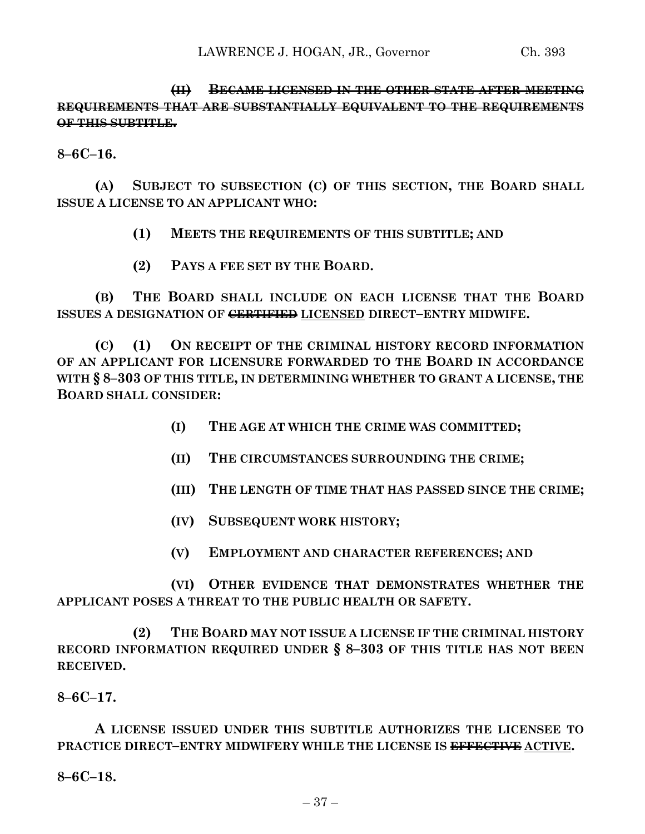**(II) BECAME LICENSED IN THE OTHER STATE AFTER MEETING REQUIREMENTS THAT ARE SUBSTANTIALLY EQUIVALENT TO THE REQUIREMENTS OF THIS SUBTITLE.**

**8–6C–16.**

**(A) SUBJECT TO SUBSECTION (C) OF THIS SECTION, THE BOARD SHALL ISSUE A LICENSE TO AN APPLICANT WHO:**

**(1) MEETS THE REQUIREMENTS OF THIS SUBTITLE; AND**

**(2) PAYS A FEE SET BY THE BOARD.**

**(B) THE BOARD SHALL INCLUDE ON EACH LICENSE THAT THE BOARD ISSUES A DESIGNATION OF CERTIFIED LICENSED DIRECT–ENTRY MIDWIFE.**

**(C) (1) ON RECEIPT OF THE CRIMINAL HISTORY RECORD INFORMATION OF AN APPLICANT FOR LICENSURE FORWARDED TO THE BOARD IN ACCORDANCE WITH § 8–303 OF THIS TITLE, IN DETERMINING WHETHER TO GRANT A LICENSE, THE BOARD SHALL CONSIDER:**

- **(I) THE AGE AT WHICH THE CRIME WAS COMMITTED;**
- **(II) THE CIRCUMSTANCES SURROUNDING THE CRIME;**
- **(III) THE LENGTH OF TIME THAT HAS PASSED SINCE THE CRIME;**
- **(IV) SUBSEQUENT WORK HISTORY;**
- **(V) EMPLOYMENT AND CHARACTER REFERENCES; AND**

**(VI) OTHER EVIDENCE THAT DEMONSTRATES WHETHER THE APPLICANT POSES A THREAT TO THE PUBLIC HEALTH OR SAFETY.**

**(2) THE BOARD MAY NOT ISSUE A LICENSE IF THE CRIMINAL HISTORY RECORD INFORMATION REQUIRED UNDER § 8–303 OF THIS TITLE HAS NOT BEEN RECEIVED.**

**8–6C–17.**

**A LICENSE ISSUED UNDER THIS SUBTITLE AUTHORIZES THE LICENSEE TO PRACTICE DIRECT–ENTRY MIDWIFERY WHILE THE LICENSE IS EFFECTIVE ACTIVE.**

**8–6C–18.**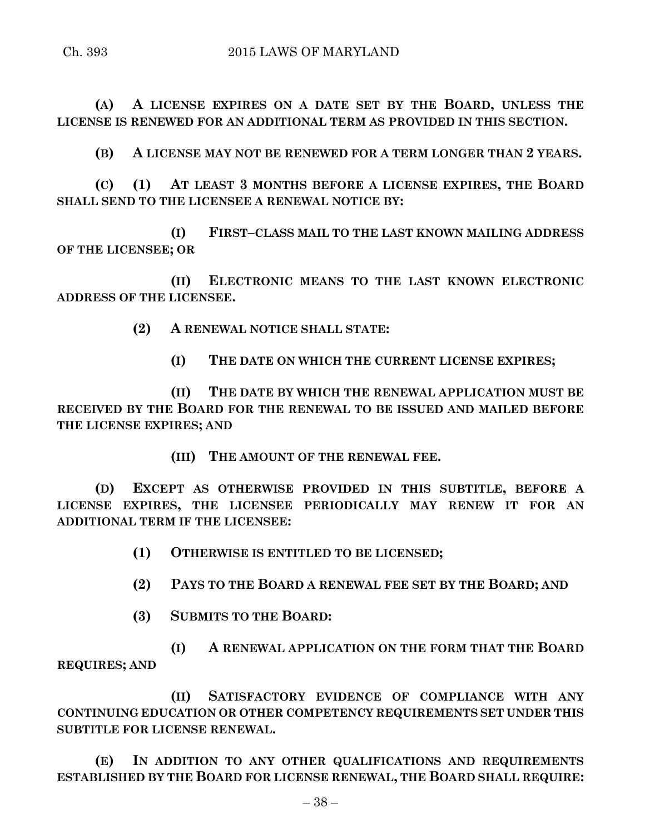**(A) A LICENSE EXPIRES ON A DATE SET BY THE BOARD, UNLESS THE LICENSE IS RENEWED FOR AN ADDITIONAL TERM AS PROVIDED IN THIS SECTION.**

**(B) A LICENSE MAY NOT BE RENEWED FOR A TERM LONGER THAN 2 YEARS.**

**(C) (1) AT LEAST 3 MONTHS BEFORE A LICENSE EXPIRES, THE BOARD SHALL SEND TO THE LICENSEE A RENEWAL NOTICE BY:**

**(I) FIRST–CLASS MAIL TO THE LAST KNOWN MAILING ADDRESS OF THE LICENSEE; OR**

**(II) ELECTRONIC MEANS TO THE LAST KNOWN ELECTRONIC ADDRESS OF THE LICENSEE.**

**(2) A RENEWAL NOTICE SHALL STATE:**

**(I) THE DATE ON WHICH THE CURRENT LICENSE EXPIRES;**

**(II) THE DATE BY WHICH THE RENEWAL APPLICATION MUST BE RECEIVED BY THE BOARD FOR THE RENEWAL TO BE ISSUED AND MAILED BEFORE THE LICENSE EXPIRES; AND**

**(III) THE AMOUNT OF THE RENEWAL FEE.**

**(D) EXCEPT AS OTHERWISE PROVIDED IN THIS SUBTITLE, BEFORE A LICENSE EXPIRES, THE LICENSEE PERIODICALLY MAY RENEW IT FOR AN ADDITIONAL TERM IF THE LICENSEE:**

**(1) OTHERWISE IS ENTITLED TO BE LICENSED;**

**(2) PAYS TO THE BOARD A RENEWAL FEE SET BY THE BOARD; AND**

**(3) SUBMITS TO THE BOARD:**

**(I) A RENEWAL APPLICATION ON THE FORM THAT THE BOARD REQUIRES; AND**

**(II) SATISFACTORY EVIDENCE OF COMPLIANCE WITH ANY CONTINUING EDUCATION OR OTHER COMPETENCY REQUIREMENTS SET UNDER THIS SUBTITLE FOR LICENSE RENEWAL.**

**(E) IN ADDITION TO ANY OTHER QUALIFICATIONS AND REQUIREMENTS ESTABLISHED BY THE BOARD FOR LICENSE RENEWAL, THE BOARD SHALL REQUIRE:**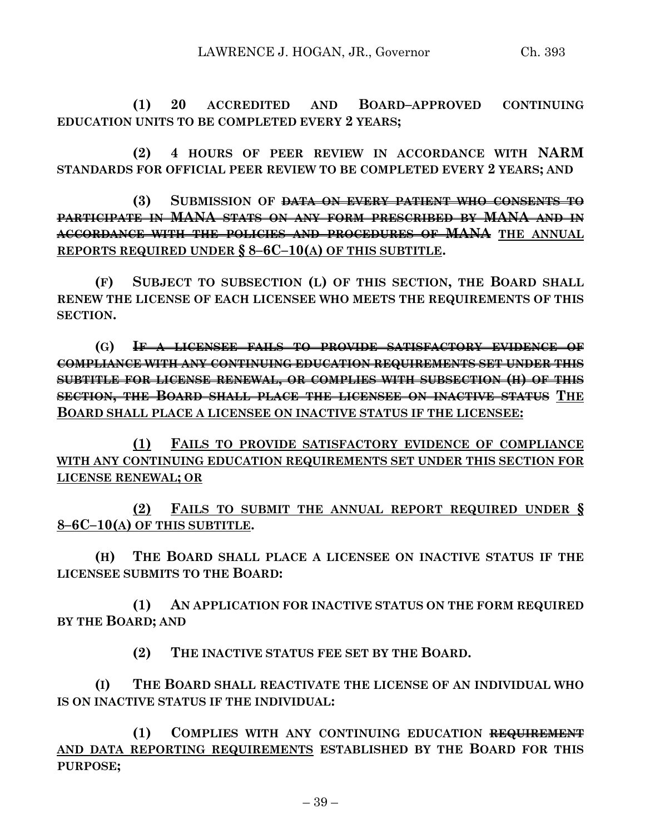**(1) 20 ACCREDITED AND BOARD–APPROVED CONTINUING EDUCATION UNITS TO BE COMPLETED EVERY 2 YEARS;**

**(2) 4 HOURS OF PEER REVIEW IN ACCORDANCE WITH NARM STANDARDS FOR OFFICIAL PEER REVIEW TO BE COMPLETED EVERY 2 YEARS; AND**

**(3) SUBMISSION OF DATA ON EVERY PATIENT WHO CONSENTS TO PARTICIPATE IN MANA STATS ON ANY FORM PRESCRIBED BY MANA AND IN ACCORDANCE WITH THE POLICIES AND PROCEDURES OF MANA THE ANNUAL REPORTS REQUIRED UNDER § 8–6C–10(A) OF THIS SUBTITLE.**

**(F) SUBJECT TO SUBSECTION (L) OF THIS SECTION, THE BOARD SHALL RENEW THE LICENSE OF EACH LICENSEE WHO MEETS THE REQUIREMENTS OF THIS SECTION.**

**(G) IF A LICENSEE FAILS TO PROVIDE SATISFACTORY EVIDENCE OF COMPLIANCE WITH ANY CONTINUING EDUCATION REQUIREMENTS SET UNDER THIS SUBTITLE FOR LICENSE RENEWAL, OR COMPLIES WITH SUBSECTION (H) OF THIS SECTION, THE BOARD SHALL PLACE THE LICENSEE ON INACTIVE STATUS THE BOARD SHALL PLACE A LICENSEE ON INACTIVE STATUS IF THE LICENSEE:**

**(1) FAILS TO PROVIDE SATISFACTORY EVIDENCE OF COMPLIANCE WITH ANY CONTINUING EDUCATION REQUIREMENTS SET UNDER THIS SECTION FOR LICENSE RENEWAL; OR**

**(2) FAILS TO SUBMIT THE ANNUAL REPORT REQUIRED UNDER § 8–6C–10(A) OF THIS SUBTITLE.**

**(H) THE BOARD SHALL PLACE A LICENSEE ON INACTIVE STATUS IF THE LICENSEE SUBMITS TO THE BOARD:**

**(1) AN APPLICATION FOR INACTIVE STATUS ON THE FORM REQUIRED BY THE BOARD; AND**

**(2) THE INACTIVE STATUS FEE SET BY THE BOARD.**

**(I) THE BOARD SHALL REACTIVATE THE LICENSE OF AN INDIVIDUAL WHO IS ON INACTIVE STATUS IF THE INDIVIDUAL:**

**(1) COMPLIES WITH ANY CONTINUING EDUCATION REQUIREMENT AND DATA REPORTING REQUIREMENTS ESTABLISHED BY THE BOARD FOR THIS PURPOSE;**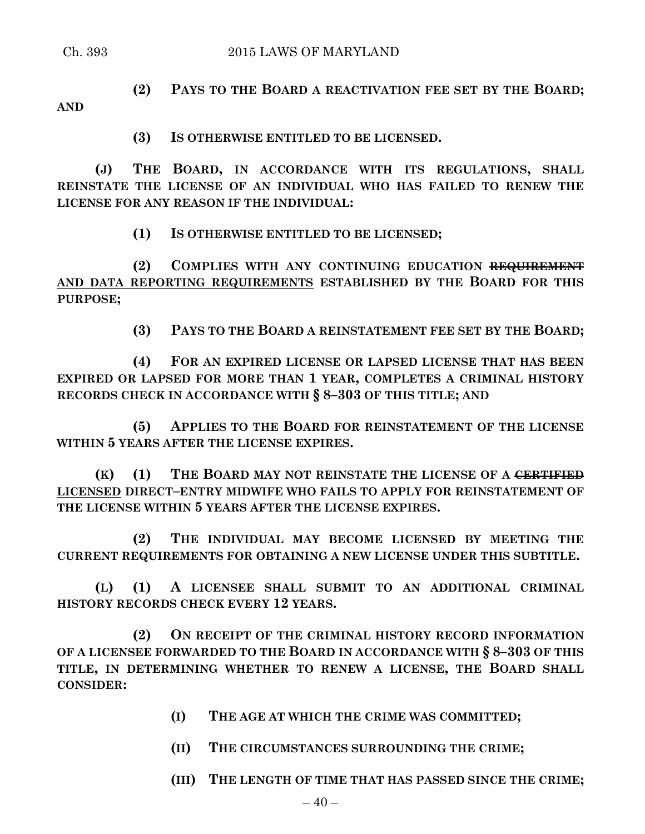**AND**

**(2) PAYS TO THE BOARD A REACTIVATION FEE SET BY THE BOARD;**

**(3) IS OTHERWISE ENTITLED TO BE LICENSED.**

**(J) THE BOARD, IN ACCORDANCE WITH ITS REGULATIONS, SHALL REINSTATE THE LICENSE OF AN INDIVIDUAL WHO HAS FAILED TO RENEW THE LICENSE FOR ANY REASON IF THE INDIVIDUAL:**

**(1) IS OTHERWISE ENTITLED TO BE LICENSED;**

**(2) COMPLIES WITH ANY CONTINUING EDUCATION REQUIREMENT AND DATA REPORTING REQUIREMENTS ESTABLISHED BY THE BOARD FOR THIS PURPOSE;**

**(3) PAYS TO THE BOARD A REINSTATEMENT FEE SET BY THE BOARD;**

**(4) FOR AN EXPIRED LICENSE OR LAPSED LICENSE THAT HAS BEEN EXPIRED OR LAPSED FOR MORE THAN 1 YEAR, COMPLETES A CRIMINAL HISTORY RECORDS CHECK IN ACCORDANCE WITH § 8–303 OF THIS TITLE; AND**

**(5) APPLIES TO THE BOARD FOR REINSTATEMENT OF THE LICENSE WITHIN 5 YEARS AFTER THE LICENSE EXPIRES.**

**(K) (1) THE BOARD MAY NOT REINSTATE THE LICENSE OF A CERTIFIED LICENSED DIRECT–ENTRY MIDWIFE WHO FAILS TO APPLY FOR REINSTATEMENT OF THE LICENSE WITHIN 5 YEARS AFTER THE LICENSE EXPIRES.**

**(2) THE INDIVIDUAL MAY BECOME LICENSED BY MEETING THE CURRENT REQUIREMENTS FOR OBTAINING A NEW LICENSE UNDER THIS SUBTITLE.**

**(L) (1) A LICENSEE SHALL SUBMIT TO AN ADDITIONAL CRIMINAL HISTORY RECORDS CHECK EVERY 12 YEARS.**

**(2) ON RECEIPT OF THE CRIMINAL HISTORY RECORD INFORMATION OF A LICENSEE FORWARDED TO THE BOARD IN ACCORDANCE WITH § 8–303 OF THIS TITLE, IN DETERMINING WHETHER TO RENEW A LICENSE, THE BOARD SHALL CONSIDER:**

- **(I) THE AGE AT WHICH THE CRIME WAS COMMITTED;**
- **(II) THE CIRCUMSTANCES SURROUNDING THE CRIME;**
- **(III) THE LENGTH OF TIME THAT HAS PASSED SINCE THE CRIME;**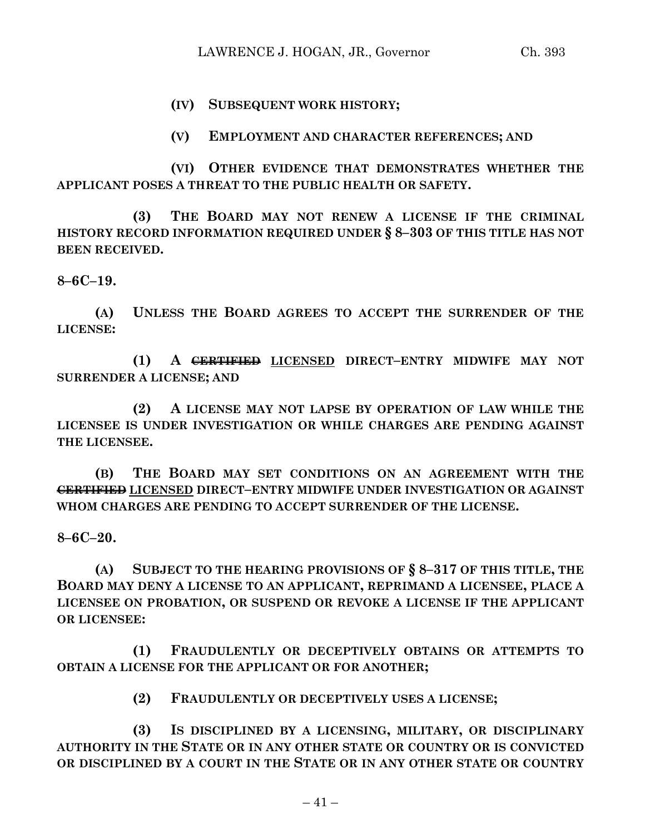## **(IV) SUBSEQUENT WORK HISTORY;**

**(V) EMPLOYMENT AND CHARACTER REFERENCES; AND**

**(VI) OTHER EVIDENCE THAT DEMONSTRATES WHETHER THE APPLICANT POSES A THREAT TO THE PUBLIC HEALTH OR SAFETY.**

**(3) THE BOARD MAY NOT RENEW A LICENSE IF THE CRIMINAL HISTORY RECORD INFORMATION REQUIRED UNDER § 8–303 OF THIS TITLE HAS NOT BEEN RECEIVED.**

**8–6C–19.**

**(A) UNLESS THE BOARD AGREES TO ACCEPT THE SURRENDER OF THE LICENSE:**

**(1) A CERTIFIED LICENSED DIRECT–ENTRY MIDWIFE MAY NOT SURRENDER A LICENSE; AND**

**(2) A LICENSE MAY NOT LAPSE BY OPERATION OF LAW WHILE THE LICENSEE IS UNDER INVESTIGATION OR WHILE CHARGES ARE PENDING AGAINST THE LICENSEE.**

**(B) THE BOARD MAY SET CONDITIONS ON AN AGREEMENT WITH THE CERTIFIED LICENSED DIRECT–ENTRY MIDWIFE UNDER INVESTIGATION OR AGAINST WHOM CHARGES ARE PENDING TO ACCEPT SURRENDER OF THE LICENSE.**

**8–6C–20.**

**(A) SUBJECT TO THE HEARING PROVISIONS OF § 8–317 OF THIS TITLE, THE BOARD MAY DENY A LICENSE TO AN APPLICANT, REPRIMAND A LICENSEE, PLACE A LICENSEE ON PROBATION, OR SUSPEND OR REVOKE A LICENSE IF THE APPLICANT OR LICENSEE:**

**(1) FRAUDULENTLY OR DECEPTIVELY OBTAINS OR ATTEMPTS TO OBTAIN A LICENSE FOR THE APPLICANT OR FOR ANOTHER;**

**(2) FRAUDULENTLY OR DECEPTIVELY USES A LICENSE;**

**(3) IS DISCIPLINED BY A LICENSING, MILITARY, OR DISCIPLINARY AUTHORITY IN THE STATE OR IN ANY OTHER STATE OR COUNTRY OR IS CONVICTED OR DISCIPLINED BY A COURT IN THE STATE OR IN ANY OTHER STATE OR COUNTRY**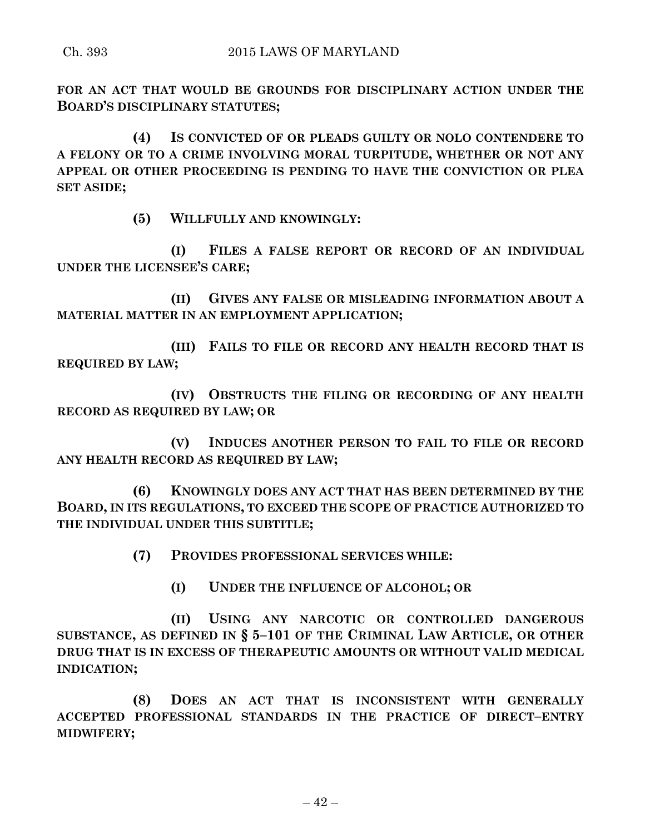**FOR AN ACT THAT WOULD BE GROUNDS FOR DISCIPLINARY ACTION UNDER THE BOARD'S DISCIPLINARY STATUTES;**

**(4) IS CONVICTED OF OR PLEADS GUILTY OR NOLO CONTENDERE TO A FELONY OR TO A CRIME INVOLVING MORAL TURPITUDE, WHETHER OR NOT ANY APPEAL OR OTHER PROCEEDING IS PENDING TO HAVE THE CONVICTION OR PLEA SET ASIDE;**

**(5) WILLFULLY AND KNOWINGLY:**

**(I) FILES A FALSE REPORT OR RECORD OF AN INDIVIDUAL UNDER THE LICENSEE'S CARE;**

**(II) GIVES ANY FALSE OR MISLEADING INFORMATION ABOUT A MATERIAL MATTER IN AN EMPLOYMENT APPLICATION;**

**(III) FAILS TO FILE OR RECORD ANY HEALTH RECORD THAT IS REQUIRED BY LAW;**

**(IV) OBSTRUCTS THE FILING OR RECORDING OF ANY HEALTH RECORD AS REQUIRED BY LAW; OR**

**(V) INDUCES ANOTHER PERSON TO FAIL TO FILE OR RECORD ANY HEALTH RECORD AS REQUIRED BY LAW;**

**(6) KNOWINGLY DOES ANY ACT THAT HAS BEEN DETERMINED BY THE BOARD, IN ITS REGULATIONS, TO EXCEED THE SCOPE OF PRACTICE AUTHORIZED TO THE INDIVIDUAL UNDER THIS SUBTITLE;**

**(7) PROVIDES PROFESSIONAL SERVICES WHILE:**

**(I) UNDER THE INFLUENCE OF ALCOHOL; OR**

**(II) USING ANY NARCOTIC OR CONTROLLED DANGEROUS SUBSTANCE, AS DEFINED IN § 5–101 OF THE CRIMINAL LAW ARTICLE, OR OTHER DRUG THAT IS IN EXCESS OF THERAPEUTIC AMOUNTS OR WITHOUT VALID MEDICAL INDICATION;**

**(8) DOES AN ACT THAT IS INCONSISTENT WITH GENERALLY ACCEPTED PROFESSIONAL STANDARDS IN THE PRACTICE OF DIRECT–ENTRY MIDWIFERY;**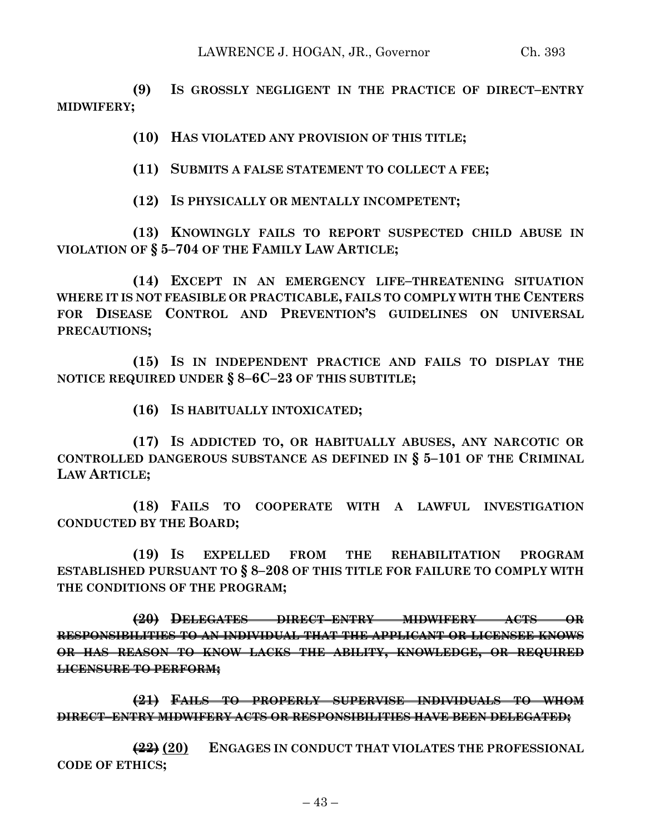**(9) IS GROSSLY NEGLIGENT IN THE PRACTICE OF DIRECT–ENTRY MIDWIFERY;**

**(10) HAS VIOLATED ANY PROVISION OF THIS TITLE;**

**(11) SUBMITS A FALSE STATEMENT TO COLLECT A FEE;**

**(12) IS PHYSICALLY OR MENTALLY INCOMPETENT;**

**(13) KNOWINGLY FAILS TO REPORT SUSPECTED CHILD ABUSE IN VIOLATION OF § 5–704 OF THE FAMILY LAW ARTICLE;**

**(14) EXCEPT IN AN EMERGENCY LIFE–THREATENING SITUATION WHERE IT IS NOT FEASIBLE OR PRACTICABLE, FAILS TO COMPLY WITH THE CENTERS FOR DISEASE CONTROL AND PREVENTION'S GUIDELINES ON UNIVERSAL PRECAUTIONS;**

**(15) IS IN INDEPENDENT PRACTICE AND FAILS TO DISPLAY THE NOTICE REQUIRED UNDER § 8–6C–23 OF THIS SUBTITLE;**

**(16) IS HABITUALLY INTOXICATED;**

**(17) IS ADDICTED TO, OR HABITUALLY ABUSES, ANY NARCOTIC OR CONTROLLED DANGEROUS SUBSTANCE AS DEFINED IN § 5–101 OF THE CRIMINAL LAW ARTICLE;**

**(18) FAILS TO COOPERATE WITH A LAWFUL INVESTIGATION CONDUCTED BY THE BOARD;**

**(19) IS EXPELLED FROM THE REHABILITATION PROGRAM ESTABLISHED PURSUANT TO § 8–208 OF THIS TITLE FOR FAILURE TO COMPLY WITH THE CONDITIONS OF THE PROGRAM;**

**(20) DELEGATES DIRECT–ENTRY MIDWIFERY ACTS OR RESPONSIBILITIES TO AN INDIVIDUAL THAT THE APPLICANT OR LICENSEE KNOWS OR HAS REASON TO KNOW LACKS THE ABILITY, KNOWLEDGE, OR REQUIRED LICENSURE TO PERFORM;**

**(21) FAILS TO PROPERLY SUPERVISE INDIVIDUALS TO WHOM DIRECT–ENTRY MIDWIFERY ACTS OR RESPONSIBILITIES HAVE BEEN DELEGATED;**

**(22) (20) ENGAGES IN CONDUCT THAT VIOLATES THE PROFESSIONAL CODE OF ETHICS;**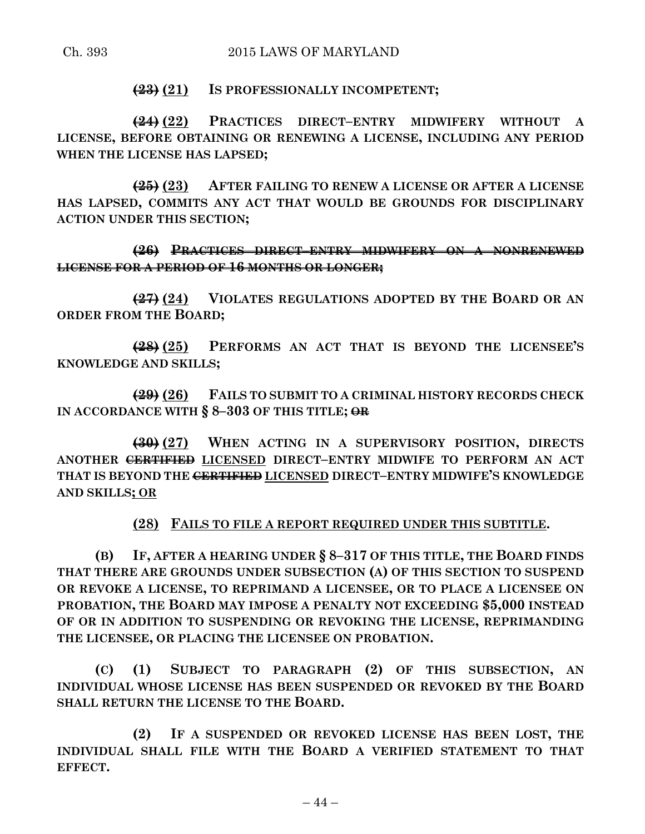## **(23) (21) IS PROFESSIONALLY INCOMPETENT;**

**(24) (22) PRACTICES DIRECT–ENTRY MIDWIFERY WITHOUT A LICENSE, BEFORE OBTAINING OR RENEWING A LICENSE, INCLUDING ANY PERIOD WHEN THE LICENSE HAS LAPSED;**

**(25) (23) AFTER FAILING TO RENEW A LICENSE OR AFTER A LICENSE HAS LAPSED, COMMITS ANY ACT THAT WOULD BE GROUNDS FOR DISCIPLINARY ACTION UNDER THIS SECTION;**

**(26) PRACTICES DIRECT–ENTRY MIDWIFERY ON A NONRENEWED LICENSE FOR A PERIOD OF 16 MONTHS OR LONGER;**

**(27) (24) VIOLATES REGULATIONS ADOPTED BY THE BOARD OR AN ORDER FROM THE BOARD;**

**(28) (25) PERFORMS AN ACT THAT IS BEYOND THE LICENSEE'S KNOWLEDGE AND SKILLS;**

**(29) (26) FAILS TO SUBMIT TO A CRIMINAL HISTORY RECORDS CHECK IN ACCORDANCE WITH § 8–303 OF THIS TITLE; OR**

**(30) (27) WHEN ACTING IN A SUPERVISORY POSITION, DIRECTS ANOTHER CERTIFIED LICENSED DIRECT–ENTRY MIDWIFE TO PERFORM AN ACT THAT IS BEYOND THE CERTIFIED LICENSED DIRECT–ENTRY MIDWIFE'S KNOWLEDGE AND SKILLS; OR**

**(28) FAILS TO FILE A REPORT REQUIRED UNDER THIS SUBTITLE.**

**(B) IF, AFTER A HEARING UNDER § 8–317 OF THIS TITLE, THE BOARD FINDS THAT THERE ARE GROUNDS UNDER SUBSECTION (A) OF THIS SECTION TO SUSPEND OR REVOKE A LICENSE, TO REPRIMAND A LICENSEE, OR TO PLACE A LICENSEE ON PROBATION, THE BOARD MAY IMPOSE A PENALTY NOT EXCEEDING \$5,000 INSTEAD OF OR IN ADDITION TO SUSPENDING OR REVOKING THE LICENSE, REPRIMANDING THE LICENSEE, OR PLACING THE LICENSEE ON PROBATION.**

**(C) (1) SUBJECT TO PARAGRAPH (2) OF THIS SUBSECTION, AN INDIVIDUAL WHOSE LICENSE HAS BEEN SUSPENDED OR REVOKED BY THE BOARD SHALL RETURN THE LICENSE TO THE BOARD.**

**(2) IF A SUSPENDED OR REVOKED LICENSE HAS BEEN LOST, THE INDIVIDUAL SHALL FILE WITH THE BOARD A VERIFIED STATEMENT TO THAT EFFECT.**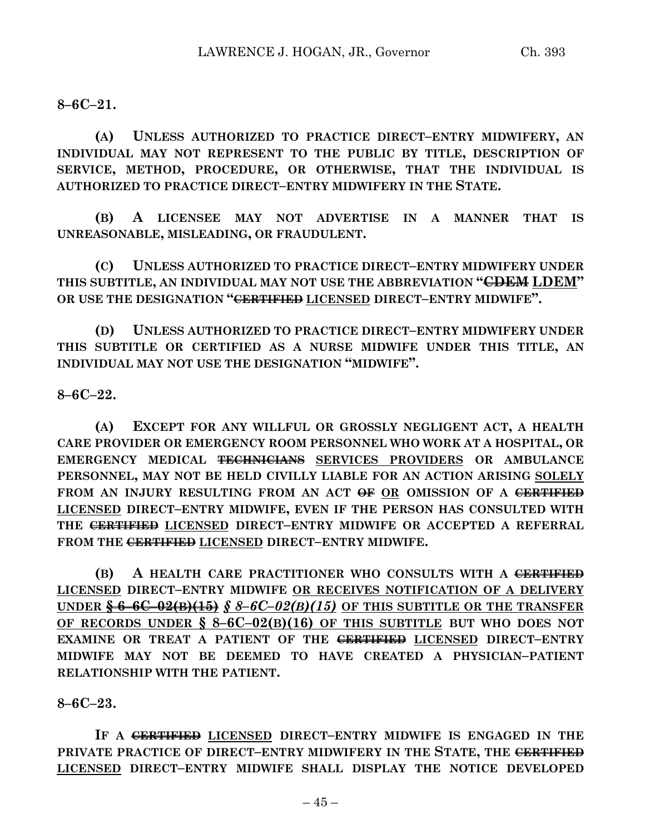**8–6C–21.**

**(A) UNLESS AUTHORIZED TO PRACTICE DIRECT–ENTRY MIDWIFERY, AN INDIVIDUAL MAY NOT REPRESENT TO THE PUBLIC BY TITLE, DESCRIPTION OF SERVICE, METHOD, PROCEDURE, OR OTHERWISE, THAT THE INDIVIDUAL IS AUTHORIZED TO PRACTICE DIRECT–ENTRY MIDWIFERY IN THE STATE.**

**(B) A LICENSEE MAY NOT ADVERTISE IN A MANNER THAT IS UNREASONABLE, MISLEADING, OR FRAUDULENT.**

**(C) UNLESS AUTHORIZED TO PRACTICE DIRECT–ENTRY MIDWIFERY UNDER THIS SUBTITLE, AN INDIVIDUAL MAY NOT USE THE ABBREVIATION "CDEM LDEM" OR USE THE DESIGNATION "CERTIFIED LICENSED DIRECT–ENTRY MIDWIFE".**

**(D) UNLESS AUTHORIZED TO PRACTICE DIRECT–ENTRY MIDWIFERY UNDER THIS SUBTITLE OR CERTIFIED AS A NURSE MIDWIFE UNDER THIS TITLE, AN INDIVIDUAL MAY NOT USE THE DESIGNATION "MIDWIFE".**

**8–6C–22.**

**(A) EXCEPT FOR ANY WILLFUL OR GROSSLY NEGLIGENT ACT, A HEALTH CARE PROVIDER OR EMERGENCY ROOM PERSONNEL WHO WORK AT A HOSPITAL, OR EMERGENCY MEDICAL TECHNICIANS SERVICES PROVIDERS OR AMBULANCE PERSONNEL, MAY NOT BE HELD CIVILLY LIABLE FOR AN ACTION ARISING SOLELY** FROM AN INJURY RESULTING FROM AN ACT  $\Theta$ **F** OR OMISSION OF A CERTIFIED **LICENSED DIRECT–ENTRY MIDWIFE, EVEN IF THE PERSON HAS CONSULTED WITH THE CERTIFIED LICENSED DIRECT–ENTRY MIDWIFE OR ACCEPTED A REFERRAL FROM THE CERTIFIED LICENSED DIRECT–ENTRY MIDWIFE.**

**(B) A HEALTH CARE PRACTITIONER WHO CONSULTS WITH A CERTIFIED LICENSED DIRECT–ENTRY MIDWIFE OR RECEIVES NOTIFICATION OF A DELIVERY UNDER**  $\frac{6}{5}$  **6–6C–02(B)(15)**  $\frac{8}{5}$  *8–6C–02(B)(15)* OF THIS SUBTITLE OR THE TRANSFER **OF RECORDS UNDER § 8–6C–02(B)(16) OF THIS SUBTITLE BUT WHO DOES NOT EXAMINE OR TREAT A PATIENT OF THE CERTIFIED LICENSED DIRECT–ENTRY MIDWIFE MAY NOT BE DEEMED TO HAVE CREATED A PHYSICIAN–PATIENT RELATIONSHIP WITH THE PATIENT.**

**8–6C–23.**

**IF A CERTIFIED LICENSED DIRECT–ENTRY MIDWIFE IS ENGAGED IN THE PRIVATE PRACTICE OF DIRECT–ENTRY MIDWIFERY IN THE STATE, THE CERTIFIED LICENSED DIRECT–ENTRY MIDWIFE SHALL DISPLAY THE NOTICE DEVELOPED**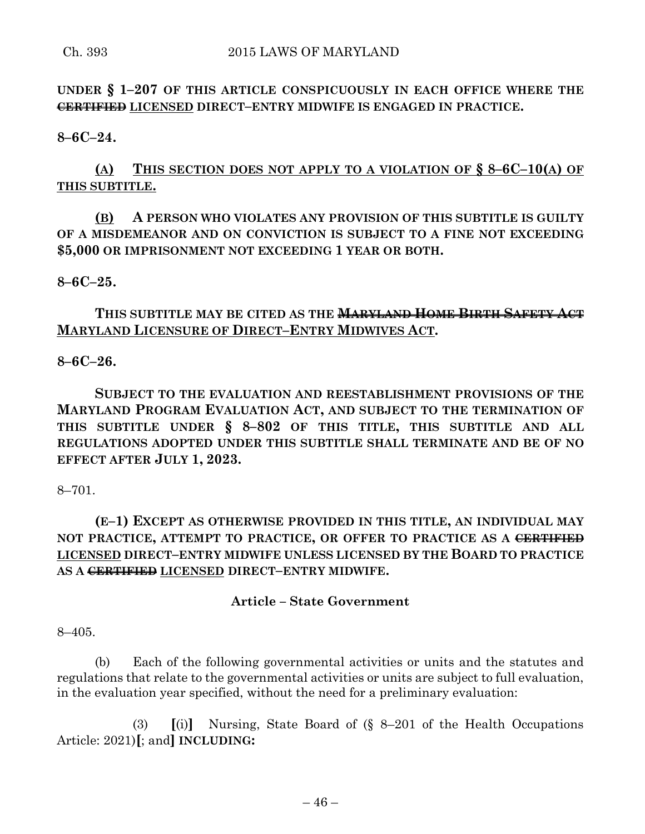**UNDER § 1–207 OF THIS ARTICLE CONSPICUOUSLY IN EACH OFFICE WHERE THE CERTIFIED LICENSED DIRECT–ENTRY MIDWIFE IS ENGAGED IN PRACTICE.**

**8–6C–24.**

# **(A) THIS SECTION DOES NOT APPLY TO A VIOLATION OF § 8–6C–10(A) OF THIS SUBTITLE.**

# **(B) A PERSON WHO VIOLATES ANY PROVISION OF THIS SUBTITLE IS GUILTY OF A MISDEMEANOR AND ON CONVICTION IS SUBJECT TO A FINE NOT EXCEEDING \$5,000 OR IMPRISONMENT NOT EXCEEDING 1 YEAR OR BOTH.**

## **8–6C–25.**

**THIS SUBTITLE MAY BE CITED AS THE MARYLAND HOME BIRTH SAFETY ACT MARYLAND LICENSURE OF DIRECT–ENTRY MIDWIVES ACT.**

## **8–6C–26.**

**SUBJECT TO THE EVALUATION AND REESTABLISHMENT PROVISIONS OF THE MARYLAND PROGRAM EVALUATION ACT, AND SUBJECT TO THE TERMINATION OF THIS SUBTITLE UNDER § 8–802 OF THIS TITLE, THIS SUBTITLE AND ALL REGULATIONS ADOPTED UNDER THIS SUBTITLE SHALL TERMINATE AND BE OF NO EFFECT AFTER JULY 1, 2023.**

#### 8–701.

# **(E–1) EXCEPT AS OTHERWISE PROVIDED IN THIS TITLE, AN INDIVIDUAL MAY NOT PRACTICE, ATTEMPT TO PRACTICE, OR OFFER TO PRACTICE AS A CERTIFIED LICENSED DIRECT–ENTRY MIDWIFE UNLESS LICENSED BY THE BOARD TO PRACTICE AS A CERTIFIED LICENSED DIRECT–ENTRY MIDWIFE.**

## **Article – State Government**

#### 8–405.

(b) Each of the following governmental activities or units and the statutes and regulations that relate to the governmental activities or units are subject to full evaluation, in the evaluation year specified, without the need for a preliminary evaluation:

(3) **[**(i)**]** Nursing, State Board of (§ 8–201 of the Health Occupations Article: 2021)**[**; and**] INCLUDING:**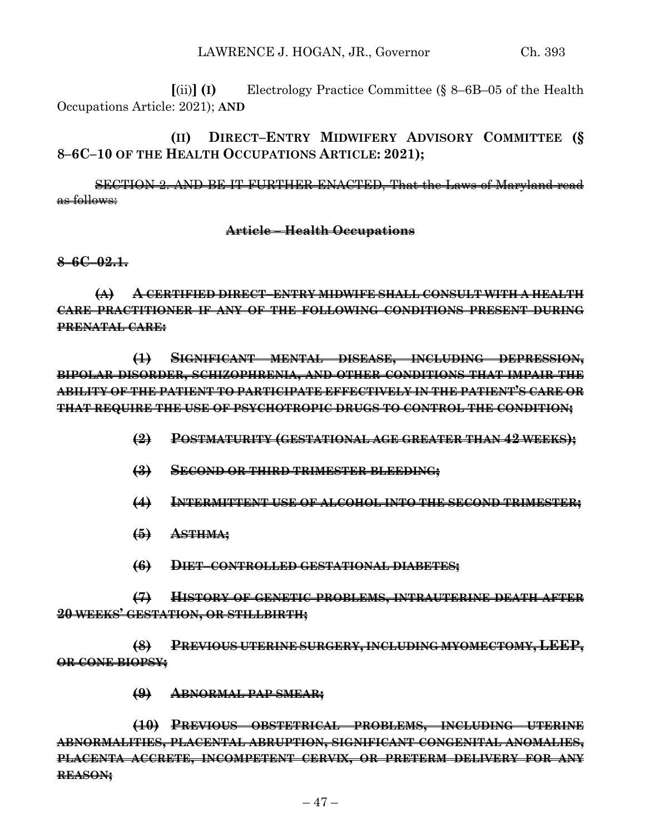**[**(ii)**] (I)** Electrology Practice Committee (§ 8–6B–05 of the Health Occupations Article: 2021); **AND**

**(II) DIRECT–ENTRY MIDWIFERY ADVISORY COMMITTEE (§ 8–6C–10 OF THE HEALTH OCCUPATIONS ARTICLE: 2021);**

SECTION 2. AND BE IT FURTHER ENACTED, That the Laws of Maryland read as follows:

### **Article – Health Occupations**

**8–6C–02.1.**

**(A) A CERTIFIED DIRECT–ENTRY MIDWIFE SHALL CONSULT WITH A HEALTH CARE PRACTITIONER IF ANY OF THE FOLLOWING CONDITIONS PRESENT DURING PRENATAL CARE:**

**(1) SIGNIFICANT MENTAL DISEASE, INCLUDING DEPRESSION, BIPOLAR DISORDER, SCHIZOPHRENIA, AND OTHER CONDITIONS THAT IMPAIR THE ABILITY OF THE PATIENT TO PARTICIPATE EFFECTIVELY IN THE PATIENT'S CARE OR THAT REQUIRE THE USE OF PSYCHOTROPIC DRUGS TO CONTROL THE CONDITION;**

- **(2) POSTMATURITY (GESTATIONAL AGE GREATER THAN 42 WEEKS);**
- **(3) SECOND OR THIRD TRIMESTER BLEEDING;**

**(4) INTERMITTENT USE OF ALCOHOL INTO THE SECOND TRIMESTER;**

- **(5) ASTHMA;**
- **(6) DIET–CONTROLLED GESTATIONAL DIABETES;**

**(7) HISTORY OF GENETIC PROBLEMS, INTRAUTERINE DEATH AFTER 20 WEEKS' GESTATION, OR STILLBIRTH;**

**(8) PREVIOUS UTERINE SURGERY, INCLUDING MYOMECTOMY, LEEP, OR CONE BIOPSY;**

**(9) ABNORMAL PAP SMEAR;**

**(10) PREVIOUS OBSTETRICAL PROBLEMS, INCLUDING UTERINE ABNORMALITIES, PLACENTAL ABRUPTION, SIGNIFICANT CONGENITAL ANOMALIES, PLACENTA ACCRETE, INCOMPETENT CERVIX, OR PRETERM DELIVERY FOR ANY REASON;**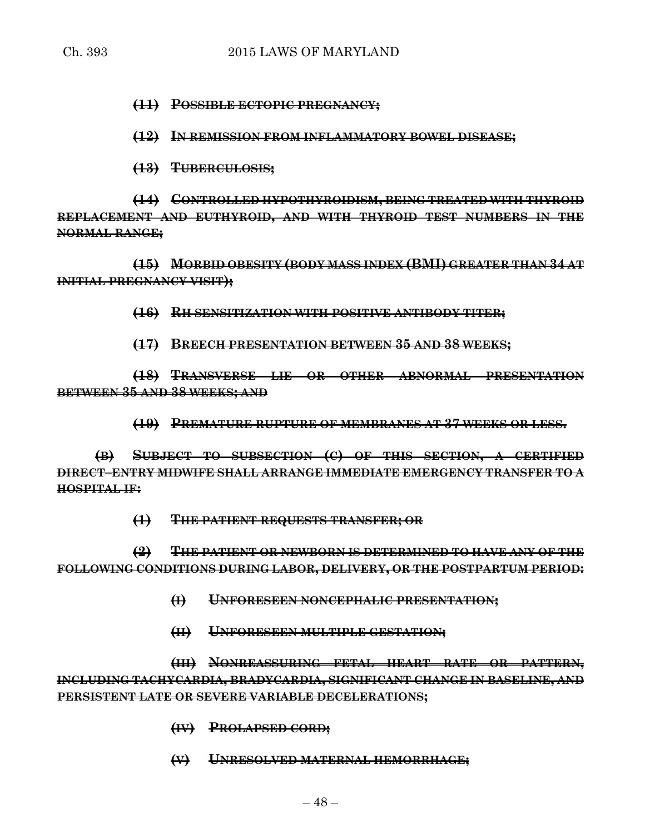**(11) POSSIBLE ECTOPIC PREGNANCY;**

**(12) IN REMISSION FROM INFLAMMATORY BOWEL DISEASE;**

**(13) TUBERCULOSIS;**

**(14) CONTROLLED HYPOTHYROIDISM, BEING TREATED WITH THYROID REPLACEMENT AND EUTHYROID, AND WITH THYROID TEST NUMBERS IN THE NORMAL RANGE;**

**(15) MORBID OBESITY (BODY MASS INDEX (BMI) GREATER THAN 34 AT INITIAL PREGNANCY VISIT);**

**(16) RH SENSITIZATION WITH POSITIVE ANTIBODY TITER;**

**(17) BREECH PRESENTATION BETWEEN 35 AND 38 WEEKS;**

**(18) TRANSVERSE LIE OR OTHER ABNORMAL PRESENTATION BETWEEN 35 AND 38 WEEKS; AND**

**(19) PREMATURE RUPTURE OF MEMBRANES AT 37 WEEKS OR LESS.**

**(B) SUBJECT TO SUBSECTION (C) OF THIS SECTION, A CERTIFIED DIRECT–ENTRY MIDWIFE SHALL ARRANGE IMMEDIATE EMERGENCY TRANSFER TO A HOSPITAL IF:**

**(1) THE PATIENT REQUESTS TRANSFER; OR**

**(2) THE PATIENT OR NEWBORN IS DETERMINED TO HAVE ANY OF THE FOLLOWING CONDITIONS DURING LABOR, DELIVERY, OR THE POSTPARTUM PERIOD:**

- **(I) UNFORESEEN NONCEPHALIC PRESENTATION;**
- **(II) UNFORESEEN MULTIPLE GESTATION;**

**(III) NONREASSURING FETAL HEART RATE OR PATTERN, INCLUDING TACHYCARDIA, BRADYCARDIA, SIGNIFICANT CHANGE IN BASELINE, AND PERSISTENT LATE OR SEVERE VARIABLE DECELERATIONS;**

- **(IV) PROLAPSED CORD;**
- **(V) UNRESOLVED MATERNAL HEMORRHAGE;**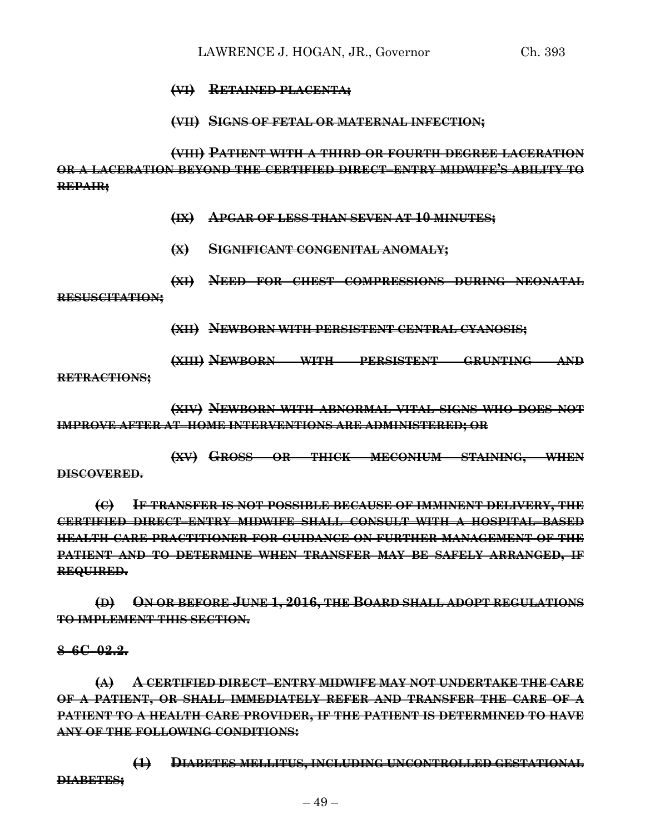- **(VI) RETAINED PLACENTA;**
- **(VII) SIGNS OF FETAL OR MATERNAL INFECTION;**

**(VIII) PATIENT WITH A THIRD OR FOURTH DEGREE LACERATION OR A LACERATION BEYOND THE CERTIFIED DIRECT–ENTRY MIDWIFE'S ABILITY TO REPAIR;**

- **(IX) APGAR OF LESS THAN SEVEN AT 10 MINUTES;**
- **(X) SIGNIFICANT CONGENITAL ANOMALY;**
- **(XI) NEED FOR CHEST COMPRESSIONS DURING NEONATAL**

**RESUSCITATION;**

**(XII) NEWBORN WITH PERSISTENT CENTRAL CYANOSIS;**

**(XIII) NEWBORN WITH PERSISTENT GRUNTING AND**

**RETRACTIONS;**

**(XIV) NEWBORN WITH ABNORMAL VITAL SIGNS WHO DOES NOT IMPROVE AFTER AT–HOME INTERVENTIONS ARE ADMINISTERED; OR**

**(XV) GROSS OR THICK MECONIUM STAINING, WHEN**

**DISCOVERED.**

**(C) IF TRANSFER IS NOT POSSIBLE BECAUSE OF IMMINENT DELIVERY, THE CERTIFIED DIRECT–ENTRY MIDWIFE SHALL CONSULT WITH A HOSPITAL–BASED HEALTH CARE PRACTITIONER FOR GUIDANCE ON FURTHER MANAGEMENT OF THE PATIENT AND TO DETERMINE WHEN TRANSFER MAY BE SAFELY ARRANGED, IF REQUIRED.**

**(D) ON OR BEFORE JUNE 1, 2016, THE BOARD SHALL ADOPT REGULATIONS TO IMPLEMENT THIS SECTION.**

**8–6C–02.2.**

**(A) A CERTIFIED DIRECT–ENTRY MIDWIFE MAY NOT UNDERTAKE THE CARE OF A PATIENT, OR SHALL IMMEDIATELY REFER AND TRANSFER THE CARE OF A PATIENT TO A HEALTH CARE PROVIDER, IF THE PATIENT IS DETERMINED TO HAVE ANY OF THE FOLLOWING CONDITIONS:**

**(1) DIABETES MELLITUS, INCLUDING UNCONTROLLED GESTATIONAL DIABETES;**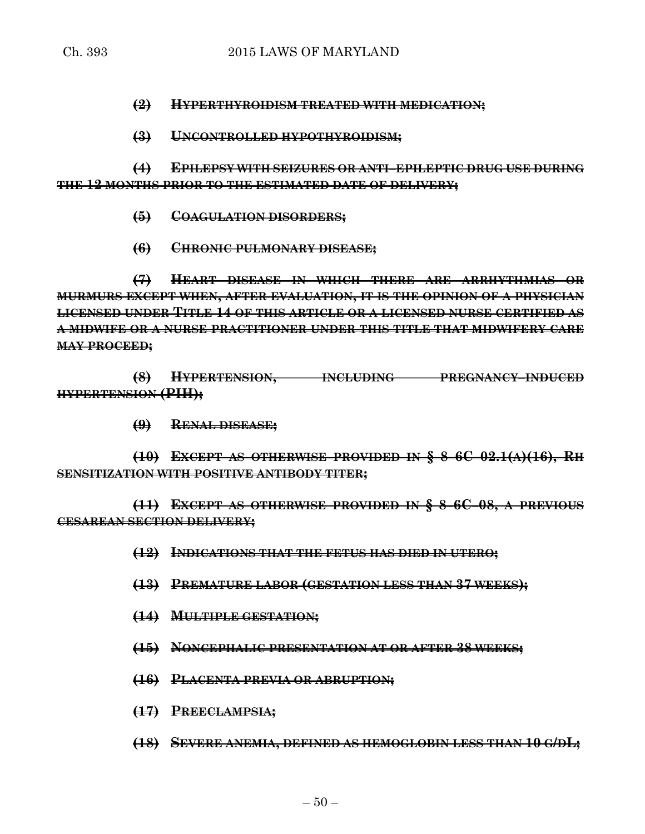**(2) HYPERTHYROIDISM TREATED WITH MEDICATION;**

**(3) UNCONTROLLED HYPOTHYROIDISM;**

**(4) EPILEPSY WITH SEIZURES OR ANTI–EPILEPTIC DRUG USE DURING THE 12 MONTHS PRIOR TO THE ESTIMATED DATE OF DELIVERY;**

- **(5) COAGULATION DISORDERS;**
- **(6) CHRONIC PULMONARY DISEASE;**

**(7) HEART DISEASE IN WHICH THERE ARE ARRHYTHMIAS OR MURMURS EXCEPT WHEN, AFTER EVALUATION, IT IS THE OPINION OF A PHYSICIAN LICENSED UNDER TITLE 14 OF THIS ARTICLE OR A LICENSED NURSE CERTIFIED AS A MIDWIFE OR A NURSE PRACTITIONER UNDER THIS TITLE THAT MIDWIFERY CARE MAY PROCEED;**

**(8) HYPERTENSION, INCLUDING PREGNANCY–INDUCED HYPERTENSION (PIH);**

**(9) RENAL DISEASE;**

**(10) EXCEPT AS OTHERWISE PROVIDED IN § 8–6C–02.1(A)(16), RH SENSITIZATION WITH POSITIVE ANTIBODY TITER;**

**(11) EXCEPT AS OTHERWISE PROVIDED IN § 8–6C–08, A PREVIOUS CESAREAN SECTION DELIVERY;**

- **(12) INDICATIONS THAT THE FETUS HAS DIED IN UTERO;**
- **(13) PREMATURE LABOR (GESTATION LESS THAN 37 WEEKS);**
- **(14) MULTIPLE GESTATION;**
- **(15) NONCEPHALIC PRESENTATION AT OR AFTER 38 WEEKS;**
- **(16) PLACENTA PREVIA OR ABRUPTION;**
- **(17) PREECLAMPSIA;**
- **(18) SEVERE ANEMIA, DEFINED AS HEMOGLOBIN LESS THAN 10 G/DL;**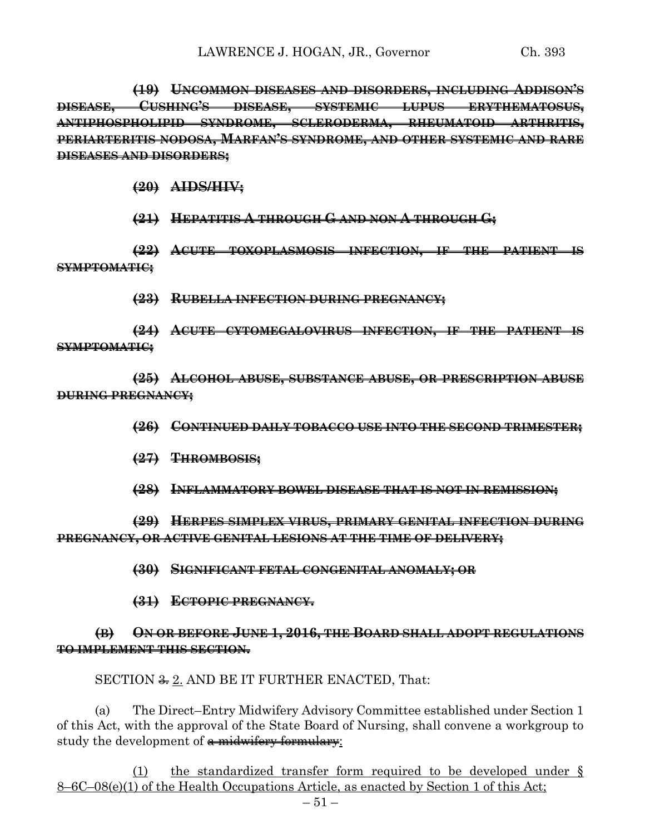**(19) UNCOMMON DISEASES AND DISORDERS, INCLUDING ADDISON'S DISEASE, CUSHING'S DISEASE, SYSTEMIC LUPUS ERYTHEMATOSUS, ANTIPHOSPHOLIPID SYNDROME, SCLERODERMA, RHEUMATOID ARTHRITIS, PERIARTERITIS NODOSA, MARFAN'S SYNDROME, AND OTHER SYSTEMIC AND RARE DISEASES AND DISORDERS;**

**(20) AIDS/HIV;**

**(21) HEPATITIS A THROUGH G AND NON A THROUGH G;**

**(22) ACUTE TOXOPLASMOSIS INFECTION, IF THE PATIENT IS SYMPTOMATIC;**

**(23) RUBELLA INFECTION DURING PREGNANCY;**

**(24) ACUTE CYTOMEGALOVIRUS INFECTION, IF THE PATIENT IS SYMPTOMATIC;**

**(25) ALCOHOL ABUSE, SUBSTANCE ABUSE, OR PRESCRIPTION ABUSE DURING PREGNANCY;**

**(26) CONTINUED DAILY TOBACCO USE INTO THE SECOND TRIMESTER;**

**(27) THROMBOSIS;**

**(28) INFLAMMATORY BOWEL DISEASE THAT IS NOT IN REMISSION;**

**(29) HERPES SIMPLEX VIRUS, PRIMARY GENITAL INFECTION DURING PREGNANCY, OR ACTIVE GENITAL LESIONS AT THE TIME OF DELIVERY;**

**(30) SIGNIFICANT FETAL CONGENITAL ANOMALY; OR**

**(31) ECTOPIC PREGNANCY.**

# **(B) ON OR BEFORE JUNE 1, 2016, THE BOARD SHALL ADOPT REGULATIONS TO IMPLEMENT THIS SECTION.**

SECTION  $\frac{2}{3}$ , AND BE IT FURTHER ENACTED, That:

(a) The Direct–Entry Midwifery Advisory Committee established under Section 1 of this Act, with the approval of the State Board of Nursing, shall convene a workgroup to study the development of  $\alpha$  midwifery formulary:

(1) the standardized transfer form required to be developed under § 8–6C–08(e)(1) of the Health Occupations Article, as enacted by Section 1 of this Act;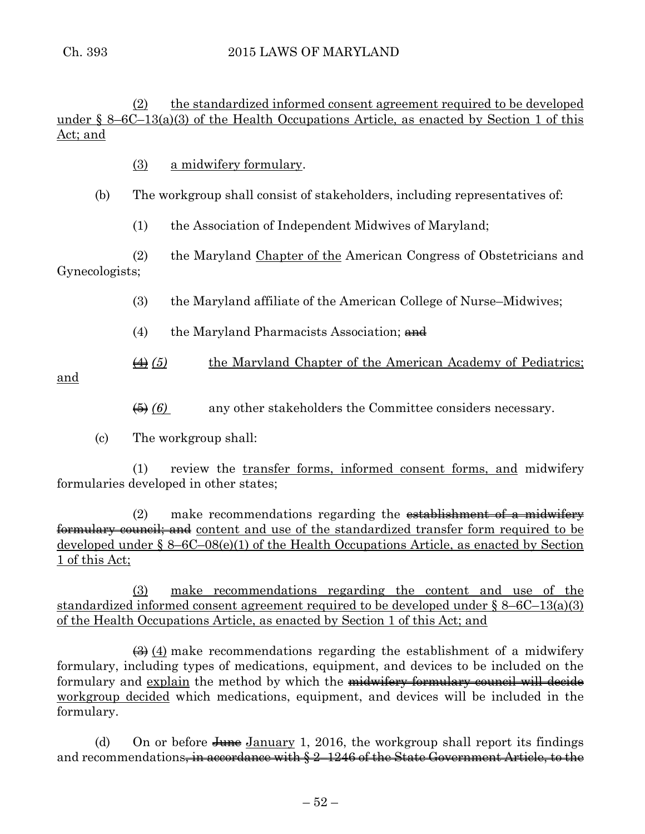(2) the standardized informed consent agreement required to be developed under  $\S 8-6C-13(a)(3)$  of the Health Occupations Article, as enacted by Section 1 of this Act; and

(3) a midwifery formulary.

# (b) The workgroup shall consist of stakeholders, including representatives of:

(1) the Association of Independent Midwives of Maryland;

(2) the Maryland Chapter of the American Congress of Obstetricians and Gynecologists;

- (3) the Maryland affiliate of the American College of Nurse–Midwives;
- (4) the Maryland Pharmacists Association;  $\theta$
- (4) *(5)* the Maryland Chapter of the American Academy of Pediatrics;

and

- (5) *(6)* any other stakeholders the Committee considers necessary.
- (c) The workgroup shall:

(1) review the transfer forms, informed consent forms, and midwifery formularies developed in other states;

 $(2)$  make recommendations regarding the establishment of a midwiferformulary council; and content and use of the standardized transfer form required to be developed under § 8–6C–08(e)(1) of the Health Occupations Article, as enacted by Section 1 of this Act;

(3) make recommendations regarding the content and use of the standardized informed consent agreement required to be developed under § 8–6C–13(a)(3) of the Health Occupations Article, as enacted by Section 1 of this Act; and

 $\left(\frac{3}{2}\right)$  (4) make recommendations regarding the establishment of a midwifery formulary, including types of medications, equipment, and devices to be included on the formulary and explain the method by which the midwifery formulary council will decide workgroup decided which medications, equipment, and devices will be included in the formulary.

(d) On or before  $\frac{I_{\text{H}}}{I_{\text{H}}}\$  January 1, 2016, the workgroup shall report its findings and recommendations<del>, in accordance with § 2–1246 of the State Government Article, to the</del>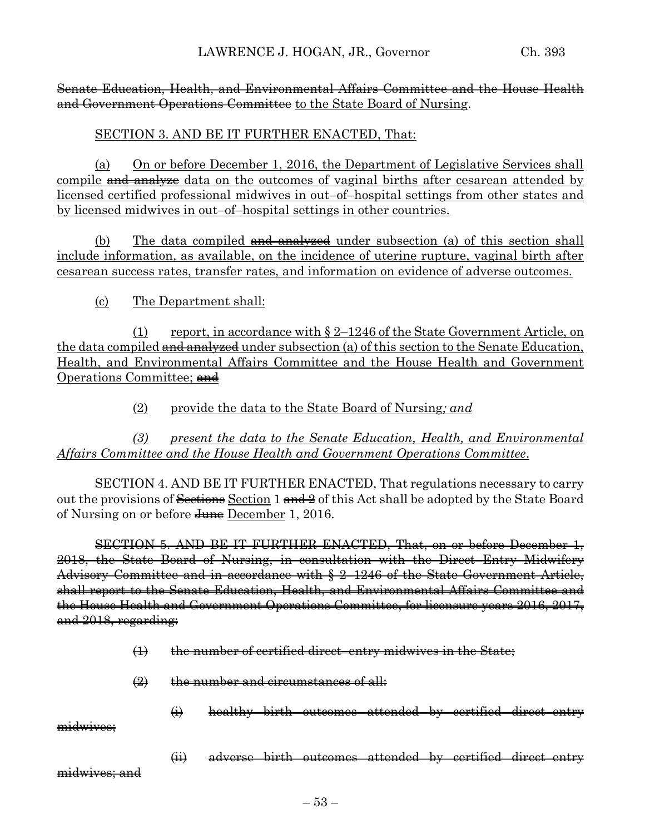## Senate Education, Health, and Environmental Affairs Committee and the House Health and Government Operations Committee to the State Board of Nursing.

# SECTION 3. AND BE IT FURTHER ENACTED, That:

(a) On or before December 1, 2016, the Department of Legislative Services shall compile and analyze data on the outcomes of vaginal births after cesarean attended by licensed certified professional midwives in out–of–hospital settings from other states and by licensed midwives in out–of–hospital settings in other countries.

(b) The data compiled  $\frac{1}{x}$  and  $\frac{1}{x}$  under subsection (a) of this section shall include information, as available, on the incidence of uterine rupture, vaginal birth after cesarean success rates, transfer rates, and information on evidence of adverse outcomes.

# (c) The Department shall:

(1) report, in accordance with  $\S 2$ –1246 of the State Government Article, on the data compiled  $\frac{1}{\text{and}} \frac{1}{\text{mod}}$  under subsection (a) of this section to the Senate Education, Health, and Environmental Affairs Committee and the House Health and Government Operations Committee; and

(2) provide the data to the State Board of Nursing*; and*

*(3) present the data to the Senate Education, Health, and Environmental Affairs Committee and the House Health and Government Operations Committee*.

SECTION 4. AND BE IT FURTHER ENACTED, That regulations necessary to carry out the provisions of Sections Section 1 and 2 of this Act shall be adopted by the State Board of Nursing on or before <del>June</del> December 1, 2016.

SECTION 5. AND BE IT FURTHER ENACTED, That, on or before December 1, 2018, the State Board of Nursing, in consultation with the Direct–Entry Midwifery Advisory Committee and in accordance with § 2–1246 of the State Government Article, shall report to the Senate Education, Health, and Environmental Affairs Committee and the House Health and Government Operations Committee, for licensure years 2016, 2017, and 2018, regarding:

- $(1)$  the number of certified direct–entry midwives in the State;
- (2) the number and circumstances of all:
	- (i) healthy birth outcomes attended by certified direct–entry

midwives:

(ii) adverse birth outcomes attended by certified direct–entry

midwives; and